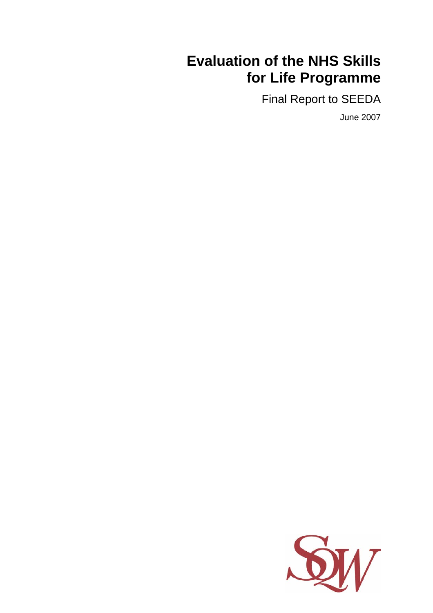# **Evaluation of the NHS Skills for Life Programme**

Final Report to SEEDA

June 2007

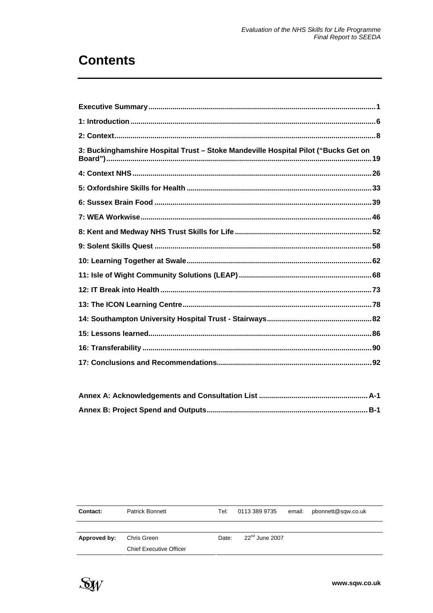# **Contents**

| 3: Buckinghamshire Hospital Trust - Stoke Mandeville Hospital Pilot ("Bucks Get on |  |
|------------------------------------------------------------------------------------|--|
|                                                                                    |  |
|                                                                                    |  |
|                                                                                    |  |
|                                                                                    |  |
|                                                                                    |  |
|                                                                                    |  |
|                                                                                    |  |
|                                                                                    |  |
|                                                                                    |  |
|                                                                                    |  |
|                                                                                    |  |
|                                                                                    |  |
|                                                                                    |  |
|                                                                                    |  |

| <b>Contact:</b> | <b>Patrick Bonnett</b>         | Tel: I | 0113 389 9735       | email: pbonnett@sqw.co.uk |
|-----------------|--------------------------------|--------|---------------------|---------------------------|
|                 |                                |        |                     |                           |
| Approved by:    | Chris Green                    | Date:  | $22^{nd}$ June 2007 |                           |
|                 | <b>Chief Executive Officer</b> |        |                     |                           |

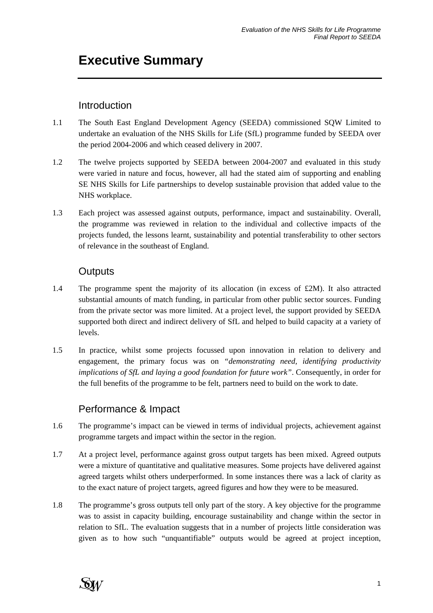# **Executive Summary**

## **Introduction**

- 1.1 The South East England Development Agency (SEEDA) commissioned SQW Limited to undertake an evaluation of the NHS Skills for Life (SfL) programme funded by SEEDA over the period 2004-2006 and which ceased delivery in 2007.
- 1.2 The twelve projects supported by SEEDA between 2004-2007 and evaluated in this study were varied in nature and focus, however, all had the stated aim of supporting and enabling SE NHS Skills for Life partnerships to develop sustainable provision that added value to the NHS workplace.
- 1.3 Each project was assessed against outputs, performance, impact and sustainability. Overall, the programme was reviewed in relation to the individual and collective impacts of the projects funded, the lessons learnt, sustainability and potential transferability to other sectors of relevance in the southeast of England.

# **Outputs**

- 1.4 The programme spent the majority of its allocation (in excess of £2M). It also attracted substantial amounts of match funding, in particular from other public sector sources. Funding from the private sector was more limited. At a project level, the support provided by SEEDA supported both direct and indirect delivery of SfL and helped to build capacity at a variety of levels.
- 1.5 In practice, whilst some projects focussed upon innovation in relation to delivery and engagement, the primary focus was on *"demonstrating need, identifying productivity implications of SfL and laying a good foundation for future work"*. Consequently, in order for the full benefits of the programme to be felt, partners need to build on the work to date.

## Performance & Impact

- 1.6 The programme's impact can be viewed in terms of individual projects, achievement against programme targets and impact within the sector in the region.
- 1.7 At a project level, performance against gross output targets has been mixed. Agreed outputs were a mixture of quantitative and qualitative measures. Some projects have delivered against agreed targets whilst others underperformed. In some instances there was a lack of clarity as to the exact nature of project targets, agreed figures and how they were to be measured.
- 1.8 The programme's gross outputs tell only part of the story. A key objective for the programme was to assist in capacity building, encourage sustainability and change within the sector in relation to SfL. The evaluation suggests that in a number of projects little consideration was given as to how such "unquantifiable" outputs would be agreed at project inception,

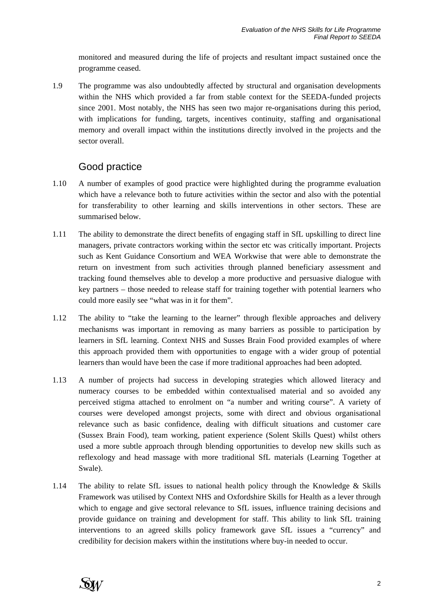monitored and measured during the life of projects and resultant impact sustained once the programme ceased.

1.9 The programme was also undoubtedly affected by structural and organisation developments within the NHS which provided a far from stable context for the SEEDA-funded projects since 2001. Most notably, the NHS has seen two major re-organisations during this period, with implications for funding, targets, incentives continuity, staffing and organisational memory and overall impact within the institutions directly involved in the projects and the sector overall.

# Good practice

- 1.10 A number of examples of good practice were highlighted during the programme evaluation which have a relevance both to future activities within the sector and also with the potential for transferability to other learning and skills interventions in other sectors. These are summarised below.
- 1.11 The ability to demonstrate the direct benefits of engaging staff in SfL upskilling to direct line managers, private contractors working within the sector etc was critically important. Projects such as Kent Guidance Consortium and WEA Workwise that were able to demonstrate the return on investment from such activities through planned beneficiary assessment and tracking found themselves able to develop a more productive and persuasive dialogue with key partners – those needed to release staff for training together with potential learners who could more easily see "what was in it for them".
- 1.12 The ability to "take the learning to the learner" through flexible approaches and delivery mechanisms was important in removing as many barriers as possible to participation by learners in SfL learning. Context NHS and Susses Brain Food provided examples of where this approach provided them with opportunities to engage with a wider group of potential learners than would have been the case if more traditional approaches had been adopted.
- 1.13 A number of projects had success in developing strategies which allowed literacy and numeracy courses to be embedded within contextualised material and so avoided any perceived stigma attached to enrolment on "a number and writing course". A variety of courses were developed amongst projects, some with direct and obvious organisational relevance such as basic confidence, dealing with difficult situations and customer care (Sussex Brain Food), team working, patient experience (Solent Skills Quest) whilst others used a more subtle approach through blending opportunities to develop new skills such as reflexology and head massage with more traditional SfL materials (Learning Together at Swale).
- 1.14 The ability to relate SfL issues to national health policy through the Knowledge & Skills Framework was utilised by Context NHS and Oxfordshire Skills for Health as a lever through which to engage and give sectoral relevance to SfL issues, influence training decisions and provide guidance on training and development for staff. This ability to link SfL training interventions to an agreed skills policy framework gave SfL issues a "currency" and credibility for decision makers within the institutions where buy-in needed to occur.

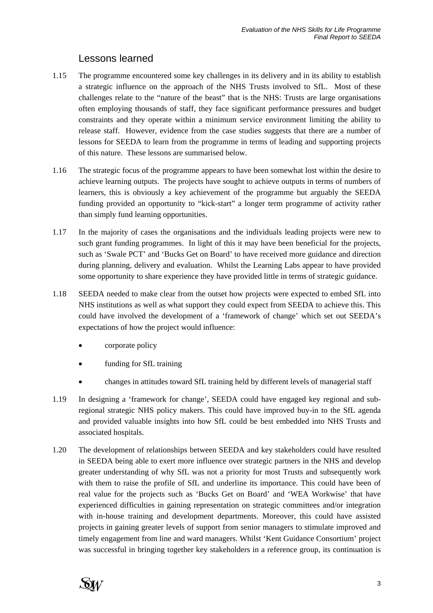## Lessons learned

- 1.15 The programme encountered some key challenges in its delivery and in its ability to establish a strategic influence on the approach of the NHS Trusts involved to SfL. Most of these challenges relate to the "nature of the beast" that is the NHS: Trusts are large organisations often employing thousands of staff, they face significant performance pressures and budget constraints and they operate within a minimum service environment limiting the ability to release staff. However, evidence from the case studies suggests that there are a number of lessons for SEEDA to learn from the programme in terms of leading and supporting projects of this nature. These lessons are summarised below.
- 1.16 The strategic focus of the programme appears to have been somewhat lost within the desire to achieve learning outputs. The projects have sought to achieve outputs in terms of numbers of learners, this is obviously a key achievement of the programme but arguably the SEEDA funding provided an opportunity to "kick-start" a longer term programme of activity rather than simply fund learning opportunities.
- 1.17 In the majority of cases the organisations and the individuals leading projects were new to such grant funding programmes. In light of this it may have been beneficial for the projects, such as 'Swale PCT' and 'Bucks Get on Board' to have received more guidance and direction during planning, delivery and evaluation. Whilst the Learning Labs appear to have provided some opportunity to share experience they have provided little in terms of strategic guidance.
- 1.18 SEEDA needed to make clear from the outset how projects were expected to embed SfL into NHS institutions as well as what support they could expect from SEEDA to achieve this. This could have involved the development of a 'framework of change' which set out SEEDA's expectations of how the project would influence:
	- corporate policy
	- funding for SfL training
	- changes in attitudes toward SfL training held by different levels of managerial staff
- 1.19 In designing a 'framework for change', SEEDA could have engaged key regional and subregional strategic NHS policy makers. This could have improved buy-in to the SfL agenda and provided valuable insights into how SfL could be best embedded into NHS Trusts and associated hospitals.
- 1.20 The development of relationships between SEEDA and key stakeholders could have resulted in SEEDA being able to exert more influence over strategic partners in the NHS and develop greater understanding of why SfL was not a priority for most Trusts and subsequently work with them to raise the profile of SfL and underline its importance. This could have been of real value for the projects such as 'Bucks Get on Board' and 'WEA Workwise' that have experienced difficulties in gaining representation on strategic committees and/or integration with in-house training and development departments. Moreover, this could have assisted projects in gaining greater levels of support from senior managers to stimulate improved and timely engagement from line and ward managers. Whilst 'Kent Guidance Consortium' project was successful in bringing together key stakeholders in a reference group, its continuation is

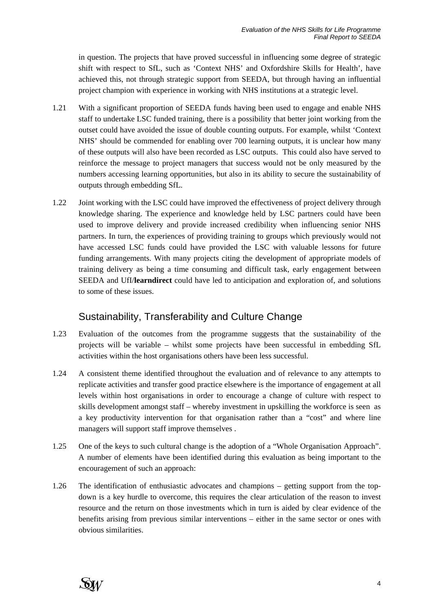in question. The projects that have proved successful in influencing some degree of strategic shift with respect to SfL, such as 'Context NHS' and Oxfordshire Skills for Health', have achieved this, not through strategic support from SEEDA, but through having an influential project champion with experience in working with NHS institutions at a strategic level.

- 1.21 With a significant proportion of SEEDA funds having been used to engage and enable NHS staff to undertake LSC funded training, there is a possibility that better joint working from the outset could have avoided the issue of double counting outputs. For example, whilst 'Context NHS' should be commended for enabling over 700 learning outputs, it is unclear how many of these outputs will also have been recorded as LSC outputs. This could also have served to reinforce the message to project managers that success would not be only measured by the numbers accessing learning opportunities, but also in its ability to secure the sustainability of outputs through embedding SfL.
- 1.22 Joint working with the LSC could have improved the effectiveness of project delivery through knowledge sharing. The experience and knowledge held by LSC partners could have been used to improve delivery and provide increased credibility when influencing senior NHS partners. In turn, the experiences of providing training to groups which previously would not have accessed LSC funds could have provided the LSC with valuable lessons for future funding arrangements. With many projects citing the development of appropriate models of training delivery as being a time consuming and difficult task, early engagement between SEEDA and UfI/**learndirect** could have led to anticipation and exploration of, and solutions to some of these issues.

## Sustainability, Transferability and Culture Change

- 1.23 Evaluation of the outcomes from the programme suggests that the sustainability of the projects will be variable – whilst some projects have been successful in embedding SfL activities within the host organisations others have been less successful.
- 1.24 A consistent theme identified throughout the evaluation and of relevance to any attempts to replicate activities and transfer good practice elsewhere is the importance of engagement at all levels within host organisations in order to encourage a change of culture with respect to skills development amongst staff – whereby investment in upskilling the workforce is seen as a key productivity intervention for that organisation rather than a "cost" and where line managers will support staff improve themselves .
- 1.25 One of the keys to such cultural change is the adoption of a "Whole Organisation Approach". A number of elements have been identified during this evaluation as being important to the encouragement of such an approach:
- 1.26 The identification of enthusiastic advocates and champions getting support from the topdown is a key hurdle to overcome, this requires the clear articulation of the reason to invest resource and the return on those investments which in turn is aided by clear evidence of the benefits arising from previous similar interventions – either in the same sector or ones with obvious similarities.

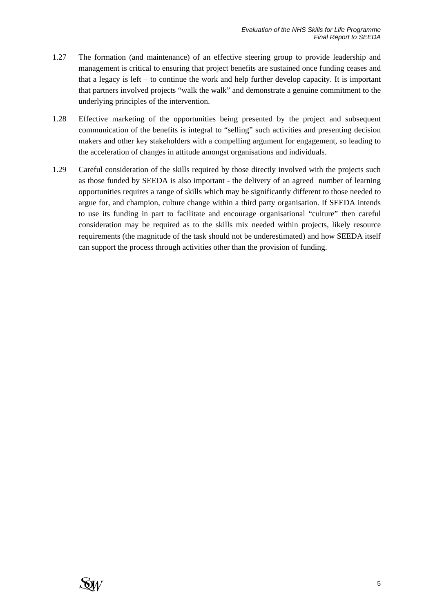- 1.27 The formation (and maintenance) of an effective steering group to provide leadership and management is critical to ensuring that project benefits are sustained once funding ceases and that a legacy is left – to continue the work and help further develop capacity. It is important that partners involved projects "walk the walk" and demonstrate a genuine commitment to the underlying principles of the intervention.
- 1.28 Effective marketing of the opportunities being presented by the project and subsequent communication of the benefits is integral to "selling" such activities and presenting decision makers and other key stakeholders with a compelling argument for engagement, so leading to the acceleration of changes in attitude amongst organisations and individuals.
- 1.29 Careful consideration of the skills required by those directly involved with the projects such as those funded by SEEDA is also important - the delivery of an agreed number of learning opportunities requires a range of skills which may be significantly different to those needed to argue for, and champion, culture change within a third party organisation. If SEEDA intends to use its funding in part to facilitate and encourage organisational "culture" then careful consideration may be required as to the skills mix needed within projects, likely resource requirements (the magnitude of the task should not be underestimated) and how SEEDA itself can support the process through activities other than the provision of funding.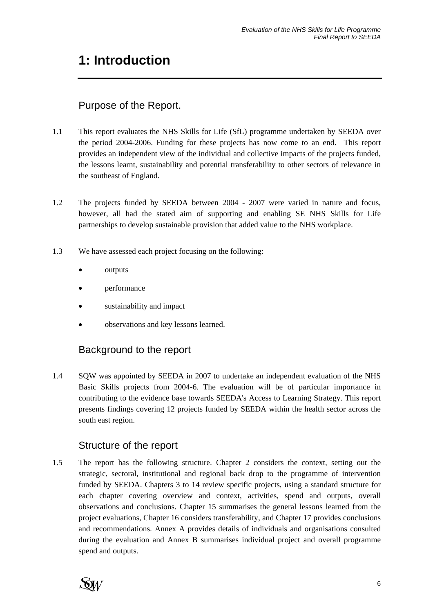# **1: Introduction**

# Purpose of the Report.

- 1.1 This report evaluates the NHS Skills for Life (SfL) programme undertaken by SEEDA over the period 2004-2006. Funding for these projects has now come to an end. This report provides an independent view of the individual and collective impacts of the projects funded, the lessons learnt, sustainability and potential transferability to other sectors of relevance in the southeast of England.
- 1.2 The projects funded by SEEDA between 2004 2007 were varied in nature and focus, however, all had the stated aim of supporting and enabling SE NHS Skills for Life partnerships to develop sustainable provision that added value to the NHS workplace.
- 1.3 We have assessed each project focusing on the following:
	- outputs
	- performance
	- sustainability and impact
	- observations and key lessons learned.

## Background to the report

1.4 SQW was appointed by SEEDA in 2007 to undertake an independent evaluation of the NHS Basic Skills projects from 2004-6. The evaluation will be of particular importance in contributing to the evidence base towards SEEDA's Access to Learning Strategy. This report presents findings covering 12 projects funded by SEEDA within the health sector across the south east region.

## Structure of the report

1.5 The report has the following structure. Chapter 2 considers the context, setting out the strategic, sectoral, institutional and regional back drop to the programme of intervention funded by SEEDA. Chapters 3 to 14 review specific projects, using a standard structure for each chapter covering overview and context, activities, spend and outputs, overall observations and conclusions. Chapter 15 summarises the general lessons learned from the project evaluations, Chapter 16 considers transferability, and Chapter 17 provides conclusions and recommendations. Annex A provides details of individuals and organisations consulted during the evaluation and Annex B summarises individual project and overall programme spend and outputs.

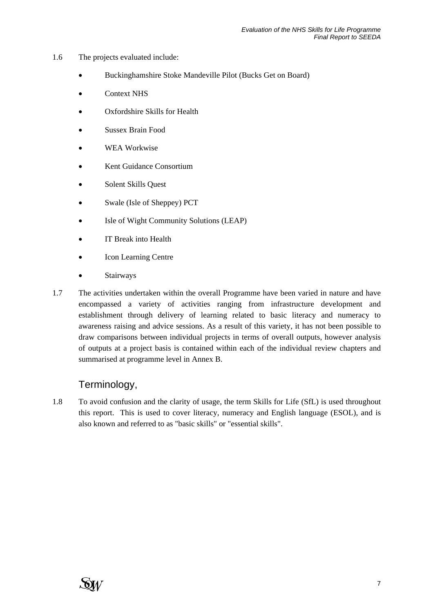- 1.6 The projects evaluated include:
	- Buckinghamshire Stoke Mandeville Pilot (Bucks Get on Board)
	- Context NHS
	- Oxfordshire Skills for Health
	- Sussex Brain Food
	- WEA Workwise
	- Kent Guidance Consortium
	- Solent Skills Quest
	- Swale (Isle of Sheppey) PCT
	- Isle of Wight Community Solutions (LEAP)
	- IT Break into Health
	- **Icon Learning Centre**
	- **Stairways**
- 1.7 The activities undertaken within the overall Programme have been varied in nature and have encompassed a variety of activities ranging from infrastructure development and establishment through delivery of learning related to basic literacy and numeracy to awareness raising and advice sessions. As a result of this variety, it has not been possible to draw comparisons between individual projects in terms of overall outputs, however analysis of outputs at a project basis is contained within each of the individual review chapters and summarised at programme level in Annex B.

## Terminology,

1.8 To avoid confusion and the clarity of usage, the term Skills for Life (SfL) is used throughout this report. This is used to cover literacy, numeracy and English language (ESOL), and is also known and referred to as "basic skills" or "essential skills".

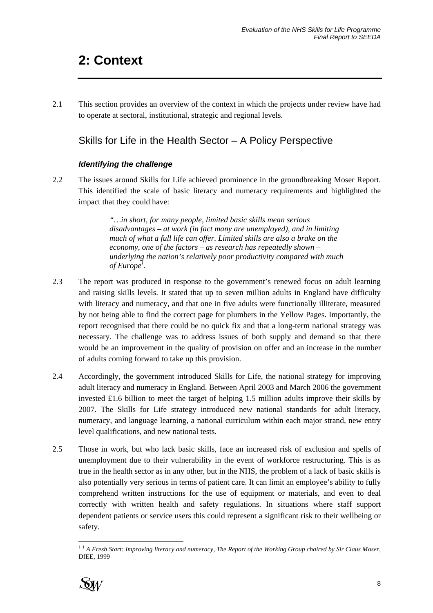# **2: Context**

2.1 This section provides an overview of the context in which the projects under review have had to operate at sectoral, institutional, strategic and regional levels.

# Skills for Life in the Health Sector – A Policy Perspective

#### *Identifying the challenge*

2.2 The issues around Skills for Life achieved prominence in the groundbreaking Moser Report. This identified the scale of basic literacy and numeracy requirements and highlighted the impact that they could have:

> *"…in short, for many people, limited basic skills mean serious disadvantages – at work (in fact many are unemployed), and in limiting much of what a full life can offer. Limited skills are also a brake on the economy, one of the factors – as research has repeatedly shown – underlying the nation's relatively poor productivity compared with much of Europe1 .*

- 2.3 The report was produced in response to the government's renewed focus on adult learning and raising skills levels. It stated that up to seven million adults in England have difficulty with literacy and numeracy, and that one in five adults were functionally illiterate, measured by not being able to find the correct page for plumbers in the Yellow Pages. Importantly, the report recognised that there could be no quick fix and that a long-term national strategy was necessary. The challenge was to address issues of both supply and demand so that there would be an improvement in the quality of provision on offer and an increase in the number of adults coming forward to take up this provision.
- 2.4 Accordingly, the government introduced Skills for Life, the national strategy for improving adult literacy and numeracy in England. Between April 2003 and March 2006 the government invested £1.6 billion to meet the target of helping 1.5 million adults improve their skills by 2007. The Skills for Life strategy introduced new national standards for adult literacy, numeracy, and language learning, a national curriculum within each major strand, new entry level qualifications, and new national tests.
- 2.5 Those in work, but who lack basic skills, face an increased risk of exclusion and spells of unemployment due to their vulnerability in the event of workforce restructuring. This is as true in the health sector as in any other, but in the NHS, the problem of a lack of basic skills is also potentially very serious in terms of patient care. It can limit an employee's ability to fully comprehend written instructions for the use of equipment or materials, and even to deal correctly with written health and safety regulations. In situations where staff support dependent patients or service users this could represent a significant risk to their wellbeing or safety.

l <sup>1</sup> <sup>1</sup> *A Fresh Start: Improving literacy and numeracy, The Report of the Working Group chaired by Sir Claus Moser*, DfEE, 1999

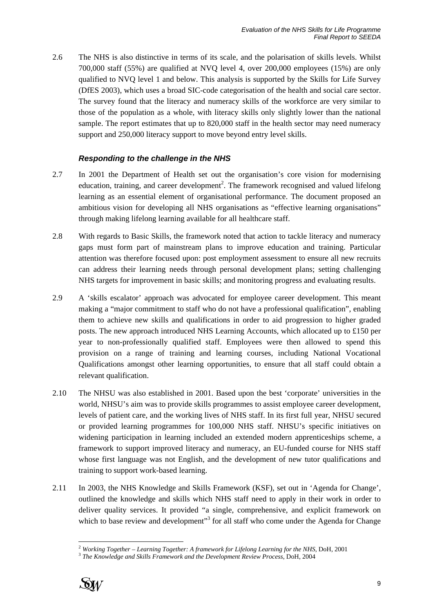2.6 The NHS is also distinctive in terms of its scale, and the polarisation of skills levels. Whilst 700,000 staff (55%) are qualified at NVQ level 4, over 200,000 employees (15%) are only qualified to NVQ level 1 and below. This analysis is supported by the Skills for Life Survey (DfES 2003), which uses a broad SIC-code categorisation of the health and social care sector. The survey found that the literacy and numeracy skills of the workforce are very similar to those of the population as a whole, with literacy skills only slightly lower than the national sample. The report estimates that up to 820,000 staff in the health sector may need numeracy support and 250,000 literacy support to move beyond entry level skills.

#### *Responding to the challenge in the NHS*

- 2.7 In 2001 the Department of Health set out the organisation's core vision for modernising education, training, and career development<sup>2</sup>. The framework recognised and valued lifelong learning as an essential element of organisational performance. The document proposed an ambitious vision for developing all NHS organisations as "effective learning organisations" through making lifelong learning available for all healthcare staff.
- 2.8 With regards to Basic Skills, the framework noted that action to tackle literacy and numeracy gaps must form part of mainstream plans to improve education and training. Particular attention was therefore focused upon: post employment assessment to ensure all new recruits can address their learning needs through personal development plans; setting challenging NHS targets for improvement in basic skills; and monitoring progress and evaluating results.
- 2.9 A 'skills escalator' approach was advocated for employee career development. This meant making a "major commitment to staff who do not have a professional qualification", enabling them to achieve new skills and qualifications in order to aid progression to higher graded posts. The new approach introduced NHS Learning Accounts, which allocated up to £150 per year to non-professionally qualified staff. Employees were then allowed to spend this provision on a range of training and learning courses, including National Vocational Qualifications amongst other learning opportunities, to ensure that all staff could obtain a relevant qualification.
- 2.10 The NHSU was also established in 2001. Based upon the best 'corporate' universities in the world, NHSU's aim was to provide skills programmes to assist employee career development, levels of patient care, and the working lives of NHS staff. In its first full year, NHSU secured or provided learning programmes for 100,000 NHS staff. NHSU's specific initiatives on widening participation in learning included an extended modern apprenticeships scheme, a framework to support improved literacy and numeracy, an EU-funded course for NHS staff whose first language was not English, and the development of new tutor qualifications and training to support work-based learning.
- 2.11 In 2003, the NHS Knowledge and Skills Framework (KSF), set out in 'Agenda for Change', outlined the knowledge and skills which NHS staff need to apply in their work in order to deliver quality services. It provided "a single, comprehensive, and explicit framework on which to base review and development"<sup>3</sup> for all staff who come under the Agenda for Change



l <sup>2</sup> Working Together – Learning Together: A framework for Lifelong Learning for the NHS, DoH, 2001<br><sup>3</sup> The Knowledge and Skills Framework and the Development Review Process, DoH, 2004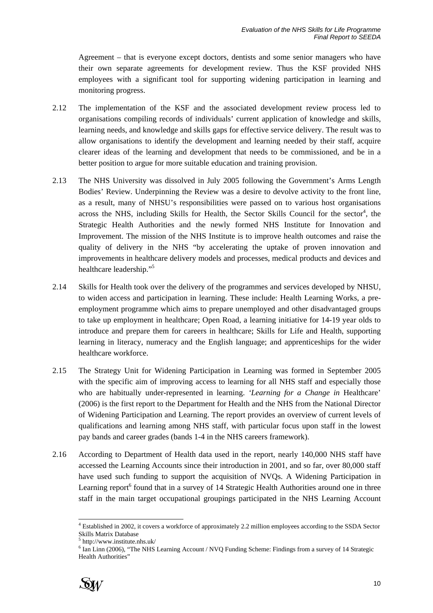Agreement – that is everyone except doctors, dentists and some senior managers who have their own separate agreements for development review. Thus the KSF provided NHS employees with a significant tool for supporting widening participation in learning and monitoring progress.

- 2.12 The implementation of the KSF and the associated development review process led to organisations compiling records of individuals' current application of knowledge and skills, learning needs, and knowledge and skills gaps for effective service delivery. The result was to allow organisations to identify the development and learning needed by their staff, acquire clearer ideas of the learning and development that needs to be commissioned, and be in a better position to argue for more suitable education and training provision.
- 2.13 The NHS University was dissolved in July 2005 following the Government's Arms Length Bodies' Review. Underpinning the Review was a desire to devolve activity to the front line, as a result, many of NHSU's responsibilities were passed on to various host organisations across the NHS, including Skills for Health, the Sector Skills Council for the sector<sup>4</sup>, the Strategic Health Authorities and the newly formed NHS Institute for Innovation and Improvement. The mission of the NHS Institute is to improve health outcomes and raise the quality of delivery in the NHS "by accelerating the uptake of proven innovation and improvements in healthcare delivery models and processes, medical products and devices and healthcare leadership."<sup>5</sup>
- 2.14 Skills for Health took over the delivery of the programmes and services developed by NHSU, to widen access and participation in learning. These include: Health Learning Works, a preemployment programme which aims to prepare unemployed and other disadvantaged groups to take up employment in healthcare; Open Road, a learning initiative for 14-19 year olds to introduce and prepare them for careers in healthcare; Skills for Life and Health, supporting learning in literacy, numeracy and the English language; and apprenticeships for the wider healthcare workforce.
- 2.15 The Strategy Unit for Widening Participation in Learning was formed in September 2005 with the specific aim of improving access to learning for all NHS staff and especially those who are habitually under-represented in learning. *'Learning for a Change in* Healthcare' (2006) is the first report to the Department for Health and the NHS from the National Director of Widening Participation and Learning. The report provides an overview of current levels of qualifications and learning among NHS staff, with particular focus upon staff in the lowest pay bands and career grades (bands 1-4 in the NHS careers framework).
- 2.16 According to Department of Health data used in the report, nearly 140,000 NHS staff have accessed the Learning Accounts since their introduction in 2001, and so far, over 80,000 staff have used such funding to support the acquisition of NVQs. A Widening Participation in Learning report<sup>6</sup> found that in a survey of 14 Strategic Health Authorities around one in three staff in the main target occupational groupings participated in the NHS Learning Account

<sup>&</sup>lt;sup>6</sup> Ian Linn (2006), "The NHS Learning Account / NVQ Funding Scheme: Findings from a survey of 14 Strategic Health Authorities"



l

<sup>&</sup>lt;sup>4</sup> Established in 2002, it covers a workforce of approximately 2.2 million employees according to the SSDA Sector Skills Matrix Database<br><sup>5</sup> http://www.institute.nhs.uk/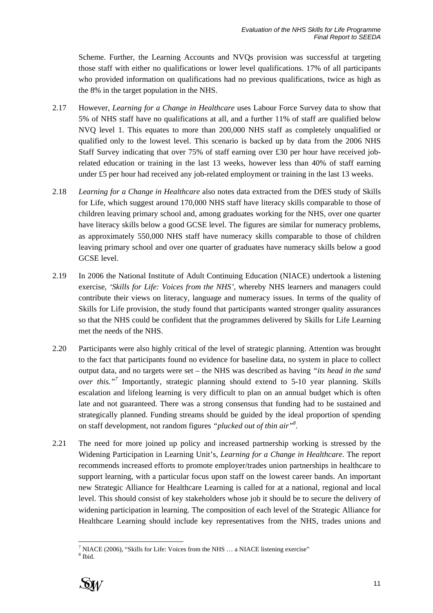Scheme. Further, the Learning Accounts and NVQs provision was successful at targeting those staff with either no qualifications or lower level qualifications. 17% of all participants who provided information on qualifications had no previous qualifications, twice as high as the 8% in the target population in the NHS.

- 2.17 However, *Learning for a Change in Healthcare* uses Labour Force Survey data to show that 5% of NHS staff have no qualifications at all, and a further 11% of staff are qualified below NVQ level 1. This equates to more than 200,000 NHS staff as completely unqualified or qualified only to the lowest level. This scenario is backed up by data from the 2006 NHS Staff Survey indicating that over 75% of staff earning over £30 per hour have received jobrelated education or training in the last 13 weeks, however less than 40% of staff earning under £5 per hour had received any job-related employment or training in the last 13 weeks.
- 2.18 *Learning for a Change in Healthcare* also notes data extracted from the DfES study of Skills for Life, which suggest around 170,000 NHS staff have literacy skills comparable to those of children leaving primary school and, among graduates working for the NHS, over one quarter have literacy skills below a good GCSE level. The figures are similar for numeracy problems, as approximately 550,000 NHS staff have numeracy skills comparable to those of children leaving primary school and over one quarter of graduates have numeracy skills below a good GCSE level.
- 2.19 In 2006 the National Institute of Adult Continuing Education (NIACE) undertook a listening exercise, *'Skills for Life: Voices from the NHS'*, whereby NHS learners and managers could contribute their views on literacy, language and numeracy issues. In terms of the quality of Skills for Life provision, the study found that participants wanted stronger quality assurances so that the NHS could be confident that the programmes delivered by Skills for Life Learning met the needs of the NHS.
- 2.20 Participants were also highly critical of the level of strategic planning. Attention was brought to the fact that participants found no evidence for baseline data, no system in place to collect output data, and no targets were set – the NHS was described as having *"its head in the sand over this."<sup>7</sup>* Importantly, strategic planning should extend to 5-10 year planning. Skills escalation and lifelong learning is very difficult to plan on an annual budget which is often late and not guaranteed. There was a strong consensus that funding had to be sustained and strategically planned. Funding streams should be guided by the ideal proportion of spending on staff development, not random figures *"plucked out of thin air"8* .
- 2.21 The need for more joined up policy and increased partnership working is stressed by the Widening Participation in Learning Unit's, *Learning for a Change in Healthcare*. The report recommends increased efforts to promote employer/trades union partnerships in healthcare to support learning, with a particular focus upon staff on the lowest career bands. An important new Strategic Alliance for Healthcare Learning is called for at a national, regional and local level. This should consist of key stakeholders whose job it should be to secure the delivery of widening participation in learning. The composition of each level of the Strategic Alliance for Healthcare Learning should include key representatives from the NHS, trades unions and

<sup>&</sup>lt;sup>8</sup> Ibid.



l <sup>7</sup> NIACE (2006), "Skills for Life: Voices from the NHS ... a NIACE listening exercise"  $8 \text{ H}$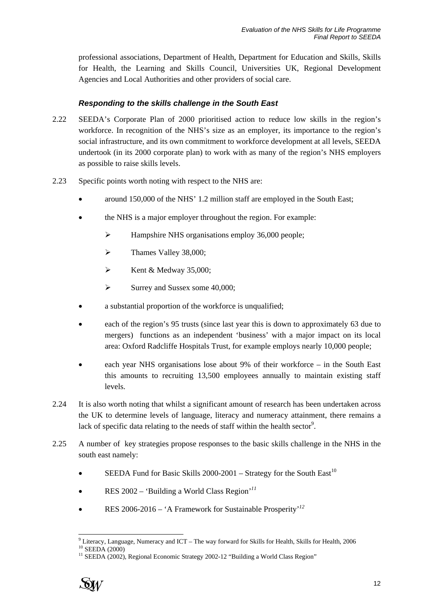professional associations, Department of Health, Department for Education and Skills, Skills for Health, the Learning and Skills Council, Universities UK, Regional Development Agencies and Local Authorities and other providers of social care.

#### *Responding to the skills challenge in the South East*

- 2.22 SEEDA's Corporate Plan of 2000 prioritised action to reduce low skills in the region's workforce. In recognition of the NHS's size as an employer, its importance to the region's social infrastructure, and its own commitment to workforce development at all levels, SEEDA undertook (in its 2000 corporate plan) to work with as many of the region's NHS employers as possible to raise skills levels.
- 2.23 Specific points worth noting with respect to the NHS are:
	- around 150,000 of the NHS' 1.2 million staff are employed in the South East;
	- the NHS is a major employer throughout the region. For example:
		- ¾ Hampshire NHS organisations employ 36,000 people;
		- $\blacktriangleright$  Thames Valley 38,000:
		- $\blacktriangleright$  Kent & Medway 35,000;
		- $\blacktriangleright$  Surrey and Sussex some 40,000;
	- a substantial proportion of the workforce is unqualified;
	- each of the region's 95 trusts (since last year this is down to approximately 63 due to mergers) functions as an independent 'business' with a major impact on its local area: Oxford Radcliffe Hospitals Trust, for example employs nearly 10,000 people;
	- each year NHS organisations lose about 9% of their workforce in the South East this amounts to recruiting 13,500 employees annually to maintain existing staff levels.
- 2.24 It is also worth noting that whilst a significant amount of research has been undertaken across the UK to determine levels of language, literacy and numeracy attainment, there remains a lack of specific data relating to the needs of staff within the health sector<sup>9</sup>.
- 2.25 A number of key strategies propose responses to the basic skills challenge in the NHS in the south east namely:
	- SEEDA Fund for Basic Skills  $2000-2001$  Strategy for the South East<sup>10</sup>
	- RES 2002 'Building a World Class Region'*<sup>11</sup>*
	- RES 2006-2016 'A Framework for Sustainable Prosperity'*<sup>12</sup>*



l

<sup>&</sup>lt;sup>9</sup> Literacy, Language, Numeracy and ICT – The way forward for Skills for Health, Skills for Health, 2006<br><sup>10</sup> SEEDA (2000) <sup>10</sup> SEEDA (2000)<br><sup>11</sup> SEEDA (2002), Regional Economic Strategy 2002-12 "Building a World Class Region"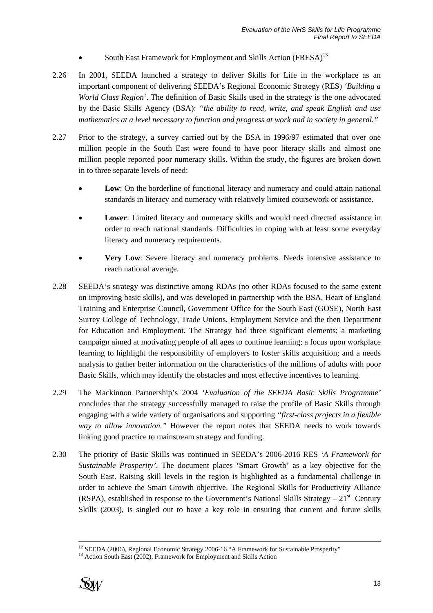- South East Framework for Employment and Skills Action (FRESA)<sup>13</sup>
- 2.26 In 2001, SEEDA launched a strategy to deliver Skills for Life in the workplace as an important component of delivering SEEDA's Regional Economic Strategy (RES) *'Building a World Class Region'*. The definition of Basic Skills used in the strategy is the one advocated by the Basic Skills Agency (BSA): *"the ability to read, write, and speak English and use mathematics at a level necessary to function and progress at work and in society in general."*
- 2.27 Prior to the strategy, a survey carried out by the BSA in 1996/97 estimated that over one million people in the South East were found to have poor literacy skills and almost one million people reported poor numeracy skills. Within the study, the figures are broken down in to three separate levels of need:
	- **Low**: On the borderline of functional literacy and numeracy and could attain national standards in literacy and numeracy with relatively limited coursework or assistance.
	- **Lower**: Limited literacy and numeracy skills and would need directed assistance in order to reach national standards. Difficulties in coping with at least some everyday literacy and numeracy requirements.
	- **Very Low**: Severe literacy and numeracy problems. Needs intensive assistance to reach national average.
- 2.28 SEEDA's strategy was distinctive among RDAs (no other RDAs focused to the same extent on improving basic skills), and was developed in partnership with the BSA, Heart of England Training and Enterprise Council, Government Office for the South East (GOSE), North East Surrey College of Technology, Trade Unions, Employment Service and the then Department for Education and Employment. The Strategy had three significant elements; a marketing campaign aimed at motivating people of all ages to continue learning; a focus upon workplace learning to highlight the responsibility of employers to foster skills acquisition; and a needs analysis to gather better information on the characteristics of the millions of adults with poor Basic Skills, which may identify the obstacles and most effective incentives to learning.
- 2.29 The Mackinnon Partnership's 2004 *'Evaluation of the SEEDA Basic Skills Programme'* concludes that the strategy successfully managed to raise the profile of Basic Skills through engaging with a wide variety of organisations and supporting *"first-class projects in a flexible way to allow innovation."* However the report notes that SEEDA needs to work towards linking good practice to mainstream strategy and funding.
- 2.30 The priority of Basic Skills was continued in SEEDA's 2006-2016 RES *'A Framework for Sustainable Prosperity'*. The document places 'Smart Growth' as a key objective for the South East. Raising skill levels in the region is highlighted as a fundamental challenge in order to achieve the Smart Growth objective. The Regional Skills for Productivity Alliance (RSPA), established in response to the Government's National Skills Strategy –  $21<sup>st</sup>$  Century Skills (2003), is singled out to have a key role in ensuring that current and future skills



<sup>&</sup>lt;sup>12</sup> SEEDA (2006), Regional Economic Strategy 2006-16 "A Framework for Sustainable Prosperity" <sup>13</sup> Action South East (2002), Framework for Employment and Skills Action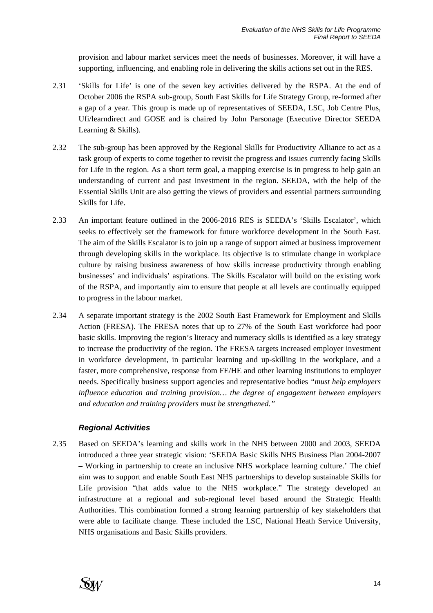provision and labour market services meet the needs of businesses. Moreover, it will have a supporting, influencing, and enabling role in delivering the skills actions set out in the RES.

- 2.31 'Skills for Life' is one of the seven key activities delivered by the RSPA. At the end of October 2006 the RSPA sub-group, South East Skills for Life Strategy Group, re-formed after a gap of a year. This group is made up of representatives of SEEDA, LSC, Job Centre Plus, Ufi/learndirect and GOSE and is chaired by John Parsonage (Executive Director SEEDA Learning & Skills).
- 2.32 The sub-group has been approved by the Regional Skills for Productivity Alliance to act as a task group of experts to come together to revisit the progress and issues currently facing Skills for Life in the region. As a short term goal, a mapping exercise is in progress to help gain an understanding of current and past investment in the region. SEEDA, with the help of the Essential Skills Unit are also getting the views of providers and essential partners surrounding Skills for Life.
- 2.33 An important feature outlined in the 2006-2016 RES is SEEDA's 'Skills Escalator', which seeks to effectively set the framework for future workforce development in the South East. The aim of the Skills Escalator is to join up a range of support aimed at business improvement through developing skills in the workplace. Its objective is to stimulate change in workplace culture by raising business awareness of how skills increase productivity through enabling businesses' and individuals' aspirations. The Skills Escalator will build on the existing work of the RSPA, and importantly aim to ensure that people at all levels are continually equipped to progress in the labour market.
- 2.34 A separate important strategy is the 2002 South East Framework for Employment and Skills Action (FRESA). The FRESA notes that up to 27% of the South East workforce had poor basic skills. Improving the region's literacy and numeracy skills is identified as a key strategy to increase the productivity of the region. The FRESA targets increased employer investment in workforce development, in particular learning and up-skilling in the workplace, and a faster, more comprehensive, response from FE/HE and other learning institutions to employer needs. Specifically business support agencies and representative bodies *"must help employers influence education and training provision… the degree of engagement between employers and education and training providers must be strengthened."*

#### *Regional Activities*

2.35 Based on SEEDA's learning and skills work in the NHS between 2000 and 2003, SEEDA introduced a three year strategic vision: 'SEEDA Basic Skills NHS Business Plan 2004-2007 – Working in partnership to create an inclusive NHS workplace learning culture.' The chief aim was to support and enable South East NHS partnerships to develop sustainable Skills for Life provision "that adds value to the NHS workplace." The strategy developed an infrastructure at a regional and sub-regional level based around the Strategic Health Authorities. This combination formed a strong learning partnership of key stakeholders that were able to facilitate change. These included the LSC, National Heath Service University, NHS organisations and Basic Skills providers.

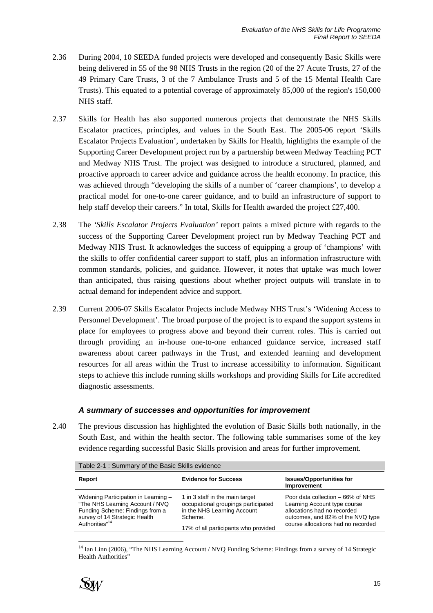- 2.36 During 2004, 10 SEEDA funded projects were developed and consequently Basic Skills were being delivered in 55 of the 98 NHS Trusts in the region (20 of the 27 Acute Trusts, 27 of the 49 Primary Care Trusts, 3 of the 7 Ambulance Trusts and 5 of the 15 Mental Health Care Trusts). This equated to a potential coverage of approximately 85,000 of the region's 150,000 NHS staff.
- 2.37 Skills for Health has also supported numerous projects that demonstrate the NHS Skills Escalator practices, principles, and values in the South East. The 2005-06 report 'Skills Escalator Projects Evaluation', undertaken by Skills for Health, highlights the example of the Supporting Career Development project run by a partnership between Medway Teaching PCT and Medway NHS Trust. The project was designed to introduce a structured, planned, and proactive approach to career advice and guidance across the health economy. In practice, this was achieved through "developing the skills of a number of 'career champions', to develop a practical model for one-to-one career guidance, and to build an infrastructure of support to help staff develop their careers." In total, Skills for Health awarded the project £27,400.
- 2.38 The *'Skills Escalator Projects Evaluation'* report paints a mixed picture with regards to the success of the Supporting Career Development project run by Medway Teaching PCT and Medway NHS Trust. It acknowledges the success of equipping a group of 'champions' with the skills to offer confidential career support to staff, plus an information infrastructure with common standards, policies, and guidance. However, it notes that uptake was much lower than anticipated, thus raising questions about whether project outputs will translate in to actual demand for independent advice and support.
- 2.39 Current 2006-07 Skills Escalator Projects include Medway NHS Trust's 'Widening Access to Personnel Development'. The broad purpose of the project is to expand the support systems in place for employees to progress above and beyond their current roles. This is carried out through providing an in-house one-to-one enhanced guidance service, increased staff awareness about career pathways in the Trust, and extended learning and development resources for all areas within the Trust to increase accessibility to information. Significant steps to achieve this include running skills workshops and providing Skills for Life accredited diagnostic assessments.

#### *A summary of successes and opportunities for improvement*

2.40 The previous discussion has highlighted the evolution of Basic Skills both nationally, in the South East, and within the health sector. The following table summarises some of the key evidence regarding successful Basic Skills provision and areas for further improvement.

| Table 2-1 : Summary of the Basic Skills evidence                                                                                                                          |                                                                                                                                                          |                                                                                                                                                                             |  |
|---------------------------------------------------------------------------------------------------------------------------------------------------------------------------|----------------------------------------------------------------------------------------------------------------------------------------------------------|-----------------------------------------------------------------------------------------------------------------------------------------------------------------------------|--|
| Report                                                                                                                                                                    | <b>Evidence for Success</b>                                                                                                                              | <b>Issues/Opportunities for</b><br>Improvement                                                                                                                              |  |
| Widening Participation in Learning -<br>"The NHS Learning Account / NVQ<br>Funding Scheme: Findings from a<br>survey of 14 Strategic Health<br>Authorities" <sup>14</sup> | 1 in 3 staff in the main target<br>occupational groupings participated<br>in the NHS Learning Account<br>Scheme.<br>17% of all participants who provided | Poor data collection – 66% of NHS<br>Learning Account type course<br>allocations had no recorded<br>outcomes, and 82% of the NVQ type<br>course allocations had no recorded |  |

l <sup>14</sup> Ian Linn (2006), "The NHS Learning Account / NVO Funding Scheme: Findings from a survey of 14 Strategic Health Authorities"

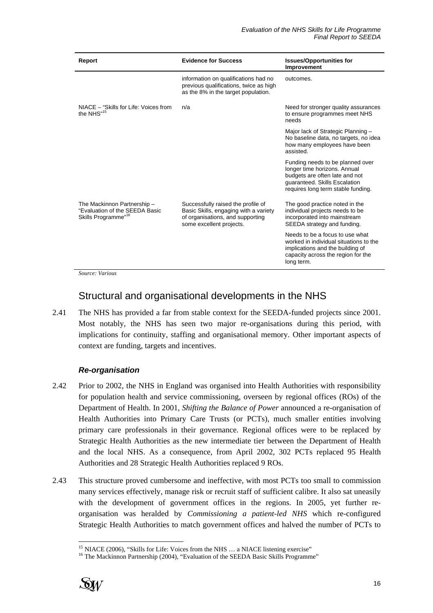| Report                                                                                           | <b>Evidence for Success</b>                                                                                                                 | <b>Issues/Opportunities for</b><br>Improvement                                                                                                                            |
|--------------------------------------------------------------------------------------------------|---------------------------------------------------------------------------------------------------------------------------------------------|---------------------------------------------------------------------------------------------------------------------------------------------------------------------------|
|                                                                                                  | information on qualifications had no<br>previous qualifications, twice as high<br>as the 8% in the target population.                       | outcomes.                                                                                                                                                                 |
| NIACE - "Skills for Life: Voices from<br>the NHS" <sup>15</sup>                                  | n/a                                                                                                                                         | Need for stronger quality assurances<br>to ensure programmes meet NHS<br>needs                                                                                            |
|                                                                                                  |                                                                                                                                             | Major lack of Strategic Planning -<br>No baseline data, no targets, no idea<br>how many employees have been<br>assisted.                                                  |
|                                                                                                  |                                                                                                                                             | Funding needs to be planned over<br>longer time horizons. Annual<br>budgets are often late and not<br>guaranteed. Skills Escalation<br>requires long term stable funding. |
| The Mackinnon Partnership -<br>"Evaluation of the SEEDA Basic<br>Skills Programme" <sup>16</sup> | Successfully raised the profile of<br>Basic Skills, engaging with a variety<br>of organisations, and supporting<br>some excellent projects. | The good practice noted in the<br>individual projects needs to be<br>incorporated into mainstream<br>SEEDA strategy and funding.                                          |
|                                                                                                  |                                                                                                                                             | Needs to be a focus to use what<br>worked in individual situations to the<br>implications and the building of<br>capacity across the region for the<br>long term.         |

*Source: Various* 

# Structural and organisational developments in the NHS

2.41 The NHS has provided a far from stable context for the SEEDA-funded projects since 2001. Most notably, the NHS has seen two major re-organisations during this period, with implications for continuity, staffing and organisational memory. Other important aspects of context are funding, targets and incentives.

#### *Re-organisation*

- 2.42 Prior to 2002, the NHS in England was organised into Health Authorities with responsibility for population health and service commissioning, overseen by regional offices (ROs) of the Department of Health. In 2001, *Shifting the Balance of Power* announced a re-organisation of Health Authorities into Primary Care Trusts (or PCTs), much smaller entities involving primary care professionals in their governance. Regional offices were to be replaced by Strategic Health Authorities as the new intermediate tier between the Department of Health and the local NHS. As a consequence, from April 2002, 302 PCTs replaced 95 Health Authorities and 28 Strategic Health Authorities replaced 9 ROs.
- 2.43 This structure proved cumbersome and ineffective, with most PCTs too small to commission many services effectively, manage risk or recruit staff of sufficient calibre. It also sat uneasily with the development of government offices in the regions. In 2005, yet further reorganisation was heralded by *Commissioning a patient-led NHS* which re-configured Strategic Health Authorities to match government offices and halved the number of PCTs to

<sup>&</sup>lt;sup>15</sup> NIACE (2006), "Skills for Life: Voices from the NHS ... a NIACE listening exercise" 16 The Mackinnon Partnership (2004), "Evaluation of the SEEDA Basic Skills Programme"



l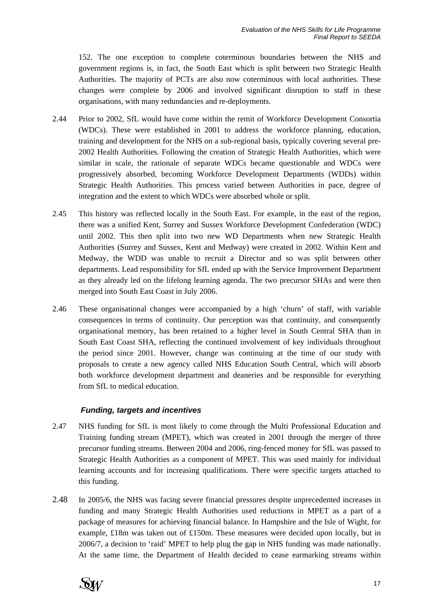152. The one exception to complete coterminous boundaries between the NHS and government regions is, in fact, the South East which is split between two Strategic Health Authorities. The majority of PCTs are also now coterminous with local authorities. These changes were complete by 2006 and involved significant disruption to staff in these organisations, with many redundancies and re-deployments.

- 2.44 Prior to 2002, SfL would have come within the remit of Workforce Development Consortia (WDCs). These were established in 2001 to address the workforce planning, education, training and development for the NHS on a sub-regional basis, typically covering several pre-2002 Health Authorities. Following the creation of Strategic Health Authorities, which were similar in scale, the rationale of separate WDCs became questionable and WDCs were progressively absorbed, becoming Workforce Development Departments (WDDs) within Strategic Health Authorities. This process varied between Authorities in pace, degree of integration and the extent to which WDCs were absorbed whole or split.
- 2.45 This history was reflected locally in the South East. For example, in the east of the region, there was a unified Kent, Surrey and Sussex Workforce Development Confederation (WDC) until 2002. This then split into two new WD Departments when new Strategic Health Authorities (Surrey and Sussex, Kent and Medway) were created in 2002. Within Kent and Medway, the WDD was unable to recruit a Director and so was split between other departments. Lead responsibility for SfL ended up with the Service Improvement Department as they already led on the lifelong learning agenda. The two precursor SHAs and were then merged into South East Coast in July 2006.
- 2.46 These organisational changes were accompanied by a high 'churn' of staff, with variable consequences in terms of continuity. Our perception was that continuity, and consequently organisational memory, has been retained to a higher level in South Central SHA than in South East Coast SHA, reflecting the continued involvement of key individuals throughout the period since 2001. However, change was continuing at the time of our study with proposals to create a new agency called NHS Education South Central, which will absorb both workforce development department and deaneries and be responsible for everything from SfL to medical education.

#### *Funding, targets and incentives*

- 2.47 NHS funding for SfL is most likely to come through the Multi Professional Education and Training funding stream (MPET), which was created in 2001 through the merger of three precursor funding streams. Between 2004 and 2006, ring-fenced money for SfL was passed to Strategic Health Authorities as a component of MPET. This was used mainly for individual learning accounts and for increasing qualifications. There were specific targets attached to this funding.
- 2.48 In 2005/6, the NHS was facing severe financial pressures despite unprecedented increases in funding and many Strategic Health Authorities used reductions in MPET as a part of a package of measures for achieving financial balance. In Hampshire and the Isle of Wight, for example, £18m was taken out of £150m. These measures were decided upon locally, but in 2006/7, a decision to 'raid' MPET to help plug the gap in NHS funding was made nationally. At the same time, the Department of Health decided to cease earmarking streams within

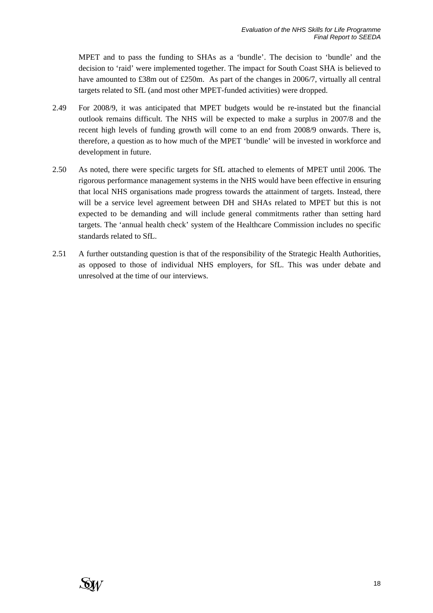MPET and to pass the funding to SHAs as a 'bundle'. The decision to 'bundle' and the decision to 'raid' were implemented together. The impact for South Coast SHA is believed to have amounted to £38m out of £250m. As part of the changes in 2006/7, virtually all central targets related to SfL (and most other MPET-funded activities) were dropped.

- 2.49 For 2008/9, it was anticipated that MPET budgets would be re-instated but the financial outlook remains difficult. The NHS will be expected to make a surplus in 2007/8 and the recent high levels of funding growth will come to an end from 2008/9 onwards. There is, therefore, a question as to how much of the MPET 'bundle' will be invested in workforce and development in future.
- 2.50 As noted, there were specific targets for SfL attached to elements of MPET until 2006. The rigorous performance management systems in the NHS would have been effective in ensuring that local NHS organisations made progress towards the attainment of targets. Instead, there will be a service level agreement between DH and SHAs related to MPET but this is not expected to be demanding and will include general commitments rather than setting hard targets. The 'annual health check' system of the Healthcare Commission includes no specific standards related to SfL.
- 2.51 A further outstanding question is that of the responsibility of the Strategic Health Authorities, as opposed to those of individual NHS employers, for SfL. This was under debate and unresolved at the time of our interviews.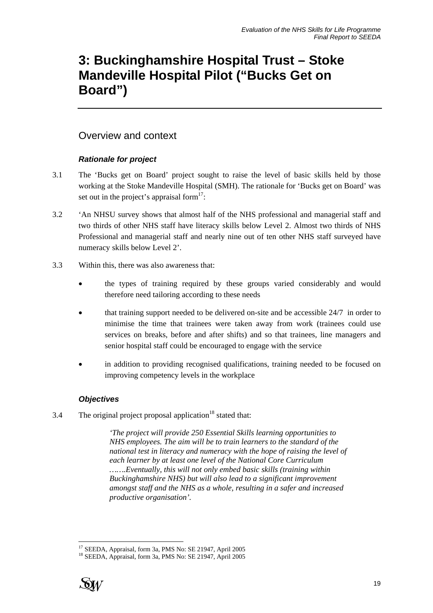# **3: Buckinghamshire Hospital Trust – Stoke Mandeville Hospital Pilot ("Bucks Get on Board")**

## Overview and context

#### *Rationale for project*

- 3.1 The 'Bucks get on Board' project sought to raise the level of basic skills held by those working at the Stoke Mandeville Hospital (SMH). The rationale for 'Bucks get on Board' was set out in the project's appraisal form $17$ :
- 3.2 'An NHSU survey shows that almost half of the NHS professional and managerial staff and two thirds of other NHS staff have literacy skills below Level 2. Almost two thirds of NHS Professional and managerial staff and nearly nine out of ten other NHS staff surveyed have numeracy skills below Level 2'.
- 3.3 Within this, there was also awareness that:
	- the types of training required by these groups varied considerably and would therefore need tailoring according to these needs
	- that training support needed to be delivered on-site and be accessible 24/7 in order to minimise the time that trainees were taken away from work (trainees could use services on breaks, before and after shifts) and so that trainees, line managers and senior hospital staff could be encouraged to engage with the service
	- in addition to providing recognised qualifications, training needed to be focused on improving competency levels in the workplace

### *Objectives*

3.4 The original project proposal application<sup>18</sup> stated that:

*'The project will provide 250 Essential Skills learning opportunities to NHS employees. The aim will be to train learners to the standard of the national test in literacy and numeracy with the hope of raising the level of each learner by at least one level of the National Core Curriculum …….Eventually, this will not only embed basic skills (training within Buckinghamshire NHS) but will also lead to a significant improvement amongst staff and the NHS as a whole, resulting in a safer and increased productive organisation'.* 

<sup>18</sup> SEEDA, Appraisal, form 3a, PMS No: SE 21947, April 2005



l 17 SEEDA, Appraisal, form 3a, PMS No: SE 21947, April 2005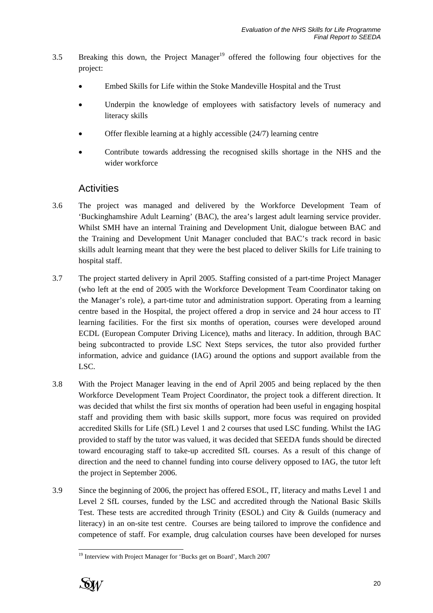- 3.5 Breaking this down, the Project Manager<sup>19</sup> offered the following four objectives for the project:
	- Embed Skills for Life within the Stoke Mandeville Hospital and the Trust
	- Underpin the knowledge of employees with satisfactory levels of numeracy and literacy skills
	- Offer flexible learning at a highly accessible (24/7) learning centre
	- Contribute towards addressing the recognised skills shortage in the NHS and the wider workforce

### **Activities**

- 3.6 The project was managed and delivered by the Workforce Development Team of 'Buckinghamshire Adult Learning' (BAC), the area's largest adult learning service provider. Whilst SMH have an internal Training and Development Unit, dialogue between BAC and the Training and Development Unit Manager concluded that BAC's track record in basic skills adult learning meant that they were the best placed to deliver Skills for Life training to hospital staff.
- 3.7 The project started delivery in April 2005. Staffing consisted of a part-time Project Manager (who left at the end of 2005 with the Workforce Development Team Coordinator taking on the Manager's role), a part-time tutor and administration support. Operating from a learning centre based in the Hospital, the project offered a drop in service and 24 hour access to IT learning facilities. For the first six months of operation, courses were developed around ECDL (European Computer Driving Licence), maths and literacy. In addition, through BAC being subcontracted to provide LSC Next Steps services, the tutor also provided further information, advice and guidance (IAG) around the options and support available from the LSC.
- 3.8 With the Project Manager leaving in the end of April 2005 and being replaced by the then Workforce Development Team Project Coordinator, the project took a different direction. It was decided that whilst the first six months of operation had been useful in engaging hospital staff and providing them with basic skills support, more focus was required on provided accredited Skills for Life (SfL) Level 1 and 2 courses that used LSC funding. Whilst the IAG provided to staff by the tutor was valued, it was decided that SEEDA funds should be directed toward encouraging staff to take-up accredited SfL courses. As a result of this change of direction and the need to channel funding into course delivery opposed to IAG, the tutor left the project in September 2006.
- 3.9 Since the beginning of 2006, the project has offered ESOL, IT, literacy and maths Level 1 and Level 2 SfL courses, funded by the LSC and accredited through the National Basic Skills Test. These tests are accredited through Trinity (ESOL) and City & Guilds (numeracy and literacy) in an on-site test centre. Courses are being tailored to improve the confidence and competence of staff. For example, drug calculation courses have been developed for nurses

<sup>&</sup>lt;sup>19</sup> Interview with Project Manager for 'Bucks get on Board', March 2007



l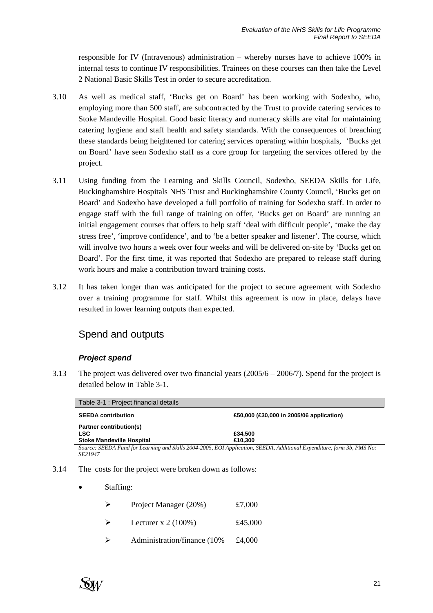responsible for IV (Intravenous) administration – whereby nurses have to achieve 100% in internal tests to continue IV responsibilities. Trainees on these courses can then take the Level 2 National Basic Skills Test in order to secure accreditation.

- 3.10 As well as medical staff, 'Bucks get on Board' has been working with Sodexho, who, employing more than 500 staff, are subcontracted by the Trust to provide catering services to Stoke Mandeville Hospital. Good basic literacy and numeracy skills are vital for maintaining catering hygiene and staff health and safety standards. With the consequences of breaching these standards being heightened for catering services operating within hospitals, 'Bucks get on Board' have seen Sodexho staff as a core group for targeting the services offered by the project.
- 3.11 Using funding from the Learning and Skills Council, Sodexho, SEEDA Skills for Life, Buckinghamshire Hospitals NHS Trust and Buckinghamshire County Council, 'Bucks get on Board' and Sodexho have developed a full portfolio of training for Sodexho staff. In order to engage staff with the full range of training on offer, 'Bucks get on Board' are running an initial engagement courses that offers to help staff 'deal with difficult people', 'make the day stress free', 'improve confidence', and to 'be a better speaker and listener'. The course, which will involve two hours a week over four weeks and will be delivered on-site by 'Bucks get on Board'. For the first time, it was reported that Sodexho are prepared to release staff during work hours and make a contribution toward training costs.
- 3.12 It has taken longer than was anticipated for the project to secure agreement with Sodexho over a training programme for staff. Whilst this agreement is now in place, delays have resulted in lower learning outputs than expected.

## Spend and outputs

#### *Project spend*

3.13 The project was delivered over two financial years  $(2005/6 - 2006/7)$ . Spend for the project is detailed below in Table 3-1.

| Table 3-1 : Project financial details |                                          |
|---------------------------------------|------------------------------------------|
| <b>SEEDA contribution</b>             | £50,000 (£30,000 in 2005/06 application) |
| Partner contribution(s)               |                                          |
| <b>LSC</b>                            | £34.500                                  |
| <b>Stoke Mandeville Hospital</b>      | £10,300                                  |

*Source: SEEDA Fund for Learning and Skills 2004-2005, EOI Application, SEEDA, Additional Expenditure, form 3b, PMS No: SE21947* 

- 3.14 The costs for the project were broken down as follows:
	- Staffing:

| $\triangleright$ | Project Manager (20%) | £7,000  |
|------------------|-----------------------|---------|
| └                | Lecturer x $2(100\%)$ | £45,000 |

 $\blacktriangleright$  Administration/finance (10% £4,000)

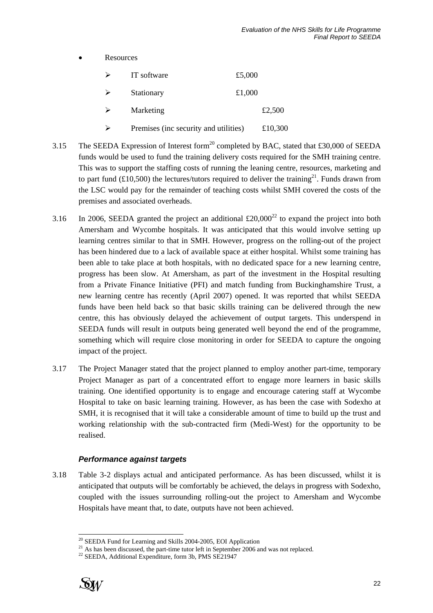**Resources** 

| IT software                           | £5,000 |         |
|---------------------------------------|--------|---------|
| Stationary                            | £1,000 |         |
| Marketing                             |        | £2,500  |
| Premises (inc security and utilities) |        | £10,300 |

- 3.15 The SEEDA Expression of Interest form<sup>20</sup> completed by BAC, stated that £30,000 of SEEDA funds would be used to fund the training delivery costs required for the SMH training centre. This was to support the staffing costs of running the leaning centre, resources, marketing and to part fund (£10,500) the lectures/tutors required to deliver the training<sup>21</sup>. Funds drawn from the LSC would pay for the remainder of teaching costs whilst SMH covered the costs of the premises and associated overheads.
- 3.16 In 2006, SEEDA granted the project an additional  $\text{\pounds}20,000^{22}$  to expand the project into both Amersham and Wycombe hospitals. It was anticipated that this would involve setting up learning centres similar to that in SMH. However, progress on the rolling-out of the project has been hindered due to a lack of available space at either hospital. Whilst some training has been able to take place at both hospitals, with no dedicated space for a new learning centre, progress has been slow. At Amersham, as part of the investment in the Hospital resulting from a Private Finance Initiative (PFI) and match funding from Buckinghamshire Trust, a new learning centre has recently (April 2007) opened. It was reported that whilst SEEDA funds have been held back so that basic skills training can be delivered through the new centre, this has obviously delayed the achievement of output targets. This underspend in SEEDA funds will result in outputs being generated well beyond the end of the programme, something which will require close monitoring in order for SEEDA to capture the ongoing impact of the project.
- 3.17 The Project Manager stated that the project planned to employ another part-time, temporary Project Manager as part of a concentrated effort to engage more learners in basic skills training. One identified opportunity is to engage and encourage catering staff at Wycombe Hospital to take on basic learning training. However, as has been the case with Sodexho at SMH, it is recognised that it will take a considerable amount of time to build up the trust and working relationship with the sub-contracted firm (Medi-West) for the opportunity to be realised.

#### *Performance against targets*

3.18 Table 3-2 displays actual and anticipated performance. As has been discussed, whilst it is anticipated that outputs will be comfortably be achieved, the delays in progress with Sodexho, coupled with the issues surrounding rolling-out the project to Amersham and Wycombe Hospitals have meant that, to date, outputs have not been achieved.



 $^{20}$  SEEDA Fund for Learning and Skills 2004-2005, EOI Application

<sup>&</sup>lt;sup>21</sup> As has been discussed, the part-time tutor left in September 2006 and was not replaced. <sup>22</sup> SEEDA, Additional Expenditure, form 3b, PMS SE21947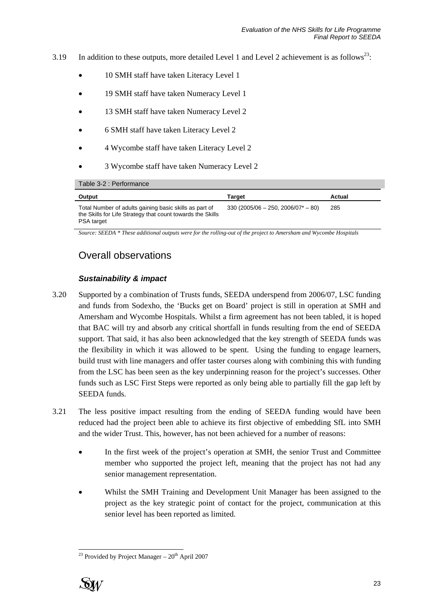- 3.19 In addition to these outputs, more detailed Level 1 and Level 2 achievement is as follows<sup>23</sup>:
	- 10 SMH staff have taken Literacy Level 1
	- 19 SMH staff have taken Numeracy Level 1
	- 13 SMH staff have taken Numeracy Level 2
	- 6 SMH staff have taken Literacy Level 2
	- 4 Wycombe staff have taken Literacy Level 2
	- 3 Wycombe staff have taken Numeracy Level 2

Table 3-2 : Performance

| Output                                                                                                                             | Tarɑet                                | Actual |
|------------------------------------------------------------------------------------------------------------------------------------|---------------------------------------|--------|
| Total Number of adults gaining basic skills as part of<br>the Skills for Life Strategy that count towards the Skills<br>PSA target | $330 (2005/06 - 250, 2006/07^* - 80)$ | 285    |

*Source: SEEDA \* These additional outputs were for the rolling-out of the project to Amersham and Wycombe Hospitals* 

## Overall observations

#### *Sustainability & impact*

- 3.20 Supported by a combination of Trusts funds, SEEDA underspend from 2006/07, LSC funding and funds from Sodexho, the 'Bucks get on Board' project is still in operation at SMH and Amersham and Wycombe Hospitals. Whilst a firm agreement has not been tabled, it is hoped that BAC will try and absorb any critical shortfall in funds resulting from the end of SEEDA support. That said, it has also been acknowledged that the key strength of SEEDA funds was the flexibility in which it was allowed to be spent. Using the funding to engage learners, build trust with line managers and offer taster courses along with combining this with funding from the LSC has been seen as the key underpinning reason for the project's successes. Other funds such as LSC First Steps were reported as only being able to partially fill the gap left by SEEDA funds.
- 3.21 The less positive impact resulting from the ending of SEEDA funding would have been reduced had the project been able to achieve its first objective of embedding SfL into SMH and the wider Trust. This, however, has not been achieved for a number of reasons:
	- In the first week of the project's operation at SMH, the senior Trust and Committee member who supported the project left, meaning that the project has not had any senior management representation.
	- Whilst the SMH Training and Development Unit Manager has been assigned to the project as the key strategic point of contact for the project, communication at this senior level has been reported as limited.

<sup>&</sup>lt;sup>23</sup> Provided by Project Manager  $-20<sup>th</sup>$  April 2007



l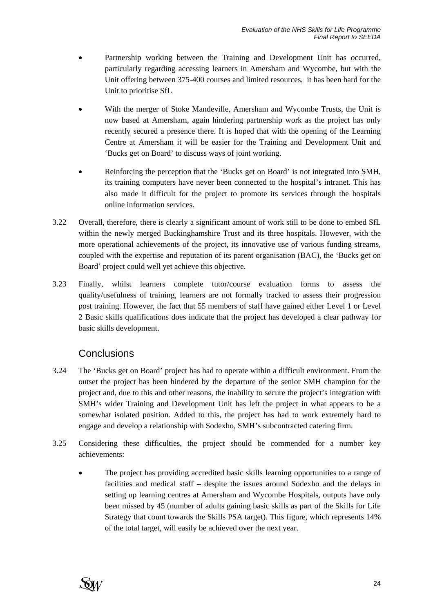- Partnership working between the Training and Development Unit has occurred, particularly regarding accessing learners in Amersham and Wycombe, but with the Unit offering between 375-400 courses and limited resources, it has been hard for the Unit to prioritise SfL
- With the merger of Stoke Mandeville, Amersham and Wycombe Trusts, the Unit is now based at Amersham, again hindering partnership work as the project has only recently secured a presence there. It is hoped that with the opening of the Learning Centre at Amersham it will be easier for the Training and Development Unit and 'Bucks get on Board' to discuss ways of joint working.
- Reinforcing the perception that the 'Bucks get on Board' is not integrated into SMH, its training computers have never been connected to the hospital's intranet. This has also made it difficult for the project to promote its services through the hospitals online information services.
- 3.22 Overall, therefore, there is clearly a significant amount of work still to be done to embed SfL within the newly merged Buckinghamshire Trust and its three hospitals. However, with the more operational achievements of the project, its innovative use of various funding streams, coupled with the expertise and reputation of its parent organisation (BAC), the 'Bucks get on Board' project could well yet achieve this objective.
- 3.23 Finally, whilst learners complete tutor/course evaluation forms to assess the quality/usefulness of training, learners are not formally tracked to assess their progression post training. However, the fact that 55 members of staff have gained either Level 1 or Level 2 Basic skills qualifications does indicate that the project has developed a clear pathway for basic skills development.

## **Conclusions**

- 3.24 The 'Bucks get on Board' project has had to operate within a difficult environment. From the outset the project has been hindered by the departure of the senior SMH champion for the project and, due to this and other reasons, the inability to secure the project's integration with SMH's wider Training and Development Unit has left the project in what appears to be a somewhat isolated position. Added to this, the project has had to work extremely hard to engage and develop a relationship with Sodexho, SMH's subcontracted catering firm.
- 3.25 Considering these difficulties, the project should be commended for a number key achievements:
	- The project has providing accredited basic skills learning opportunities to a range of facilities and medical staff – despite the issues around Sodexho and the delays in setting up learning centres at Amersham and Wycombe Hospitals, outputs have only been missed by 45 (number of adults gaining basic skills as part of the Skills for Life Strategy that count towards the Skills PSA target). This figure, which represents 14% of the total target, will easily be achieved over the next year.

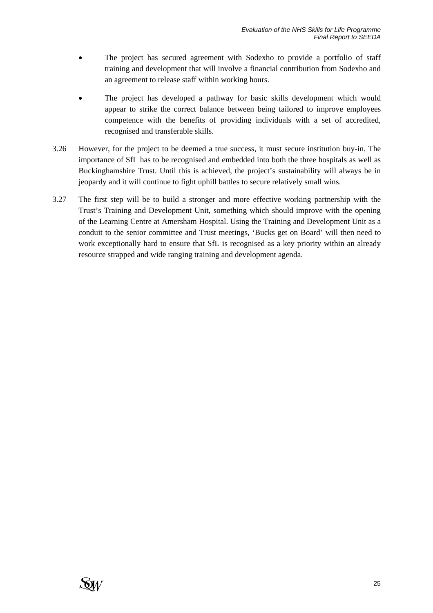- The project has secured agreement with Sodexho to provide a portfolio of staff training and development that will involve a financial contribution from Sodexho and an agreement to release staff within working hours.
- The project has developed a pathway for basic skills development which would appear to strike the correct balance between being tailored to improve employees competence with the benefits of providing individuals with a set of accredited, recognised and transferable skills.
- 3.26 However, for the project to be deemed a true success, it must secure institution buy-in. The importance of SfL has to be recognised and embedded into both the three hospitals as well as Buckinghamshire Trust. Until this is achieved, the project's sustainability will always be in jeopardy and it will continue to fight uphill battles to secure relatively small wins.
- 3.27 The first step will be to build a stronger and more effective working partnership with the Trust's Training and Development Unit, something which should improve with the opening of the Learning Centre at Amersham Hospital. Using the Training and Development Unit as a conduit to the senior committee and Trust meetings, 'Bucks get on Board' will then need to work exceptionally hard to ensure that SfL is recognised as a key priority within an already resource strapped and wide ranging training and development agenda.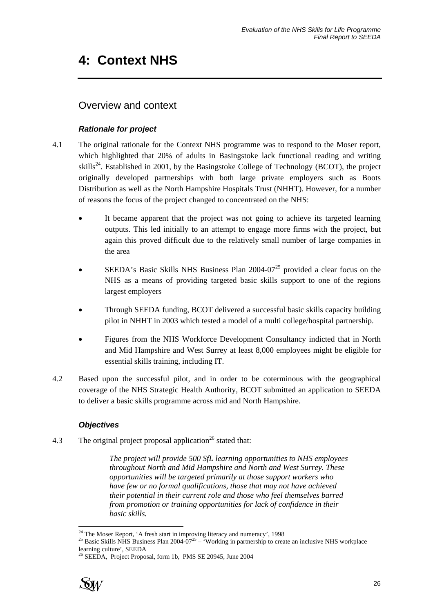# **4: Context NHS**

# Overview and context

### *Rationale for project*

- 4.1 The original rationale for the Context NHS programme was to respond to the Moser report, which highlighted that 20% of adults in Basingstoke lack functional reading and writing skills<sup>24</sup>. Established in 2001, by the Basingstoke College of Technology (BCOT), the project originally developed partnerships with both large private employers such as Boots Distribution as well as the North Hampshire Hospitals Trust (NHHT). However, for a number of reasons the focus of the project changed to concentrated on the NHS:
	- It became apparent that the project was not going to achieve its targeted learning outputs. This led initially to an attempt to engage more firms with the project, but again this proved difficult due to the relatively small number of large companies in the area
	- SEEDA's Basic Skills NHS Business Plan  $2004-07<sup>25</sup>$  provided a clear focus on the NHS as a means of providing targeted basic skills support to one of the regions largest employers
	- Through SEEDA funding, BCOT delivered a successful basic skills capacity building pilot in NHHT in 2003 which tested a model of a multi college/hospital partnership.
	- Figures from the NHS Workforce Development Consultancy indicted that in North and Mid Hampshire and West Surrey at least 8,000 employees might be eligible for essential skills training, including IT.
- 4.2 Based upon the successful pilot, and in order to be coterminous with the geographical coverage of the NHS Strategic Health Authority, BCOT submitted an application to SEEDA to deliver a basic skills programme across mid and North Hampshire.

### *Objectives*

4.3 The original project proposal application<sup>26</sup> stated that:

*The project will provide 500 SfL learning opportunities to NHS employees throughout North and Mid Hampshire and North and West Surrey. These opportunities will be targeted primarily at those support workers who have few or no formal qualifications, those that may not have achieved their potential in their current role and those who feel themselves barred from promotion or training opportunities for lack of confidence in their basic skills.* 

<sup>&</sup>lt;sup>26</sup> SEEDA, Project Proposal, form 1b, PMS SE 20945, June 2004



<sup>&</sup>lt;sup>24</sup> The Moser Report, 'A fresh start in improving literacy and numeracy', 1998

<sup>&</sup>lt;sup>25</sup> Basic Skills NHS Business Plan 2004-07<sup>25</sup> – 'Working in partnership to create an inclusive NHS workplace learning culture', SEEDA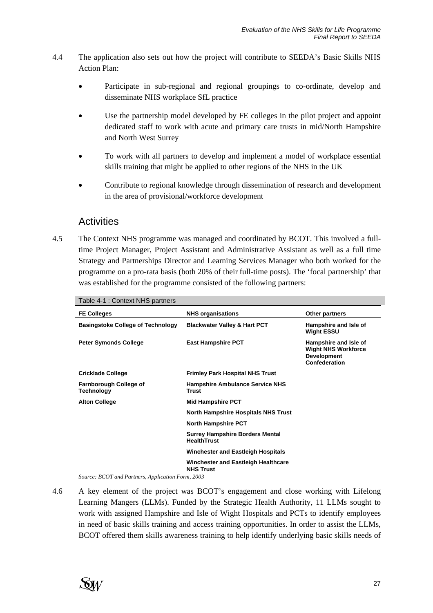- 4.4 The application also sets out how the project will contribute to SEEDA's Basic Skills NHS Action Plan:
	- Participate in sub-regional and regional groupings to co-ordinate, develop and disseminate NHS workplace SfL practice
	- Use the partnership model developed by FE colleges in the pilot project and appoint dedicated staff to work with acute and primary care trusts in mid/North Hampshire and North West Surrey
	- To work with all partners to develop and implement a model of workplace essential skills training that might be applied to other regions of the NHS in the UK
	- Contribute to regional knowledge through dissemination of research and development in the area of provisional/workforce development

## **Activities**

4.5 The Context NHS programme was managed and coordinated by BCOT. This involved a fulltime Project Manager, Project Assistant and Administrative Assistant as well as a full time Strategy and Partnerships Director and Learning Services Manager who both worked for the programme on a pro-rata basis (both 20% of their full-time posts). The 'focal partnership' that was established for the programme consisted of the following partners:

| Table 4-1 : Context NHS partners            |                                                              |                                                                                            |
|---------------------------------------------|--------------------------------------------------------------|--------------------------------------------------------------------------------------------|
| <b>FE Colleges</b>                          | <b>NHS organisations</b>                                     | Other partners                                                                             |
| <b>Basingstoke College of Technology</b>    | <b>Blackwater Valley &amp; Hart PCT</b>                      | Hampshire and Isle of<br><b>Wight ESSU</b>                                                 |
| <b>Peter Symonds College</b>                | <b>East Hampshire PCT</b>                                    | Hampshire and Isle of<br><b>Wight NHS Workforce</b><br><b>Development</b><br>Confederation |
| <b>Cricklade College</b>                    | <b>Frimley Park Hospital NHS Trust</b>                       |                                                                                            |
| <b>Farnborough College of</b><br>Technology | <b>Hampshire Ambulance Service NHS</b><br>Trust              |                                                                                            |
| <b>Alton College</b>                        | <b>Mid Hampshire PCT</b>                                     |                                                                                            |
|                                             | North Hampshire Hospitals NHS Trust                          |                                                                                            |
|                                             | <b>North Hampshire PCT</b>                                   |                                                                                            |
|                                             | <b>Surrey Hampshire Borders Mental</b><br><b>HealthTrust</b> |                                                                                            |
|                                             | <b>Winchester and Eastleigh Hospitals</b>                    |                                                                                            |
|                                             | Winchester and Eastleigh Healthcare<br><b>NHS Trust</b>      |                                                                                            |

*Source: BCOT and Partners, Application Form, 2003* 

4.6 A key element of the project was BCOT's engagement and close working with Lifelong Learning Mangers (LLMs). Funded by the Strategic Health Authority, 11 LLMs sought to work with assigned Hampshire and Isle of Wight Hospitals and PCTs to identify employees in need of basic skills training and access training opportunities. In order to assist the LLMs, BCOT offered them skills awareness training to help identify underlying basic skills needs of

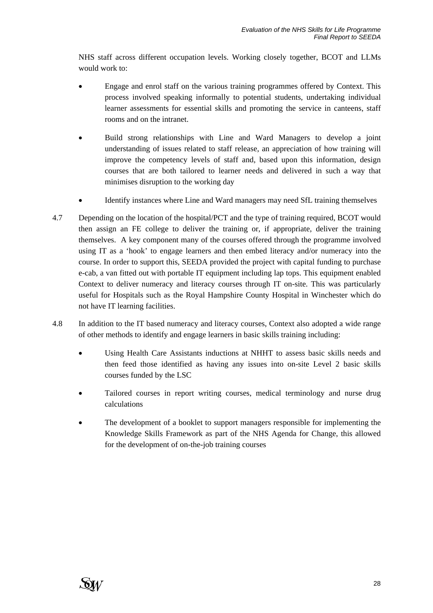NHS staff across different occupation levels. Working closely together, BCOT and LLMs would work to:

- Engage and enrol staff on the various training programmes offered by Context. This process involved speaking informally to potential students, undertaking individual learner assessments for essential skills and promoting the service in canteens, staff rooms and on the intranet.
- Build strong relationships with Line and Ward Managers to develop a joint understanding of issues related to staff release, an appreciation of how training will improve the competency levels of staff and, based upon this information, design courses that are both tailored to learner needs and delivered in such a way that minimises disruption to the working day
- Identify instances where Line and Ward managers may need SfL training themselves
- 4.7 Depending on the location of the hospital/PCT and the type of training required, BCOT would then assign an FE college to deliver the training or, if appropriate, deliver the training themselves. A key component many of the courses offered through the programme involved using IT as a 'hook' to engage learners and then embed literacy and/or numeracy into the course. In order to support this, SEEDA provided the project with capital funding to purchase e-cab, a van fitted out with portable IT equipment including lap tops. This equipment enabled Context to deliver numeracy and literacy courses through IT on-site. This was particularly useful for Hospitals such as the Royal Hampshire County Hospital in Winchester which do not have IT learning facilities.
- 4.8 In addition to the IT based numeracy and literacy courses, Context also adopted a wide range of other methods to identify and engage learners in basic skills training including:
	- Using Health Care Assistants inductions at NHHT to assess basic skills needs and then feed those identified as having any issues into on-site Level 2 basic skills courses funded by the LSC
	- Tailored courses in report writing courses, medical terminology and nurse drug calculations
	- The development of a booklet to support managers responsible for implementing the Knowledge Skills Framework as part of the NHS Agenda for Change, this allowed for the development of on-the-job training courses

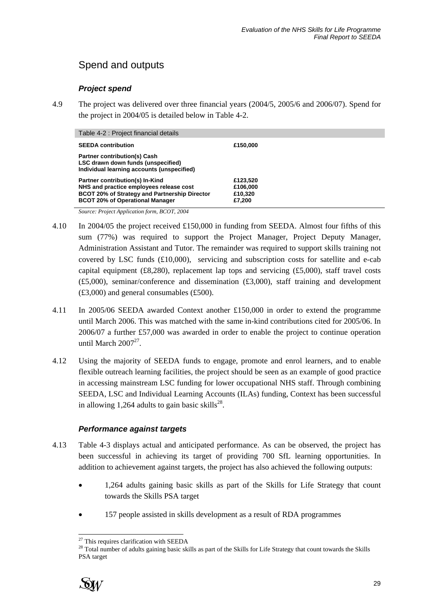# Spend and outputs

#### *Project spend*

4.9 The project was delivered over three financial years (2004/5, 2005/6 and 2006/07). Spend for the project in 2004/05 is detailed below in Table 4-2.

| Table 4-2 : Project financial details                                                                                                                                        |                                           |
|------------------------------------------------------------------------------------------------------------------------------------------------------------------------------|-------------------------------------------|
| <b>SEEDA</b> contribution                                                                                                                                                    | £150,000                                  |
| <b>Partner contribution(s) Cash</b><br>LSC drawn down funds (unspecified)<br>Individual learning accounts (unspecified)                                                      |                                           |
| Partner contribution(s) In-Kind<br>NHS and practice employees release cost<br><b>BCOT 20% of Strategy and Partnership Director</b><br><b>BCOT 20% of Operational Manager</b> | £123,520<br>£106,000<br>£10.320<br>£7,200 |

*Source: Project Application form, BCOT, 2004* 

- 4.10 In 2004/05 the project received £150,000 in funding from SEEDA. Almost four fifths of this sum (77%) was required to support the Project Manager, Project Deputy Manager, Administration Assistant and Tutor. The remainder was required to support skills training not covered by LSC funds  $(E10,000)$ , servicing and subscription costs for satellite and e-cab capital equipment (£8,280), replacement lap tops and servicing (£5,000), staff travel costs (£5,000), seminar/conference and dissemination (£3,000), staff training and development (£3,000) and general consumables (£500).
- 4.11 In 2005/06 SEEDA awarded Context another £150,000 in order to extend the programme until March 2006. This was matched with the same in-kind contributions cited for 2005/06. In 2006/07 a further £57,000 was awarded in order to enable the project to continue operation until March  $2007^{27}$ .
- 4.12 Using the majority of SEEDA funds to engage, promote and enrol learners, and to enable flexible outreach learning facilities, the project should be seen as an example of good practice in accessing mainstream LSC funding for lower occupational NHS staff. Through combining SEEDA, LSC and Individual Learning Accounts (ILAs) funding, Context has been successful in allowing 1,264 adults to gain basic skills $^{28}$ .

#### *Performance against targets*

- 4.13 Table 4-3 displays actual and anticipated performance. As can be observed, the project has been successful in achieving its target of providing 700 SfL learning opportunities. In addition to achievement against targets, the project has also achieved the following outputs:
	- 1,264 adults gaining basic skills as part of the Skills for Life Strategy that count towards the Skills PSA target
	- 157 people assisted in skills development as a result of RDA programmes

<sup>&</sup>lt;sup>28</sup> Total number of adults gaining basic skills as part of the Skills for Life Strategy that count towards the Skills PSA target



l  $27$  This requires clarification with SEEDA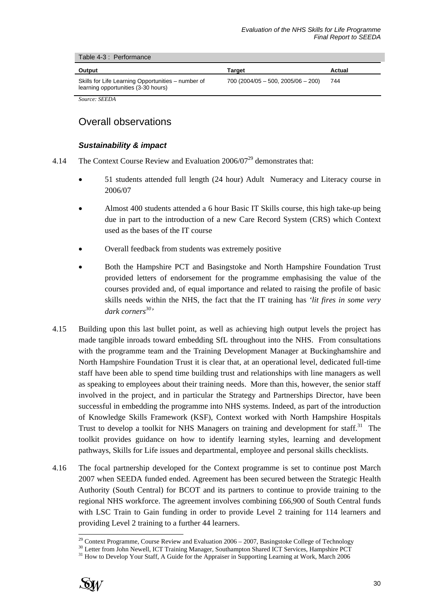|  | Table 4-3 : Performance |
|--|-------------------------|
|--|-------------------------|

| Output                                                                                    | Target                              | Actual |
|-------------------------------------------------------------------------------------------|-------------------------------------|--------|
| Skills for Life Learning Opportunities – number of<br>learning opportunities (3-30 hours) | $700(2004/05 - 500, 2005/06 - 200)$ | 744    |

*Source: SEEDA* 

## Overall observations

#### *Sustainability & impact*

- 4.14 The Context Course Review and Evaluation  $2006/07^{29}$  demonstrates that:
	- 51 students attended full length (24 hour) Adult Numeracy and Literacy course in 2006/07
	- Almost 400 students attended a 6 hour Basic IT Skills course, this high take-up being due in part to the introduction of a new Care Record System (CRS) which Context used as the bases of the IT course
	- Overall feedback from students was extremely positive
	- Both the Hampshire PCT and Basingstoke and North Hampshire Foundation Trust provided letters of endorsement for the programme emphasising the value of the courses provided and, of equal importance and related to raising the profile of basic skills needs within the NHS, the fact that the IT training has *'lit fires in some very dark corners30'*
- 4.15 Building upon this last bullet point, as well as achieving high output levels the project has made tangible inroads toward embedding SfL throughout into the NHS. From consultations with the programme team and the Training Development Manager at Buckinghamshire and North Hampshire Foundation Trust it is clear that, at an operational level, dedicated full-time staff have been able to spend time building trust and relationships with line managers as well as speaking to employees about their training needs. More than this, however, the senior staff involved in the project, and in particular the Strategy and Partnerships Director, have been successful in embedding the programme into NHS systems. Indeed, as part of the introduction of Knowledge Skills Framework (KSF), Context worked with North Hampshire Hospitals Trust to develop a toolkit for NHS Managers on training and development for staff.<sup>31</sup> The toolkit provides guidance on how to identify learning styles, learning and development pathways, Skills for Life issues and departmental, employee and personal skills checklists.
- 4.16 The focal partnership developed for the Context programme is set to continue post March 2007 when SEEDA funded ended. Agreement has been secured between the Strategic Health Authority (South Central) for BCOT and its partners to continue to provide training to the regional NHS workforce. The agreement involves combining £66,900 of South Central funds with LSC Train to Gain funding in order to provide Level 2 training for 114 learners and providing Level 2 training to a further 44 learners.

 $30$  Letter from John Newell, ICT Training Manager, Southampton Shared ICT Services, Hampshire PCT  $31$  How to Develop Your Staff, A Guide for the Appraiser in Supporting Learning at Work, March 2006



 $^{29}$  Context Programme, Course Review and Evaluation 2006 – 2007, Basingstoke College of Technology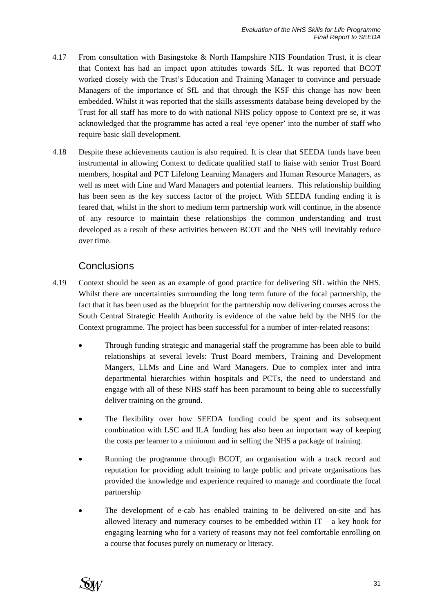- 4.17 From consultation with Basingstoke & North Hampshire NHS Foundation Trust, it is clear that Context has had an impact upon attitudes towards SfL. It was reported that BCOT worked closely with the Trust's Education and Training Manager to convince and persuade Managers of the importance of SfL and that through the KSF this change has now been embedded. Whilst it was reported that the skills assessments database being developed by the Trust for all staff has more to do with national NHS policy oppose to Context pre se, it was acknowledged that the programme has acted a real 'eye opener' into the number of staff who require basic skill development.
- 4.18 Despite these achievements caution is also required. It is clear that SEEDA funds have been instrumental in allowing Context to dedicate qualified staff to liaise with senior Trust Board members, hospital and PCT Lifelong Learning Managers and Human Resource Managers, as well as meet with Line and Ward Managers and potential learners. This relationship building has been seen as the key success factor of the project. With SEEDA funding ending it is feared that, whilst in the short to medium term partnership work will continue, in the absence of any resource to maintain these relationships the common understanding and trust developed as a result of these activities between BCOT and the NHS will inevitably reduce over time.

## **Conclusions**

- 4.19 Context should be seen as an example of good practice for delivering SfL within the NHS. Whilst there are uncertainties surrounding the long term future of the focal partnership, the fact that it has been used as the blueprint for the partnership now delivering courses across the South Central Strategic Health Authority is evidence of the value held by the NHS for the Context programme. The project has been successful for a number of inter-related reasons:
	- Through funding strategic and managerial staff the programme has been able to build relationships at several levels: Trust Board members, Training and Development Mangers, LLMs and Line and Ward Managers. Due to complex inter and intra departmental hierarchies within hospitals and PCTs, the need to understand and engage with all of these NHS staff has been paramount to being able to successfully deliver training on the ground.
	- The flexibility over how SEEDA funding could be spent and its subsequent combination with LSC and ILA funding has also been an important way of keeping the costs per learner to a minimum and in selling the NHS a package of training.
	- Running the programme through BCOT, an organisation with a track record and reputation for providing adult training to large public and private organisations has provided the knowledge and experience required to manage and coordinate the focal partnership
	- The development of e-cab has enabled training to be delivered on-site and has allowed literacy and numeracy courses to be embedded within  $IT - a$  key hook for engaging learning who for a variety of reasons may not feel comfortable enrolling on a course that focuses purely on numeracy or literacy.

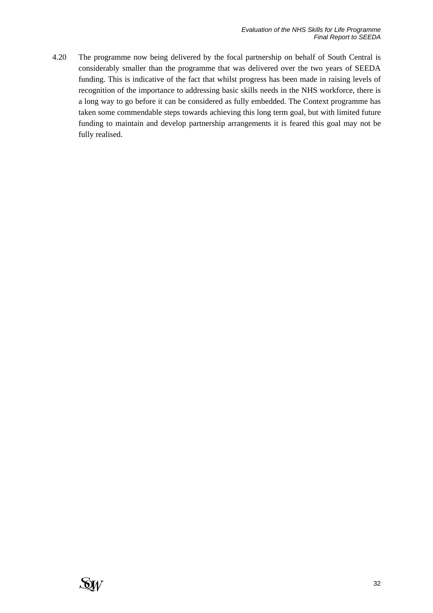4.20 The programme now being delivered by the focal partnership on behalf of South Central is considerably smaller than the programme that was delivered over the two years of SEEDA funding. This is indicative of the fact that whilst progress has been made in raising levels of recognition of the importance to addressing basic skills needs in the NHS workforce, there is a long way to go before it can be considered as fully embedded. The Context programme has taken some commendable steps towards achieving this long term goal, but with limited future funding to maintain and develop partnership arrangements it is feared this goal may not be fully realised.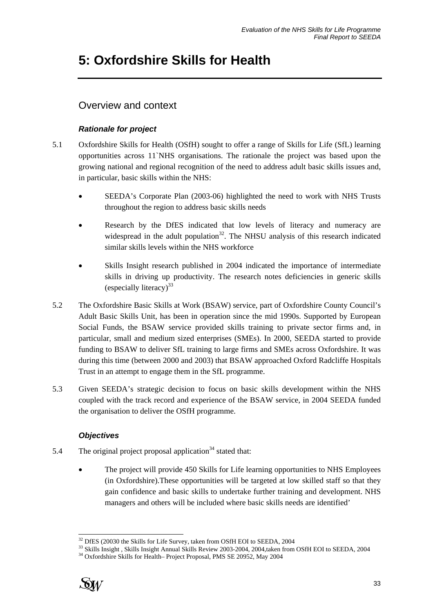# **5: Oxfordshire Skills for Health**

# Overview and context

### *Rationale for project*

- 5.1 Oxfordshire Skills for Health (OSfH) sought to offer a range of Skills for Life (SfL) learning opportunities across 11`NHS organisations. The rationale the project was based upon the growing national and regional recognition of the need to address adult basic skills issues and, in particular, basic skills within the NHS:
	- SEEDA's Corporate Plan (2003-06) highlighted the need to work with NHS Trusts throughout the region to address basic skills needs
	- Research by the DfES indicated that low levels of literacy and numeracy are widespread in the adult population<sup>32</sup>. The NHSU analysis of this research indicated similar skills levels within the NHS workforce
	- Skills Insight research published in 2004 indicated the importance of intermediate skills in driving up productivity. The research notes deficiencies in generic skills (especially literacy) $33$
- 5.2 The Oxfordshire Basic Skills at Work (BSAW) service, part of Oxfordshire County Council's Adult Basic Skills Unit, has been in operation since the mid 1990s. Supported by European Social Funds, the BSAW service provided skills training to private sector firms and, in particular, small and medium sized enterprises (SMEs). In 2000, SEEDA started to provide funding to BSAW to deliver SfL training to large firms and SMEs across Oxfordshire. It was during this time (between 2000 and 2003) that BSAW approached Oxford Radcliffe Hospitals Trust in an attempt to engage them in the SfL programme.
- 5.3 Given SEEDA's strategic decision to focus on basic skills development within the NHS coupled with the track record and experience of the BSAW service, in 2004 SEEDA funded the organisation to deliver the OSfH programme.

### *Objectives*

- 5.4 The original project proposal application<sup>34</sup> stated that:
	- The project will provide 450 Skills for Life learning opportunities to NHS Employees (in Oxfordshire).These opportunities will be targeted at low skilled staff so that they gain confidence and basic skills to undertake further training and development. NHS managers and others will be included where basic skills needs are identified'



<sup>&</sup>lt;sup>32</sup> DfES (20030 the Skills for Life Survey, taken from OSfH EOI to SEEDA, 2004

<sup>&</sup>lt;sup>33</sup> Skills Insight, Skills Insight Annual Skills Review 2003-2004, 2004, taken from OSfH EOI to SEEDA, 2004 <sup>34</sup> Oxfordshire Skills for Health– Project Proposal, PMS SE 20952, May 2004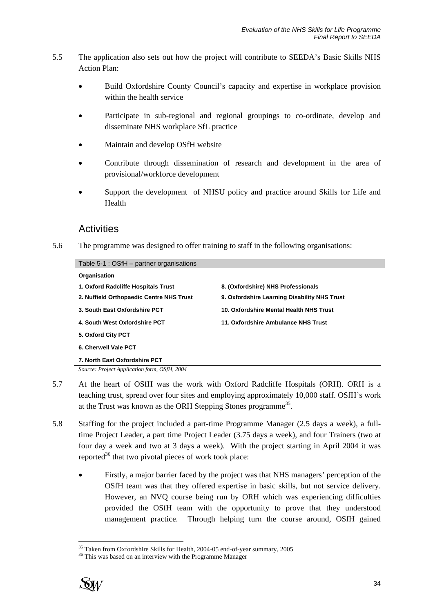- 5.5 The application also sets out how the project will contribute to SEEDA's Basic Skills NHS Action Plan:
	- Build Oxfordshire County Council's capacity and expertise in workplace provision within the health service
	- Participate in sub-regional and regional groupings to co-ordinate, develop and disseminate NHS workplace SfL practice
	- Maintain and develop OSfH website
	- Contribute through dissemination of research and development in the area of provisional/workforce development
	- Support the development of NHSU policy and practice around Skills for Life and Health

### **Activities**

5.6 The programme was designed to offer training to staff in the following organisations:

| Table 5-1 : OSfH - partner organisations     |                                              |
|----------------------------------------------|----------------------------------------------|
| Organisation                                 |                                              |
| 1. Oxford Radcliffe Hospitals Trust          | 8. (Oxfordshire) NHS Professionals           |
| 2. Nuffield Orthopaedic Centre NHS Trust     | 9. Oxfordshire Learning Disability NHS Trust |
| 3. South East Oxfordshire PCT                | 10. Oxfordshire Mental Health NHS Trust      |
| 4. South West Oxfordshire PCT                | 11. Oxfordshire Ambulance NHS Trust          |
| 5. Oxford City PCT                           |                                              |
| 6. Cherwell Vale PCT                         |                                              |
| 7. North East Oxfordshire PCT                |                                              |
| Source: Project Application form, OSfH, 2004 |                                              |

- 5.7 At the heart of OSfH was the work with Oxford Radcliffe Hospitals (ORH). ORH is a teaching trust, spread over four sites and employing approximately 10,000 staff. OSfH's work at the Trust was known as the ORH Stepping Stones programme<sup>35</sup>.
- 5.8 Staffing for the project included a part-time Programme Manager (2.5 days a week), a fulltime Project Leader, a part time Project Leader (3.75 days a week), and four Trainers (two at four day a week and two at 3 days a week). With the project starting in April 2004 it was reported $^{36}$  that two pivotal pieces of work took place:
	- Firstly, a major barrier faced by the project was that NHS managers' perception of the OSfH team was that they offered expertise in basic skills, but not service delivery. However, an NVQ course being run by ORH which was experiencing difficulties provided the OSfH team with the opportunity to prove that they understood management practice. Through helping turn the course around, OSfH gained

l <sup>35</sup> Taken from Oxfordshire Skills for Health, 2004-05 end-of-year summary, 2005

<sup>&</sup>lt;sup>36</sup> This was based on an interview with the Programme Manager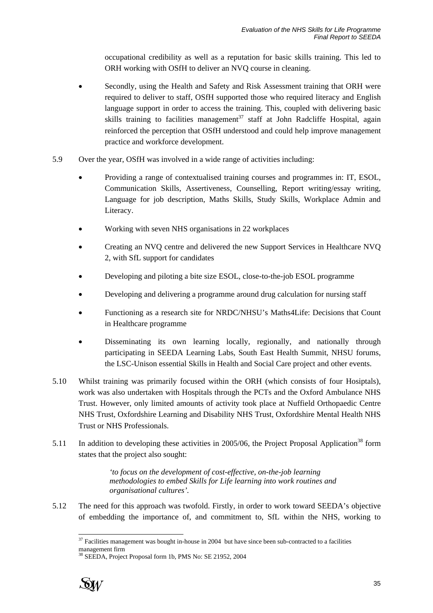occupational credibility as well as a reputation for basic skills training. This led to ORH working with OSfH to deliver an NVQ course in cleaning.

- Secondly, using the Health and Safety and Risk Assessment training that ORH were required to deliver to staff, OSfH supported those who required literacy and English language support in order to access the training. This, coupled with delivering basic skills training to facilities management<sup>37</sup> staff at John Radcliffe Hospital, again reinforced the perception that OSfH understood and could help improve management practice and workforce development.
- 5.9 Over the year, OSfH was involved in a wide range of activities including:
	- Providing a range of contextualised training courses and programmes in: IT, ESOL, Communication Skills, Assertiveness, Counselling, Report writing/essay writing, Language for job description, Maths Skills, Study Skills, Workplace Admin and Literacy.
	- Working with seven NHS organisations in 22 workplaces
	- Creating an NVQ centre and delivered the new Support Services in Healthcare NVQ 2, with SfL support for candidates
	- Developing and piloting a bite size ESOL, close-to-the-job ESOL programme
	- Developing and delivering a programme around drug calculation for nursing staff
	- Functioning as a research site for NRDC/NHSU's Maths4Life: Decisions that Count in Healthcare programme
	- Disseminating its own learning locally, regionally, and nationally through participating in SEEDA Learning Labs, South East Health Summit, NHSU forums, the LSC-Unison essential Skills in Health and Social Care project and other events.
- 5.10 Whilst training was primarily focused within the ORH (which consists of four Hosiptals), work was also undertaken with Hospitals through the PCTs and the Oxford Ambulance NHS Trust. However, only limited amounts of activity took place at Nuffield Orthopaedic Centre NHS Trust, Oxfordshire Learning and Disability NHS Trust, Oxfordshire Mental Health NHS Trust or NHS Professionals.
- 5.11 In addition to developing these activities in 2005/06, the Project Proposal Application<sup>38</sup> form states that the project also sought:

*'to focus on the development of cost-effective, on-the-job learning methodologies to embed Skills for Life learning into work routines and organisational cultures'.* 

5.12 The need for this approach was twofold. Firstly, in order to work toward SEEDA's objective of embedding the importance of, and commitment to, SfL within the NHS, working to

<sup>38</sup> SEEDA, Project Proposal form 1b, PMS No: SE 21952, 2004



l  $37$  Facilities management was bought in-house in 2004 but have since been sub-contracted to a facilities management firm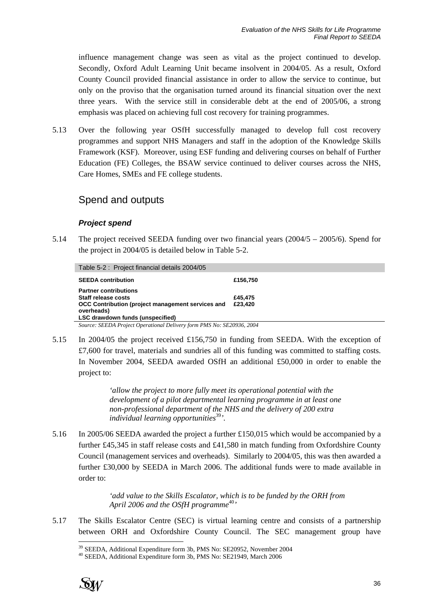influence management change was seen as vital as the project continued to develop. Secondly, Oxford Adult Learning Unit became insolvent in 2004/05. As a result, Oxford County Council provided financial assistance in order to allow the service to continue, but only on the proviso that the organisation turned around its financial situation over the next three years. With the service still in considerable debt at the end of 2005/06, a strong emphasis was placed on achieving full cost recovery for training programmes.

5.13 Over the following year OSfH successfully managed to develop full cost recovery programmes and support NHS Managers and staff in the adoption of the Knowledge Skills Framework (KSF). Moreover, using ESF funding and delivering courses on behalf of Further Education (FE) Colleges, the BSAW service continued to deliver courses across the NHS, Care Homes, SMEs and FE college students.

## Spend and outputs

#### *Project spend*

5.14 The project received SEEDA funding over two financial years (2004/5 – 2005/6). Spend for the project in 2004/05 is detailed below in Table 5-2.

Table 5-2 : Project financial details 2004/05

| <b>SEEDA contribution</b>                         | £156.750 |
|---------------------------------------------------|----------|
| <b>Partner contributions</b>                      |          |
| Staff release costs                               | £45,475  |
| OCC Contribution (project management services and | £23.420  |
| overheads)                                        |          |
| <b>LSC drawdown funds (unspecified)</b>           |          |

*Source: SEEDA Project Operational Delivery form PMS No: SE20936, 2004* 

5.15 In 2004/05 the project received £156,750 in funding from SEEDA. With the exception of £7,600 for travel, materials and sundries all of this funding was committed to staffing costs. In November 2004, SEEDA awarded OSfH an additional £50,000 in order to enable the project to:

> *'allow the project to more fully meet its operational potential with the development of a pilot departmental learning programme in at least one non-professional department of the NHS and the delivery of 200 extra individual learning opportunities*<sup>39</sup><sup>*'.*</sup>

5.16 In 2005/06 SEEDA awarded the project a further £150,015 which would be accompanied by a further £45,345 in staff release costs and £41,580 in match funding from Oxfordshire County Council (management services and overheads). Similarly to 2004/05, this was then awarded a further £30,000 by SEEDA in March 2006. The additional funds were to made available in order to:

> *'add value to the Skills Escalator, which is to be funded by the ORH from*  April 2006 and the OSfH programme<sup>40</sup><sup>,</sup>

5.17 The Skills Escalator Centre (SEC) is virtual learning centre and consists of a partnership between ORH and Oxfordshire County Council. The SEC management group have

<sup>39</sup> SEEDA, Additional Expenditure form 3b, PMS No: SE20952, November 2004 40 SEEDA, Additional Expenditure form 3b, PMS No: SE21949, March 2006



l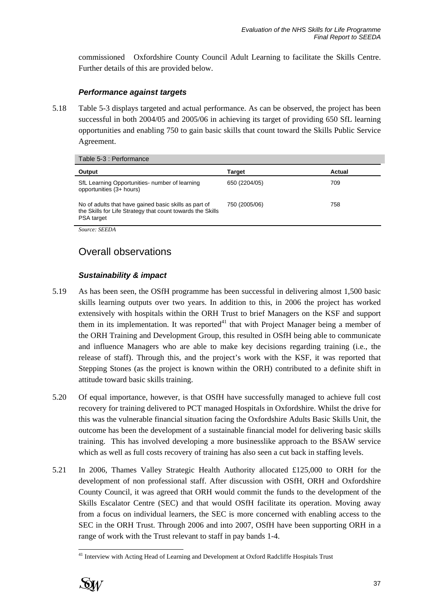commissioned Oxfordshire County Council Adult Learning to facilitate the Skills Centre. Further details of this are provided below.

### *Performance against targets*

5.18 Table 5-3 displays targeted and actual performance. As can be observed, the project has been successful in both 2004/05 and 2005/06 in achieving its target of providing 650 SfL learning opportunities and enabling 750 to gain basic skills that count toward the Skills Public Service Agreement.

| Output                                                                                                                            | <b>Target</b> | Actual |
|-----------------------------------------------------------------------------------------------------------------------------------|---------------|--------|
| SfL Learning Opportunities- number of learning<br>opportunities (3+ hours)                                                        | 650 (2204/05) | 709    |
| No of adults that have gained basic skills as part of<br>the Skills for Life Strategy that count towards the Skills<br>PSA target | 750 (2005/06) | 758    |
| $\sim$<br>$G$ $F$ $F$ $F$ $I$                                                                                                     |               |        |

*Source: SEEDA* 

# Overall observations

### *Sustainability & impact*

- 5.19 As has been seen, the OSfH programme has been successful in delivering almost 1,500 basic skills learning outputs over two years. In addition to this, in 2006 the project has worked extensively with hospitals within the ORH Trust to brief Managers on the KSF and support them in its implementation. It was reported<sup>41</sup> that with Project Manager being a member of the ORH Training and Development Group, this resulted in OSfH being able to communicate and influence Managers who are able to make key decisions regarding training (i.e., the release of staff). Through this, and the project's work with the KSF, it was reported that Stepping Stones (as the project is known within the ORH) contributed to a definite shift in attitude toward basic skills training.
- 5.20 Of equal importance, however, is that OSfH have successfully managed to achieve full cost recovery for training delivered to PCT managed Hospitals in Oxfordshire. Whilst the drive for this was the vulnerable financial situation facing the Oxfordshire Adults Basic Skills Unit, the outcome has been the development of a sustainable financial model for delivering basic skills training. This has involved developing a more businesslike approach to the BSAW service which as well as full costs recovery of training has also seen a cut back in staffing levels.
- 5.21 In 2006, Thames Valley Strategic Health Authority allocated £125,000 to ORH for the development of non professional staff. After discussion with OSfH, ORH and Oxfordshire County Council, it was agreed that ORH would commit the funds to the development of the Skills Escalator Centre (SEC) and that would OSfH facilitate its operation. Moving away from a focus on individual learners, the SEC is more concerned with enabling access to the SEC in the ORH Trust. Through 2006 and into 2007, OSfH have been supporting ORH in a range of work with the Trust relevant to staff in pay bands 1-4.

 $\overline{a}$ <sup>41</sup> Interview with Acting Head of Learning and Development at Oxford Radcliffe Hospitals Trust

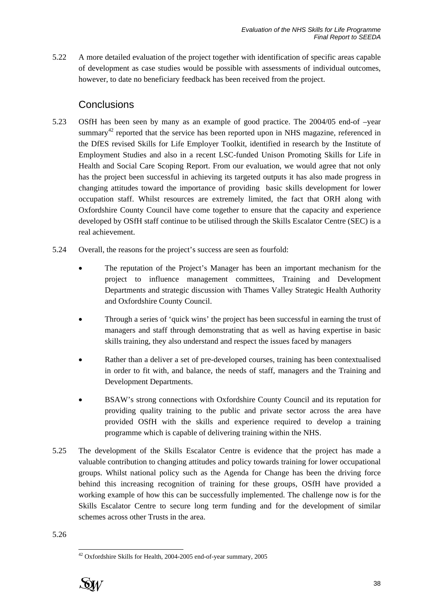5.22 A more detailed evaluation of the project together with identification of specific areas capable of development as case studies would be possible with assessments of individual outcomes, however, to date no beneficiary feedback has been received from the project.

## **Conclusions**

- 5.23 OSfH has been seen by many as an example of good practice. The 2004/05 end-of –year summary<sup>42</sup> reported that the service has been reported upon in NHS magazine, referenced in the DfES revised Skills for Life Employer Toolkit, identified in research by the Institute of Employment Studies and also in a recent LSC-funded Unison Promoting Skills for Life in Health and Social Care Scoping Report. From our evaluation, we would agree that not only has the project been successful in achieving its targeted outputs it has also made progress in changing attitudes toward the importance of providing basic skills development for lower occupation staff. Whilst resources are extremely limited, the fact that ORH along with Oxfordshire County Council have come together to ensure that the capacity and experience developed by OSfH staff continue to be utilised through the Skills Escalator Centre (SEC) is a real achievement.
- 5.24 Overall, the reasons for the project's success are seen as fourfold:
	- The reputation of the Project's Manager has been an important mechanism for the project to influence management committees, Training and Development Departments and strategic discussion with Thames Valley Strategic Health Authority and Oxfordshire County Council.
	- Through a series of 'quick wins' the project has been successful in earning the trust of managers and staff through demonstrating that as well as having expertise in basic skills training, they also understand and respect the issues faced by managers
	- Rather than a deliver a set of pre-developed courses, training has been contextualised in order to fit with, and balance, the needs of staff, managers and the Training and Development Departments.
	- BSAW's strong connections with Oxfordshire County Council and its reputation for providing quality training to the public and private sector across the area have provided OSfH with the skills and experience required to develop a training programme which is capable of delivering training within the NHS.
- 5.25 The development of the Skills Escalator Centre is evidence that the project has made a valuable contribution to changing attitudes and policy towards training for lower occupational groups. Whilst national policy such as the Agenda for Change has been the driving force behind this increasing recognition of training for these groups, OSfH have provided a working example of how this can be successfully implemented. The challenge now is for the Skills Escalator Centre to secure long term funding and for the development of similar schemes across other Trusts in the area.

5.26

 $42$  Oxfordshire Skills for Health, 2004-2005 end-of-year summary, 2005



 $\overline{a}$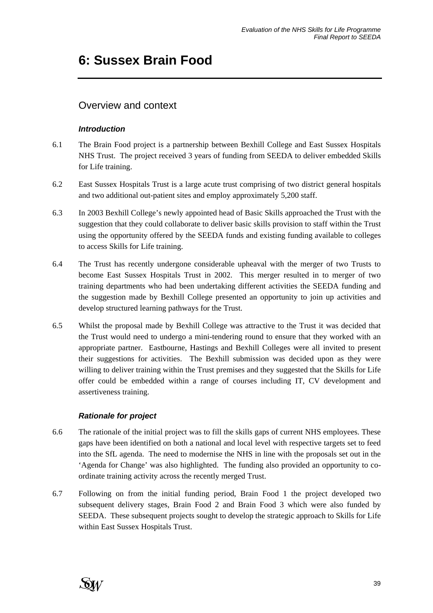# **6: Sussex Brain Food**

# Overview and context

### *Introduction*

- 6.1 The Brain Food project is a partnership between Bexhill College and East Sussex Hospitals NHS Trust. The project received 3 years of funding from SEEDA to deliver embedded Skills for Life training.
- 6.2 East Sussex Hospitals Trust is a large acute trust comprising of two district general hospitals and two additional out-patient sites and employ approximately 5,200 staff.
- 6.3 In 2003 Bexhill College's newly appointed head of Basic Skills approached the Trust with the suggestion that they could collaborate to deliver basic skills provision to staff within the Trust using the opportunity offered by the SEEDA funds and existing funding available to colleges to access Skills for Life training.
- 6.4 The Trust has recently undergone considerable upheaval with the merger of two Trusts to become East Sussex Hospitals Trust in 2002. This merger resulted in to merger of two training departments who had been undertaking different activities the SEEDA funding and the suggestion made by Bexhill College presented an opportunity to join up activities and develop structured learning pathways for the Trust.
- 6.5 Whilst the proposal made by Bexhill College was attractive to the Trust it was decided that the Trust would need to undergo a mini-tendering round to ensure that they worked with an appropriate partner. Eastbourne, Hastings and Bexhill Colleges were all invited to present their suggestions for activities. The Bexhill submission was decided upon as they were willing to deliver training within the Trust premises and they suggested that the Skills for Life offer could be embedded within a range of courses including IT, CV development and assertiveness training.

## *Rationale for project*

- 6.6 The rationale of the initial project was to fill the skills gaps of current NHS employees. These gaps have been identified on both a national and local level with respective targets set to feed into the SfL agenda. The need to modernise the NHS in line with the proposals set out in the 'Agenda for Change' was also highlighted. The funding also provided an opportunity to coordinate training activity across the recently merged Trust.
- 6.7 Following on from the initial funding period, Brain Food 1 the project developed two subsequent delivery stages, Brain Food 2 and Brain Food 3 which were also funded by SEEDA. These subsequent projects sought to develop the strategic approach to Skills for Life within East Sussex Hospitals Trust.

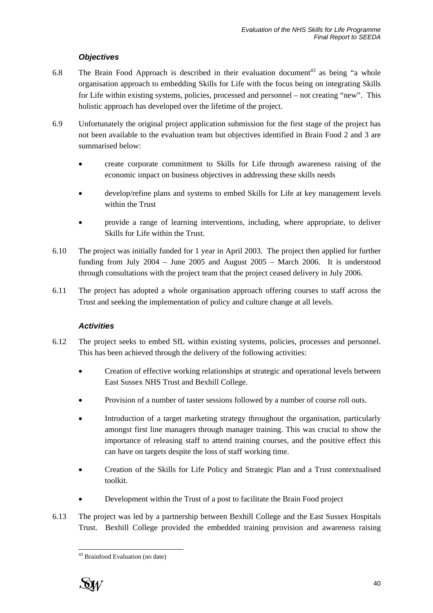### *Objectives*

- 6.8 The Brain Food Approach is described in their evaluation document<sup>43</sup> as being "a whole organisation approach to embedding Skills for Life with the focus being on integrating Skills for Life within existing systems, policies, processed and personnel – not creating "new". This holistic approach has developed over the lifetime of the project.
- 6.9 Unfortunately the original project application submission for the first stage of the project has not been available to the evaluation team but objectives identified in Brain Food 2 and 3 are summarised below:
	- create corporate commitment to Skills for Life through awareness raising of the economic impact on business objectives in addressing these skills needs
	- develop/refine plans and systems to embed Skills for Life at key management levels within the Trust
	- provide a range of learning interventions, including, where appropriate, to deliver Skills for Life within the Trust.
- 6.10 The project was initially funded for 1 year in April 2003. The project then applied for further funding from July 2004 – June 2005 and August 2005 – March 2006. It is understood through consultations with the project team that the project ceased delivery in July 2006.
- 6.11 The project has adopted a whole organisation approach offering courses to staff across the Trust and seeking the implementation of policy and culture change at all levels.

### *Activities*

- 6.12 The project seeks to embed SfL within existing systems, policies, processes and personnel. This has been achieved through the delivery of the following activities:
	- Creation of effective working relationships at strategic and operational levels between East Sussex NHS Trust and Bexhill College.
	- Provision of a number of taster sessions followed by a number of course roll outs.
	- Introduction of a target marketing strategy throughout the organisation, particularly amongst first line managers through manager training. This was crucial to show the importance of releasing staff to attend training courses, and the positive effect this can have on targets despite the loss of staff working time.
	- Creation of the Skills for Life Policy and Strategic Plan and a Trust contextualised toolkit.
	- Development within the Trust of a post to facilitate the Brain Food project
- 6.13 The project was led by a partnership between Bexhill College and the East Sussex Hospitals Trust. Bexhill College provided the embedded training provision and awareness raising

 $\overline{a}$ <sup>43</sup> Brainfood Evaluation (no date)

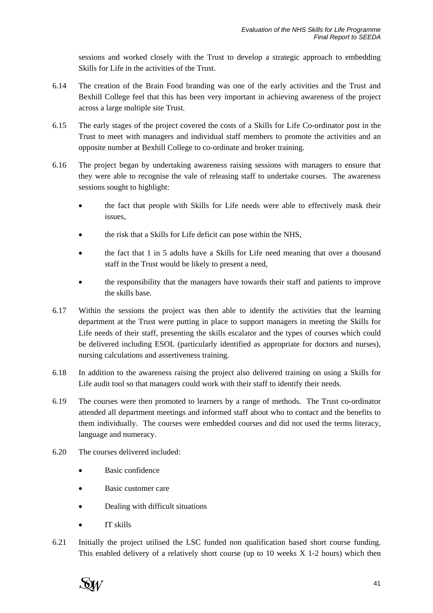sessions and worked closely with the Trust to develop a strategic approach to embedding Skills for Life in the activities of the Trust.

- 6.14 The creation of the Brain Food branding was one of the early activities and the Trust and Bexhill College feel that this has been very important in achieving awareness of the project across a large multiple site Trust.
- 6.15 The early stages of the project covered the costs of a Skills for Life Co-ordinator post in the Trust to meet with managers and individual staff members to promote the activities and an opposite number at Bexhill College to co-ordinate and broker training.
- 6.16 The project began by undertaking awareness raising sessions with managers to ensure that they were able to recognise the vale of releasing staff to undertake courses. The awareness sessions sought to highlight:
	- the fact that people with Skills for Life needs were able to effectively mask their issues,
	- the risk that a Skills for Life deficit can pose within the NHS,
	- the fact that 1 in 5 adults have a Skills for Life need meaning that over a thousand staff in the Trust would be likely to present a need,
	- the responsibility that the managers have towards their staff and patients to improve the skills base.
- 6.17 Within the sessions the project was then able to identify the activities that the learning department at the Trust were putting in place to support managers in meeting the Skills for Life needs of their staff, presenting the skills escalator and the types of courses which could be delivered including ESOL (particularly identified as appropriate for doctors and nurses), nursing calculations and assertiveness training.
- 6.18 In addition to the awareness raising the project also delivered training on using a Skills for Life audit tool so that managers could work with their staff to identify their needs.
- 6.19 The courses were then promoted to learners by a range of methods. The Trust co-ordinator attended all department meetings and informed staff about who to contact and the benefits to them individually. The courses were embedded courses and did not used the terms literacy, language and numeracy.
- 6.20 The courses delivered included:
	- Basic confidence
	- Basic customer care
	- Dealing with difficult situations
	- IT skills
- 6.21 Initially the project utilised the LSC funded non qualification based short course funding. This enabled delivery of a relatively short course (up to  $10$  weeks  $X$  1-2 hours) which then

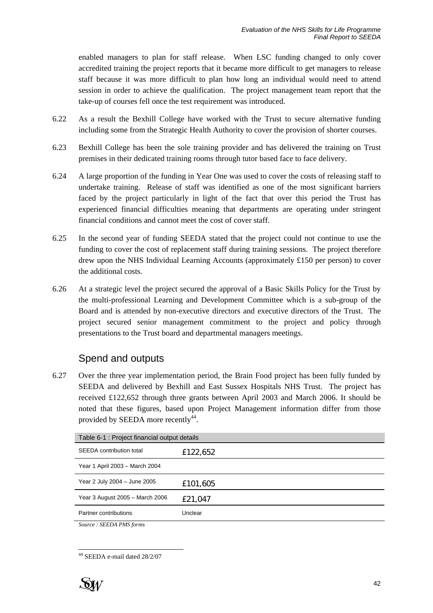enabled managers to plan for staff release. When LSC funding changed to only cover accredited training the project reports that it became more difficult to get managers to release staff because it was more difficult to plan how long an individual would need to attend session in order to achieve the qualification. The project management team report that the take-up of courses fell once the test requirement was introduced.

- 6.22 As a result the Bexhill College have worked with the Trust to secure alternative funding including some from the Strategic Health Authority to cover the provision of shorter courses.
- 6.23 Bexhill College has been the sole training provider and has delivered the training on Trust premises in their dedicated training rooms through tutor based face to face delivery.
- 6.24 A large proportion of the funding in Year One was used to cover the costs of releasing staff to undertake training. Release of staff was identified as one of the most significant barriers faced by the project particularly in light of the fact that over this period the Trust has experienced financial difficulties meaning that departments are operating under stringent financial conditions and cannot meet the cost of cover staff.
- 6.25 In the second year of funding SEEDA stated that the project could not continue to use the funding to cover the cost of replacement staff during training sessions. The project therefore drew upon the NHS Individual Learning Accounts (approximately £150 per person) to cover the additional costs.
- 6.26 At a strategic level the project secured the approval of a Basic Skills Policy for the Trust by the multi-professional Learning and Development Committee which is a sub-group of the Board and is attended by non-executive directors and executive directors of the Trust. The project secured senior management commitment to the project and policy through presentations to the Trust board and departmental managers meetings.

## Spend and outputs

6.27 Over the three year implementation period, the Brain Food project has been fully funded by SEEDA and delivered by Bexhill and East Sussex Hospitals NHS Trust. The project has received £122,652 through three grants between April 2003 and March 2006. It should be noted that these figures, based upon Project Management information differ from those provided by SEEDA more recently<sup>44</sup>.

| Table 6-1 : Project financial output details |          |  |
|----------------------------------------------|----------|--|
| SEEDA contribution total                     | £122,652 |  |
| Year 1 April 2003 - March 2004               |          |  |
| Year 2 July 2004 - June 2005                 | £101,605 |  |
| Year 3 August 2005 - March 2006              | £21,047  |  |
| Partner contributions                        | Unclear  |  |
|                                              |          |  |

*Source : SEEDA PMS forms* 

 $\overline{a}$ 44 SEEDA e-mail dated 28/2/07

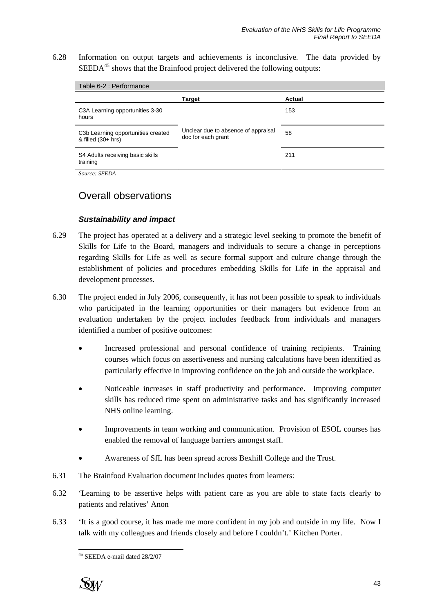6.28 Information on output targets and achievements is inconclusive. The data provided by  $SEEDA<sup>45</sup>$  shows that the Brainfood project delivered the following outputs:

| Table 6-2 : Performance                                   |                                                           |        |  |
|-----------------------------------------------------------|-----------------------------------------------------------|--------|--|
|                                                           | <b>Target</b>                                             | Actual |  |
| C3A Learning opportunities 3-30<br>hours                  |                                                           | 153    |  |
| C3b Learning opportunities created<br>& filled $(30+hrs)$ | Unclear due to absence of appraisal<br>doc for each grant | 58     |  |
| S4 Adults receiving basic skills<br>training              |                                                           | 211    |  |
| $S_{OLVCO}$ $SEFDA$                                       |                                                           |        |  |

*Source: SEEDA* 

## Overall observations

### *Sustainability and impact*

- 6.29 The project has operated at a delivery and a strategic level seeking to promote the benefit of Skills for Life to the Board, managers and individuals to secure a change in perceptions regarding Skills for Life as well as secure formal support and culture change through the establishment of policies and procedures embedding Skills for Life in the appraisal and development processes.
- 6.30 The project ended in July 2006, consequently, it has not been possible to speak to individuals who participated in the learning opportunities or their managers but evidence from an evaluation undertaken by the project includes feedback from individuals and managers identified a number of positive outcomes:
	- Increased professional and personal confidence of training recipients. Training courses which focus on assertiveness and nursing calculations have been identified as particularly effective in improving confidence on the job and outside the workplace.
	- Noticeable increases in staff productivity and performance. Improving computer skills has reduced time spent on administrative tasks and has significantly increased NHS online learning.
	- Improvements in team working and communication. Provision of ESOL courses has enabled the removal of language barriers amongst staff.
	- Awareness of SfL has been spread across Bexhill College and the Trust.
- 6.31 The Brainfood Evaluation document includes quotes from learners:
- 6.32 'Learning to be assertive helps with patient care as you are able to state facts clearly to patients and relatives' Anon
- 6.33 'It is a good course, it has made me more confident in my job and outside in my life. Now I talk with my colleagues and friends closely and before I couldn't.' Kitchen Porter.

 $\overline{a}$ 45 SEEDA e-mail dated 28/2/07

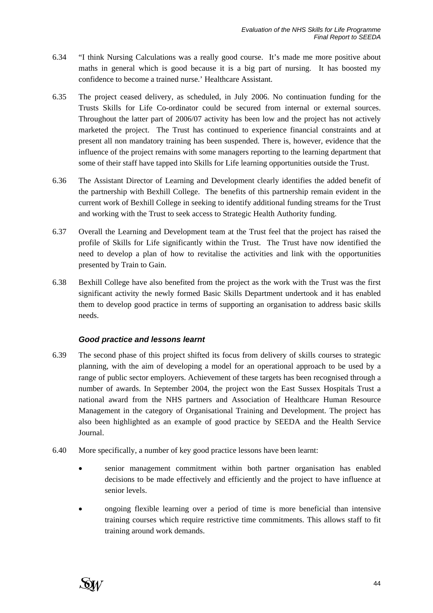- 6.34 "I think Nursing Calculations was a really good course. It's made me more positive about maths in general which is good because it is a big part of nursing. It has boosted my confidence to become a trained nurse.' Healthcare Assistant.
- 6.35 The project ceased delivery, as scheduled, in July 2006. No continuation funding for the Trusts Skills for Life Co-ordinator could be secured from internal or external sources. Throughout the latter part of 2006/07 activity has been low and the project has not actively marketed the project. The Trust has continued to experience financial constraints and at present all non mandatory training has been suspended. There is, however, evidence that the influence of the project remains with some managers reporting to the learning department that some of their staff have tapped into Skills for Life learning opportunities outside the Trust.
- 6.36 The Assistant Director of Learning and Development clearly identifies the added benefit of the partnership with Bexhill College. The benefits of this partnership remain evident in the current work of Bexhill College in seeking to identify additional funding streams for the Trust and working with the Trust to seek access to Strategic Health Authority funding.
- 6.37 Overall the Learning and Development team at the Trust feel that the project has raised the profile of Skills for Life significantly within the Trust. The Trust have now identified the need to develop a plan of how to revitalise the activities and link with the opportunities presented by Train to Gain.
- 6.38 Bexhill College have also benefited from the project as the work with the Trust was the first significant activity the newly formed Basic Skills Department undertook and it has enabled them to develop good practice in terms of supporting an organisation to address basic skills needs.

### *Good practice and lessons learnt*

- 6.39 The second phase of this project shifted its focus from delivery of skills courses to strategic planning, with the aim of developing a model for an operational approach to be used by a range of public sector employers. Achievement of these targets has been recognised through a number of awards. In September 2004, the project won the East Sussex Hospitals Trust a national award from the NHS partners and Association of Healthcare Human Resource Management in the category of Organisational Training and Development. The project has also been highlighted as an example of good practice by SEEDA and the Health Service Journal.
- 6.40 More specifically, a number of key good practice lessons have been learnt:
	- senior management commitment within both partner organisation has enabled decisions to be made effectively and efficiently and the project to have influence at senior levels.
	- ongoing flexible learning over a period of time is more beneficial than intensive training courses which require restrictive time commitments. This allows staff to fit training around work demands.

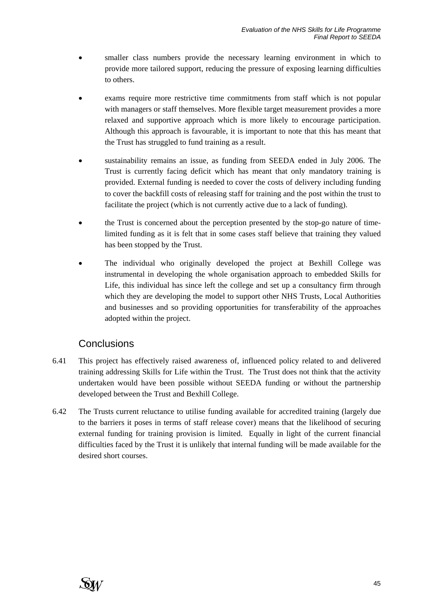- smaller class numbers provide the necessary learning environment in which to provide more tailored support, reducing the pressure of exposing learning difficulties to others.
- exams require more restrictive time commitments from staff which is not popular with managers or staff themselves. More flexible target measurement provides a more relaxed and supportive approach which is more likely to encourage participation. Although this approach is favourable, it is important to note that this has meant that the Trust has struggled to fund training as a result.
- sustainability remains an issue, as funding from SEEDA ended in July 2006. The Trust is currently facing deficit which has meant that only mandatory training is provided. External funding is needed to cover the costs of delivery including funding to cover the backfill costs of releasing staff for training and the post within the trust to facilitate the project (which is not currently active due to a lack of funding).
- the Trust is concerned about the perception presented by the stop-go nature of timelimited funding as it is felt that in some cases staff believe that training they valued has been stopped by the Trust.
- The individual who originally developed the project at Bexhill College was instrumental in developing the whole organisation approach to embedded Skills for Life, this individual has since left the college and set up a consultancy firm through which they are developing the model to support other NHS Trusts, Local Authorities and businesses and so providing opportunities for transferability of the approaches adopted within the project.

# **Conclusions**

- 6.41 This project has effectively raised awareness of, influenced policy related to and delivered training addressing Skills for Life within the Trust. The Trust does not think that the activity undertaken would have been possible without SEEDA funding or without the partnership developed between the Trust and Bexhill College.
- 6.42 The Trusts current reluctance to utilise funding available for accredited training (largely due to the barriers it poses in terms of staff release cover) means that the likelihood of securing external funding for training provision is limited. Equally in light of the current financial difficulties faced by the Trust it is unlikely that internal funding will be made available for the desired short courses.

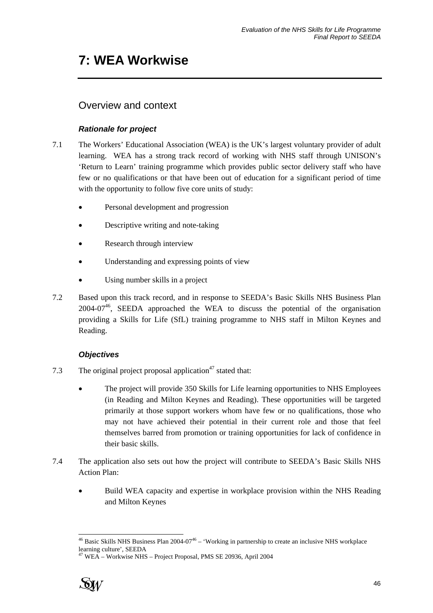# **7: WEA Workwise**

# Overview and context

## *Rationale for project*

- 7.1 The Workers' Educational Association (WEA) is the UK's largest voluntary provider of adult learning. WEA has a strong track record of working with NHS staff through UNISON's 'Return to Learn' training programme which provides public sector delivery staff who have few or no qualifications or that have been out of education for a significant period of time with the opportunity to follow five core units of study:
	- Personal development and progression
	- Descriptive writing and note-taking
	- Research through interview
	- Understanding and expressing points of view
	- Using number skills in a project
- 7.2 Based upon this track record, and in response to SEEDA's Basic Skills NHS Business Plan  $2004-07<sup>46</sup>$ , SEEDA approached the WEA to discuss the potential of the organisation providing a Skills for Life (SfL) training programme to NHS staff in Milton Keynes and Reading.

## *Objectives*

- 7.3 The original project proposal application<sup>47</sup> stated that:
	- The project will provide 350 Skills for Life learning opportunities to NHS Employees (in Reading and Milton Keynes and Reading). These opportunities will be targeted primarily at those support workers whom have few or no qualifications, those who may not have achieved their potential in their current role and those that feel themselves barred from promotion or training opportunities for lack of confidence in their basic skills.
- 7.4 The application also sets out how the project will contribute to SEEDA's Basic Skills NHS Action Plan:
	- Build WEA capacity and expertise in workplace provision within the NHS Reading and Milton Keynes

<sup>47</sup> WEA – Workwise NHS – Project Proposal, PMS SE 20936, April 2004



l  $^{46}$  Basic Skills NHS Business Plan 2004-07<sup>46</sup> – 'Working in partnership to create an inclusive NHS workplace learning culture', SEEDA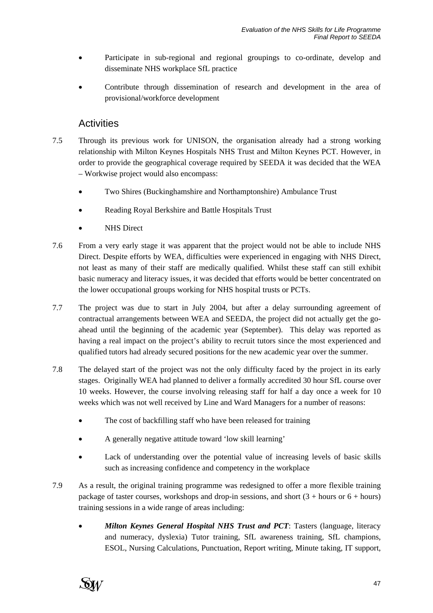- Participate in sub-regional and regional groupings to co-ordinate, develop and disseminate NHS workplace SfL practice
- Contribute through dissemination of research and development in the area of provisional/workforce development

## **Activities**

- 7.5 Through its previous work for UNISON, the organisation already had a strong working relationship with Milton Keynes Hospitals NHS Trust and Milton Keynes PCT. However, in order to provide the geographical coverage required by SEEDA it was decided that the WEA – Workwise project would also encompass:
	- Two Shires (Buckinghamshire and Northamptonshire) Ambulance Trust
	- Reading Royal Berkshire and Battle Hospitals Trust
	- **NHS** Direct
- 7.6 From a very early stage it was apparent that the project would not be able to include NHS Direct. Despite efforts by WEA, difficulties were experienced in engaging with NHS Direct, not least as many of their staff are medically qualified. Whilst these staff can still exhibit basic numeracy and literacy issues, it was decided that efforts would be better concentrated on the lower occupational groups working for NHS hospital trusts or PCTs.
- 7.7 The project was due to start in July 2004, but after a delay surrounding agreement of contractual arrangements between WEA and SEEDA, the project did not actually get the goahead until the beginning of the academic year (September). This delay was reported as having a real impact on the project's ability to recruit tutors since the most experienced and qualified tutors had already secured positions for the new academic year over the summer.
- 7.8 The delayed start of the project was not the only difficulty faced by the project in its early stages. Originally WEA had planned to deliver a formally accredited 30 hour SfL course over 10 weeks. However, the course involving releasing staff for half a day once a week for 10 weeks which was not well received by Line and Ward Managers for a number of reasons:
	- The cost of backfilling staff who have been released for training
	- A generally negative attitude toward 'low skill learning'
	- Lack of understanding over the potential value of increasing levels of basic skills such as increasing confidence and competency in the workplace
- 7.9 As a result, the original training programme was redesigned to offer a more flexible training package of taster courses, workshops and drop-in sessions, and short  $(3 + \text{hours})$ training sessions in a wide range of areas including:
	- *Milton Keynes General Hospital NHS Trust and PCT*: Tasters (language, literacy and numeracy, dyslexia) Tutor training, SfL awareness training, SfL champions, ESOL, Nursing Calculations, Punctuation, Report writing, Minute taking, IT support,

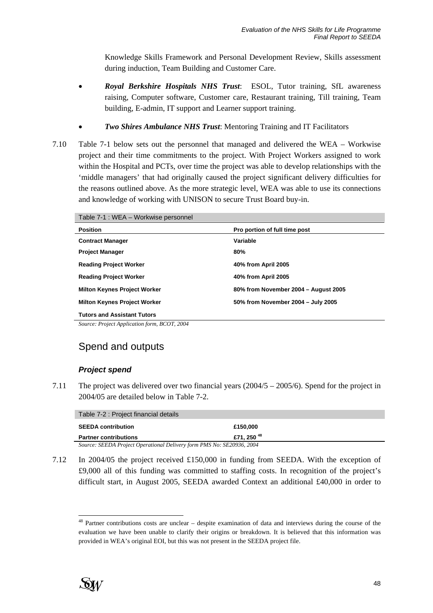Knowledge Skills Framework and Personal Development Review, Skills assessment during induction, Team Building and Customer Care.

- *Royal Berkshire Hospitals NHS Trust*: ESOL, Tutor training, SfL awareness raising, Computer software, Customer care, Restaurant training, Till training, Team building, E-admin, IT support and Learner support training.
- *Two Shires Ambulance NHS Trust*: Mentoring Training and IT Facilitators
- 7.10 Table 7-1 below sets out the personnel that managed and delivered the WEA Workwise project and their time commitments to the project. With Project Workers assigned to work within the Hospital and PCTs, over time the project was able to develop relationships with the 'middle managers' that had originally caused the project significant delivery difficulties for the reasons outlined above. As the more strategic level, WEA was able to use its connections and knowledge of working with UNISON to secure Trust Board buy-in.

Table 7-1 : WEA – Workwise personnel

| <b>Position</b>                     | Pro portion of full time post        |
|-------------------------------------|--------------------------------------|
| <b>Contract Manager</b>             | Variable                             |
| <b>Project Manager</b>              | 80%                                  |
| <b>Reading Project Worker</b>       | 40% from April 2005                  |
| <b>Reading Project Worker</b>       | 40% from April 2005                  |
| <b>Milton Keynes Project Worker</b> | 80% from November 2004 - August 2005 |
| <b>Milton Keynes Project Worker</b> | 50% from November 2004 - July 2005   |
| <b>Tutors and Assistant Tutors</b>  |                                      |

*Source: Project Application form, BCOT, 2004* 

# Spend and outputs

#### *Project spend*

7.11 The project was delivered over two financial years (2004/5 – 2005/6). Spend for the project in 2004/05 are detailed below in Table 7-2.

| Table 7-2 : Project financial details                                 |                        |  |
|-----------------------------------------------------------------------|------------------------|--|
| <b>SEEDA contribution</b>                                             | £150,000               |  |
| <b>Partner contributions</b>                                          | £71, 250 <sup>48</sup> |  |
| Source: SEEDA Project Operational Delivery form PMS No: SE20936, 2004 |                        |  |

7.12 In 2004/05 the project received £150,000 in funding from SEEDA. With the exception of £9,000 all of this funding was committed to staffing costs. In recognition of the project's difficult start, in August 2005, SEEDA awarded Context an additional £40,000 in order to

l <sup>48</sup> Partner contributions costs are unclear – despite examination of data and interviews during the course of the evaluation we have been unable to clarify their origins or breakdown. It is believed that this information was provided in WEA's original EOI, but this was not present in the SEEDA project file.

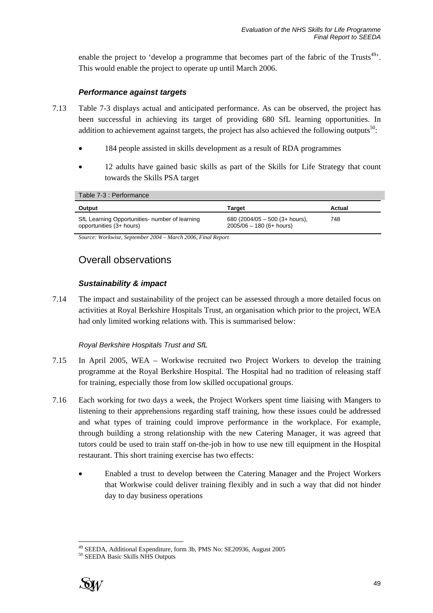enable the project to 'develop a programme that becomes part of the fabric of the Trusts<sup>49</sup>'. This would enable the project to operate up until March 2006.

### *Performance against targets*

- 7.13 Table 7-3 displays actual and anticipated performance. As can be observed, the project has been successful in achieving its target of providing 680 SfL learning opportunities. In addition to achievement against targets, the project has also achieved the following outputs<sup>50</sup>:
	- 184 people assisted in skills development as a result of RDA programmes
	- 12 adults have gained basic skills as part of the Skills for Life Strategy that count towards the Skills PSA target

Table 7-3 : Performance

| Output                                                                     | Target                                                       | Actual |
|----------------------------------------------------------------------------|--------------------------------------------------------------|--------|
| SfL Learning Opportunities- number of learning<br>opportunities (3+ hours) | 680 (2004/05 - 500 (3+ hours),<br>$2005/06 - 180$ (6+ hours) | 748    |

*Source: Workwise, September 2004 – March 2006, Final Report* 

## Overall observations

### *Sustainability & impact*

7.14 The impact and sustainability of the project can be assessed through a more detailed focus on activities at Royal Berkshire Hospitals Trust, an organisation which prior to the project, WEA had only limited working relations with. This is summarised below:

### *Royal Berkshire Hospitals Trust and SfL*

- 7.15 In April 2005, WEA Workwise recruited two Project Workers to develop the training programme at the Royal Berkshire Hospital. The Hospital had no tradition of releasing staff for training, especially those from low skilled occupational groups.
- 7.16 Each working for two days a week, the Project Workers spent time liaising with Mangers to listening to their apprehensions regarding staff training, how these issues could be addressed and what types of training could improve performance in the workplace. For example, through building a strong relationship with the new Catering Manager, it was agreed that tutors could be used to train staff on-the-job in how to use new till equipment in the Hospital restaurant. This short training exercise has two effects:
	- Enabled a trust to develop between the Catering Manager and the Project Workers that Workwise could deliver training flexibly and in such a way that did not hinder day to day business operations



l <sup>49</sup> SEEDA, Additional Expenditure, form 3b, PMS No: SE20936, August 2005<sup>50</sup> SEEDA Basic Skills NHS Outputs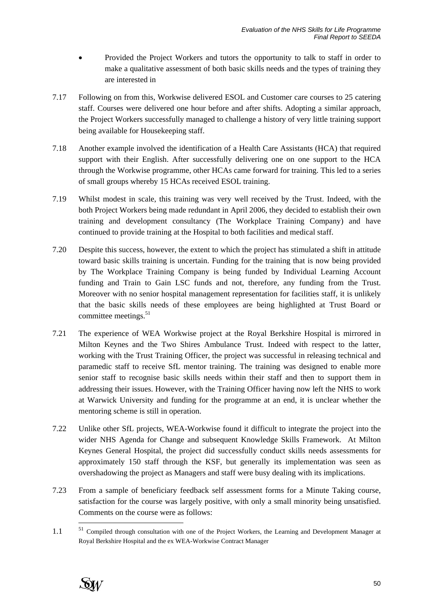- Provided the Project Workers and tutors the opportunity to talk to staff in order to make a qualitative assessment of both basic skills needs and the types of training they are interested in
- 7.17 Following on from this, Workwise delivered ESOL and Customer care courses to 25 catering staff. Courses were delivered one hour before and after shifts. Adopting a similar approach, the Project Workers successfully managed to challenge a history of very little training support being available for Housekeeping staff.
- 7.18 Another example involved the identification of a Health Care Assistants (HCA) that required support with their English. After successfully delivering one on one support to the HCA through the Workwise programme, other HCAs came forward for training. This led to a series of small groups whereby 15 HCAs received ESOL training.
- 7.19 Whilst modest in scale, this training was very well received by the Trust. Indeed, with the both Project Workers being made redundant in April 2006, they decided to establish their own training and development consultancy (The Workplace Training Company) and have continued to provide training at the Hospital to both facilities and medical staff.
- 7.20 Despite this success, however, the extent to which the project has stimulated a shift in attitude toward basic skills training is uncertain. Funding for the training that is now being provided by The Workplace Training Company is being funded by Individual Learning Account funding and Train to Gain LSC funds and not, therefore, any funding from the Trust. Moreover with no senior hospital management representation for facilities staff, it is unlikely that the basic skills needs of these employees are being highlighted at Trust Board or committee meetings. $51$
- 7.21 The experience of WEA Workwise project at the Royal Berkshire Hospital is mirrored in Milton Keynes and the Two Shires Ambulance Trust. Indeed with respect to the latter, working with the Trust Training Officer, the project was successful in releasing technical and paramedic staff to receive SfL mentor training. The training was designed to enable more senior staff to recognise basic skills needs within their staff and then to support them in addressing their issues. However, with the Training Officer having now left the NHS to work at Warwick University and funding for the programme at an end, it is unclear whether the mentoring scheme is still in operation.
- 7.22 Unlike other SfL projects, WEA-Workwise found it difficult to integrate the project into the wider NHS Agenda for Change and subsequent Knowledge Skills Framework. At Milton Keynes General Hospital, the project did successfully conduct skills needs assessments for approximately 150 staff through the KSF, but generally its implementation was seen as overshadowing the project as Managers and staff were busy dealing with its implications.
- 7.23 From a sample of beneficiary feedback self assessment forms for a Minute Taking course, satisfaction for the course was largely positive, with only a small minority being unsatisfied. Comments on the course were as follows:
- 1.1 <sup>51</sup> Compiled through consultation with one of the Project Workers, the Learning and Development Manager at Royal Berkshire Hospital and the ex WEA-Workwise Contract Manager



l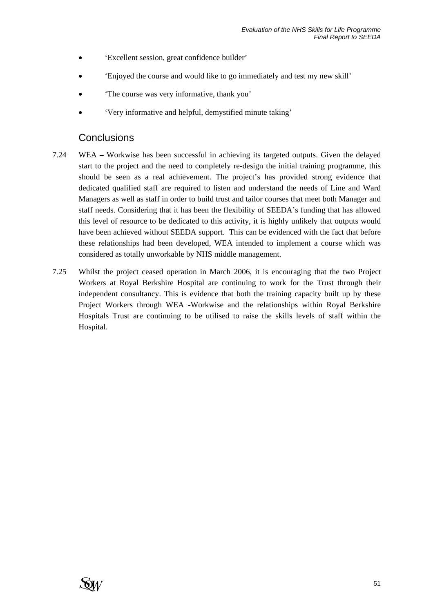- 'Excellent session, great confidence builder'
- 'Enjoyed the course and would like to go immediately and test my new skill'
- 'The course was very informative, thank you'
- 'Very informative and helpful, demystified minute taking'

## **Conclusions**

- 7.24 WEA Workwise has been successful in achieving its targeted outputs. Given the delayed start to the project and the need to completely re-design the initial training programme, this should be seen as a real achievement. The project's has provided strong evidence that dedicated qualified staff are required to listen and understand the needs of Line and Ward Managers as well as staff in order to build trust and tailor courses that meet both Manager and staff needs. Considering that it has been the flexibility of SEEDA's funding that has allowed this level of resource to be dedicated to this activity, it is highly unlikely that outputs would have been achieved without SEEDA support. This can be evidenced with the fact that before these relationships had been developed, WEA intended to implement a course which was considered as totally unworkable by NHS middle management.
- 7.25 Whilst the project ceased operation in March 2006, it is encouraging that the two Project Workers at Royal Berkshire Hospital are continuing to work for the Trust through their independent consultancy. This is evidence that both the training capacity built up by these Project Workers through WEA -Workwise and the relationships within Royal Berkshire Hospitals Trust are continuing to be utilised to raise the skills levels of staff within the Hospital.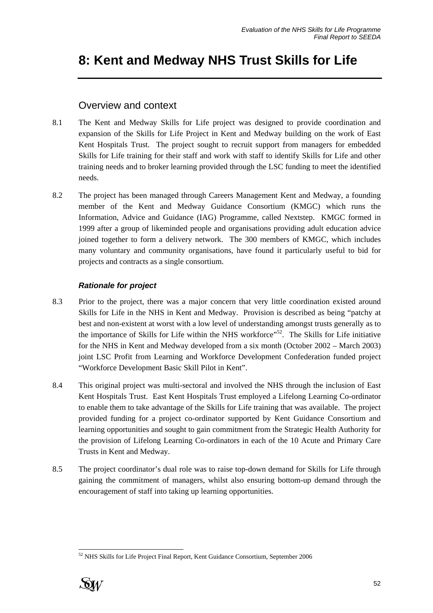# **8: Kent and Medway NHS Trust Skills for Life**

## Overview and context

- 8.1 The Kent and Medway Skills for Life project was designed to provide coordination and expansion of the Skills for Life Project in Kent and Medway building on the work of East Kent Hospitals Trust. The project sought to recruit support from managers for embedded Skills for Life training for their staff and work with staff to identify Skills for Life and other training needs and to broker learning provided through the LSC funding to meet the identified needs.
- 8.2 The project has been managed through Careers Management Kent and Medway, a founding member of the Kent and Medway Guidance Consortium (KMGC) which runs the Information, Advice and Guidance (IAG) Programme, called Nextstep. KMGC formed in 1999 after a group of likeminded people and organisations providing adult education advice joined together to form a delivery network. The 300 members of KMGC, which includes many voluntary and community organisations, have found it particularly useful to bid for projects and contracts as a single consortium.

### *Rationale for project*

- 8.3 Prior to the project, there was a major concern that very little coordination existed around Skills for Life in the NHS in Kent and Medway. Provision is described as being "patchy at best and non-existent at worst with a low level of understanding amongst trusts generally as to the importance of Skills for Life within the NHS workforce"<sup>52</sup>. The Skills for Life initiative for the NHS in Kent and Medway developed from a six month (October 2002 – March 2003) joint LSC Profit from Learning and Workforce Development Confederation funded project "Workforce Development Basic Skill Pilot in Kent".
- 8.4 This original project was multi-sectoral and involved the NHS through the inclusion of East Kent Hospitals Trust. East Kent Hospitals Trust employed a Lifelong Learning Co-ordinator to enable them to take advantage of the Skills for Life training that was available. The project provided funding for a project co-ordinator supported by Kent Guidance Consortium and learning opportunities and sought to gain commitment from the Strategic Health Authority for the provision of Lifelong Learning Co-ordinators in each of the 10 Acute and Primary Care Trusts in Kent and Medway.
- 8.5 The project coordinator's dual role was to raise top-down demand for Skills for Life through gaining the commitment of managers, whilst also ensuring bottom-up demand through the encouragement of staff into taking up learning opportunities.

l  $52$  NHS Skills for Life Project Final Report, Kent Guidance Consortium, September 2006

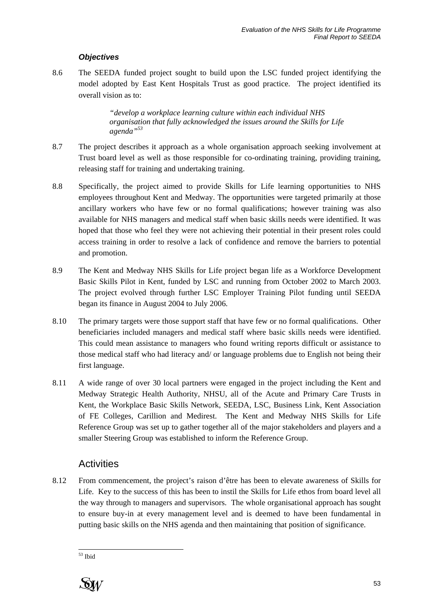### *Objectives*

8.6 The SEEDA funded project sought to build upon the LSC funded project identifying the model adopted by East Kent Hospitals Trust as good practice. The project identified its overall vision as to:

> *"develop a workplace learning culture within each individual NHS organisation that fully acknowledged the issues around the Skills for Life agenda"53*

- 8.7 The project describes it approach as a whole organisation approach seeking involvement at Trust board level as well as those responsible for co-ordinating training, providing training, releasing staff for training and undertaking training.
- 8.8 Specifically, the project aimed to provide Skills for Life learning opportunities to NHS employees throughout Kent and Medway. The opportunities were targeted primarily at those ancillary workers who have few or no formal qualifications; however training was also available for NHS managers and medical staff when basic skills needs were identified. It was hoped that those who feel they were not achieving their potential in their present roles could access training in order to resolve a lack of confidence and remove the barriers to potential and promotion.
- 8.9 The Kent and Medway NHS Skills for Life project began life as a Workforce Development Basic Skills Pilot in Kent, funded by LSC and running from October 2002 to March 2003. The project evolved through further LSC Employer Training Pilot funding until SEEDA began its finance in August 2004 to July 2006.
- 8.10 The primary targets were those support staff that have few or no formal qualifications. Other beneficiaries included managers and medical staff where basic skills needs were identified. This could mean assistance to managers who found writing reports difficult or assistance to those medical staff who had literacy and/ or language problems due to English not being their first language.
- 8.11 A wide range of over 30 local partners were engaged in the project including the Kent and Medway Strategic Health Authority, NHSU, all of the Acute and Primary Care Trusts in Kent, the Workplace Basic Skills Network, SEEDA, LSC, Business Link, Kent Association of FE Colleges, Carillion and Medirest. The Kent and Medway NHS Skills for Life Reference Group was set up to gather together all of the major stakeholders and players and a smaller Steering Group was established to inform the Reference Group.

## **Activities**

8.12 From commencement, the project's raison d'être has been to elevate awareness of Skills for Life. Key to the success of this has been to instil the Skills for Life ethos from board level all the way through to managers and supervisors. The whole organisational approach has sought to ensure buy-in at every management level and is deemed to have been fundamental in putting basic skills on the NHS agenda and then maintaining that position of significance.

l 53 Ibid

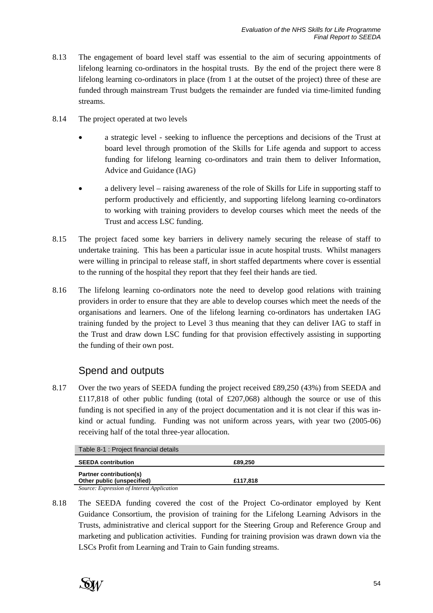- 8.13 The engagement of board level staff was essential to the aim of securing appointments of lifelong learning co-ordinators in the hospital trusts. By the end of the project there were 8 lifelong learning co-ordinators in place (from 1 at the outset of the project) three of these are funded through mainstream Trust budgets the remainder are funded via time-limited funding streams.
- 8.14 The project operated at two levels
	- a strategic level seeking to influence the perceptions and decisions of the Trust at board level through promotion of the Skills for Life agenda and support to access funding for lifelong learning co-ordinators and train them to deliver Information, Advice and Guidance (IAG)
	- a delivery level raising awareness of the role of Skills for Life in supporting staff to perform productively and efficiently, and supporting lifelong learning co-ordinators to working with training providers to develop courses which meet the needs of the Trust and access LSC funding.
- 8.15 The project faced some key barriers in delivery namely securing the release of staff to undertake training. This has been a particular issue in acute hospital trusts. Whilst managers were willing in principal to release staff, in short staffed departments where cover is essential to the running of the hospital they report that they feel their hands are tied.
- 8.16 The lifelong learning co-ordinators note the need to develop good relations with training providers in order to ensure that they are able to develop courses which meet the needs of the organisations and learners. One of the lifelong learning co-ordinators has undertaken IAG training funded by the project to Level 3 thus meaning that they can deliver IAG to staff in the Trust and draw down LSC funding for that provision effectively assisting in supporting the funding of their own post.

# Spend and outputs

8.17 Over the two years of SEEDA funding the project received £89,250 (43%) from SEEDA and £117,818 of other public funding (total of £207,068) although the source or use of this funding is not specified in any of the project documentation and it is not clear if this was inkind or actual funding. Funding was not uniform across years, with year two (2005-06) receiving half of the total three-year allocation.

| Table 8-1 : Project financial details      |          |  |
|--------------------------------------------|----------|--|
| <b>SEEDA contribution</b>                  | £89,250  |  |
| <b>Partner contribution(s)</b>             |          |  |
| Other public (unspecified)                 | £117.818 |  |
| Source: Expression of Interest Application |          |  |

8.18 The SEEDA funding covered the cost of the Project Co-ordinator employed by Kent Guidance Consortium, the provision of training for the Lifelong Learning Advisors in the Trusts, administrative and clerical support for the Steering Group and Reference Group and marketing and publication activities. Funding for training provision was drawn down via the LSCs Profit from Learning and Train to Gain funding streams.

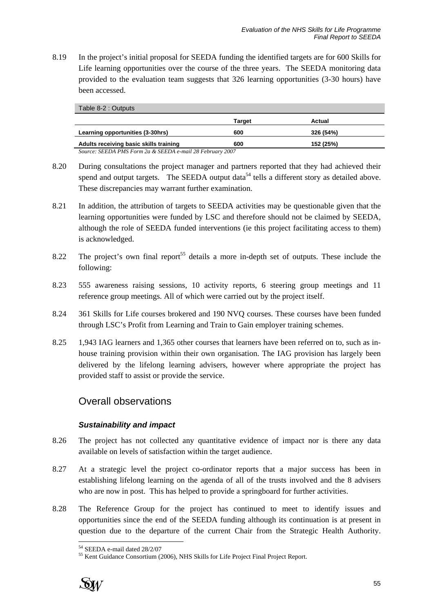8.19 In the project's initial proposal for SEEDA funding the identified targets are for 600 Skills for Life learning opportunities over the course of the three years. The SEEDA monitoring data provided to the evaluation team suggests that 326 learning opportunities (3-30 hours) have been accessed.

| Table 8-2 : Outputs                                       |        |           |  |
|-----------------------------------------------------------|--------|-----------|--|
|                                                           | Target | Actual    |  |
| Learning opportunities (3-30hrs)                          | 600    | 326 (54%) |  |
| Adults receiving basic skills training                    | 600    | 152 (25%) |  |
| Source: SEEDA PMS Form 2a & SEEDA e-mail 28 February 2007 |        |           |  |

- 8.20 During consultations the project manager and partners reported that they had achieved their spend and output targets. The SEEDA output data<sup>54</sup> tells a different story as detailed above. These discrepancies may warrant further examination.
- 8.21 In addition, the attribution of targets to SEEDA activities may be questionable given that the learning opportunities were funded by LSC and therefore should not be claimed by SEEDA, although the role of SEEDA funded interventions (ie this project facilitating access to them) is acknowledged.
- 8.22 The project's own final report<sup>55</sup> details a more in-depth set of outputs. These include the following:
- 8.23 555 awareness raising sessions, 10 activity reports, 6 steering group meetings and 11 reference group meetings. All of which were carried out by the project itself.
- 8.24 361 Skills for Life courses brokered and 190 NVQ courses. These courses have been funded through LSC's Profit from Learning and Train to Gain employer training schemes.
- 8.25 1,943 IAG learners and 1,365 other courses that learners have been referred on to, such as inhouse training provision within their own organisation. The IAG provision has largely been delivered by the lifelong learning advisers, however where appropriate the project has provided staff to assist or provide the service.

## Overall observations

### *Sustainability and impact*

- 8.26 The project has not collected any quantitative evidence of impact nor is there any data available on levels of satisfaction within the target audience.
- 8.27 At a strategic level the project co-ordinator reports that a major success has been in establishing lifelong learning on the agenda of all of the trusts involved and the 8 advisers who are now in post. This has helped to provide a springboard for further activities.
- 8.28 The Reference Group for the project has continued to meet to identify issues and opportunities since the end of the SEEDA funding although its continuation is at present in question due to the departure of the current Chair from the Strategic Health Authority.

<sup>55</sup> Kent Guidance Consortium (2006), NHS Skills for Life Project Final Project Report.



l 54 SEEDA e-mail dated 28/2/07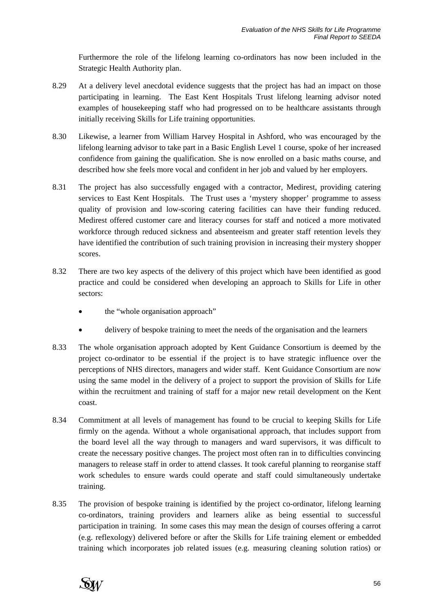Furthermore the role of the lifelong learning co-ordinators has now been included in the Strategic Health Authority plan.

- 8.29 At a delivery level anecdotal evidence suggests that the project has had an impact on those participating in learning. The East Kent Hospitals Trust lifelong learning advisor noted examples of housekeeping staff who had progressed on to be healthcare assistants through initially receiving Skills for Life training opportunities.
- 8.30 Likewise, a learner from William Harvey Hospital in Ashford, who was encouraged by the lifelong learning advisor to take part in a Basic English Level 1 course, spoke of her increased confidence from gaining the qualification. She is now enrolled on a basic maths course, and described how she feels more vocal and confident in her job and valued by her employers.
- 8.31 The project has also successfully engaged with a contractor, Medirest, providing catering services to East Kent Hospitals. The Trust uses a 'mystery shopper' programme to assess quality of provision and low-scoring catering facilities can have their funding reduced. Medirest offered customer care and literacy courses for staff and noticed a more motivated workforce through reduced sickness and absenteeism and greater staff retention levels they have identified the contribution of such training provision in increasing their mystery shopper scores.
- 8.32 There are two key aspects of the delivery of this project which have been identified as good practice and could be considered when developing an approach to Skills for Life in other sectors:
	- the "whole organisation approach"
	- delivery of bespoke training to meet the needs of the organisation and the learners
- 8.33 The whole organisation approach adopted by Kent Guidance Consortium is deemed by the project co-ordinator to be essential if the project is to have strategic influence over the perceptions of NHS directors, managers and wider staff. Kent Guidance Consortium are now using the same model in the delivery of a project to support the provision of Skills for Life within the recruitment and training of staff for a major new retail development on the Kent coast.
- 8.34 Commitment at all levels of management has found to be crucial to keeping Skills for Life firmly on the agenda. Without a whole organisational approach, that includes support from the board level all the way through to managers and ward supervisors, it was difficult to create the necessary positive changes. The project most often ran in to difficulties convincing managers to release staff in order to attend classes. It took careful planning to reorganise staff work schedules to ensure wards could operate and staff could simultaneously undertake training.
- 8.35 The provision of bespoke training is identified by the project co-ordinator, lifelong learning co-ordinators, training providers and learners alike as being essential to successful participation in training. In some cases this may mean the design of courses offering a carrot (e.g. reflexology) delivered before or after the Skills for Life training element or embedded training which incorporates job related issues (e.g. measuring cleaning solution ratios) or

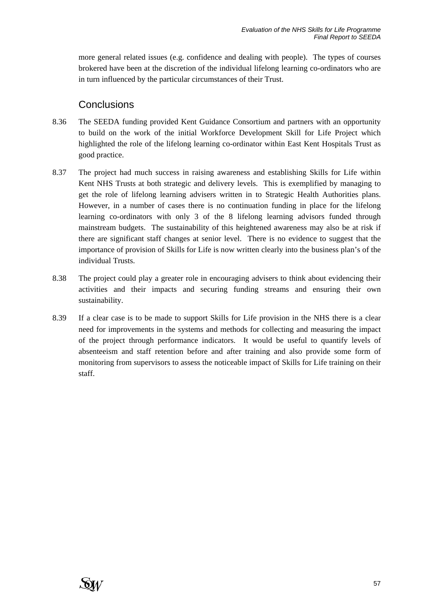more general related issues (e.g. confidence and dealing with people). The types of courses brokered have been at the discretion of the individual lifelong learning co-ordinators who are in turn influenced by the particular circumstances of their Trust.

## **Conclusions**

- 8.36 The SEEDA funding provided Kent Guidance Consortium and partners with an opportunity to build on the work of the initial Workforce Development Skill for Life Project which highlighted the role of the lifelong learning co-ordinator within East Kent Hospitals Trust as good practice.
- 8.37 The project had much success in raising awareness and establishing Skills for Life within Kent NHS Trusts at both strategic and delivery levels. This is exemplified by managing to get the role of lifelong learning advisers written in to Strategic Health Authorities plans. However, in a number of cases there is no continuation funding in place for the lifelong learning co-ordinators with only 3 of the 8 lifelong learning advisors funded through mainstream budgets. The sustainability of this heightened awareness may also be at risk if there are significant staff changes at senior level. There is no evidence to suggest that the importance of provision of Skills for Life is now written clearly into the business plan's of the individual Trusts.
- 8.38 The project could play a greater role in encouraging advisers to think about evidencing their activities and their impacts and securing funding streams and ensuring their own sustainability.
- 8.39 If a clear case is to be made to support Skills for Life provision in the NHS there is a clear need for improvements in the systems and methods for collecting and measuring the impact of the project through performance indicators. It would be useful to quantify levels of absenteeism and staff retention before and after training and also provide some form of monitoring from supervisors to assess the noticeable impact of Skills for Life training on their staff.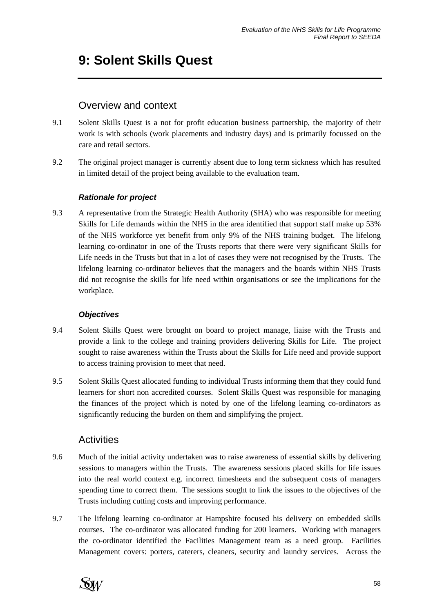# **9: Solent Skills Quest**

## Overview and context

- 9.1 Solent Skills Quest is a not for profit education business partnership, the majority of their work is with schools (work placements and industry days) and is primarily focussed on the care and retail sectors.
- 9.2 The original project manager is currently absent due to long term sickness which has resulted in limited detail of the project being available to the evaluation team.

### *Rationale for project*

9.3 A representative from the Strategic Health Authority (SHA) who was responsible for meeting Skills for Life demands within the NHS in the area identified that support staff make up 53% of the NHS workforce yet benefit from only 9% of the NHS training budget. The lifelong learning co-ordinator in one of the Trusts reports that there were very significant Skills for Life needs in the Trusts but that in a lot of cases they were not recognised by the Trusts. The lifelong learning co-ordinator believes that the managers and the boards within NHS Trusts did not recognise the skills for life need within organisations or see the implications for the workplace.

## *Objectives*

- 9.4 Solent Skills Quest were brought on board to project manage, liaise with the Trusts and provide a link to the college and training providers delivering Skills for Life. The project sought to raise awareness within the Trusts about the Skills for Life need and provide support to access training provision to meet that need.
- 9.5 Solent Skills Quest allocated funding to individual Trusts informing them that they could fund learners for short non accredited courses. Solent Skills Quest was responsible for managing the finances of the project which is noted by one of the lifelong learning co-ordinators as significantly reducing the burden on them and simplifying the project.

## **Activities**

- 9.6 Much of the initial activity undertaken was to raise awareness of essential skills by delivering sessions to managers within the Trusts. The awareness sessions placed skills for life issues into the real world context e.g. incorrect timesheets and the subsequent costs of managers spending time to correct them. The sessions sought to link the issues to the objectives of the Trusts including cutting costs and improving performance.
- 9.7 The lifelong learning co-ordinator at Hampshire focused his delivery on embedded skills courses. The co-ordinator was allocated funding for 200 learners. Working with managers the co-ordinator identified the Facilities Management team as a need group. Facilities Management covers: porters, caterers, cleaners, security and laundry services. Across the

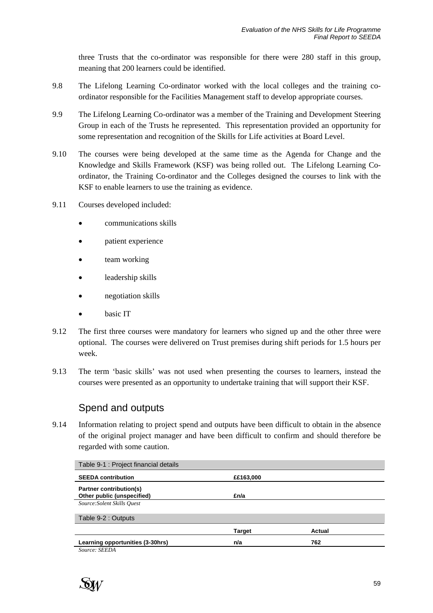three Trusts that the co-ordinator was responsible for there were 280 staff in this group, meaning that 200 learners could be identified.

- 9.8 The Lifelong Learning Co-ordinator worked with the local colleges and the training coordinator responsible for the Facilities Management staff to develop appropriate courses.
- 9.9 The Lifelong Learning Co-ordinator was a member of the Training and Development Steering Group in each of the Trusts he represented. This representation provided an opportunity for some representation and recognition of the Skills for Life activities at Board Level.
- 9.10 The courses were being developed at the same time as the Agenda for Change and the Knowledge and Skills Framework (KSF) was being rolled out. The Lifelong Learning Coordinator, the Training Co-ordinator and the Colleges designed the courses to link with the KSF to enable learners to use the training as evidence.
- 9.11 Courses developed included:
	- communications skills
	- patient experience
	- team working
	- leadership skills
	- negotiation skills
	- basic IT
- 9.12 The first three courses were mandatory for learners who signed up and the other three were optional. The courses were delivered on Trust premises during shift periods for 1.5 hours per week.
- 9.13 The term 'basic skills' was not used when presenting the courses to learners, instead the courses were presented as an opportunity to undertake training that will support their KSF.

## Spend and outputs

9.14 Information relating to project spend and outputs have been difficult to obtain in the absence of the original project manager and have been difficult to confirm and should therefore be regarded with some caution.

| Table 9-1 : Project financial details |               |        |
|---------------------------------------|---------------|--------|
| <b>SEEDA contribution</b>             | ££163,000     |        |
| <b>Partner contribution(s)</b>        |               |        |
| Other public (unspecified)            | £n/a          |        |
| Source: Solent Skills Ouest           |               |        |
| Table 9-2 : Outputs                   |               |        |
|                                       | <b>Target</b> | Actual |
| Learning opportunities (3-30hrs)      | n/a           | 762    |
| Source: SEEDA                         |               |        |

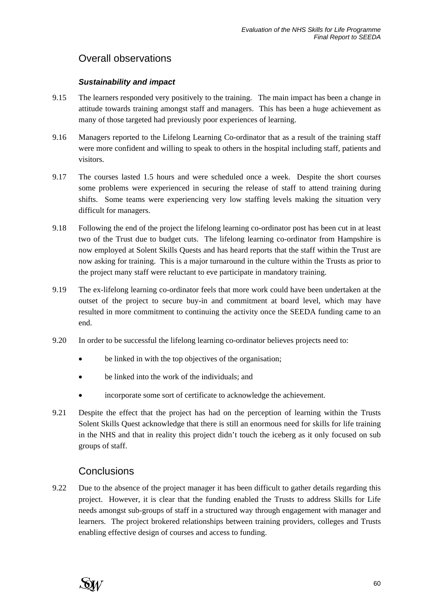# Overall observations

### *Sustainability and impact*

- 9.15 The learners responded very positively to the training. The main impact has been a change in attitude towards training amongst staff and managers. This has been a huge achievement as many of those targeted had previously poor experiences of learning.
- 9.16 Managers reported to the Lifelong Learning Co-ordinator that as a result of the training staff were more confident and willing to speak to others in the hospital including staff, patients and visitors.
- 9.17 The courses lasted 1.5 hours and were scheduled once a week. Despite the short courses some problems were experienced in securing the release of staff to attend training during shifts. Some teams were experiencing very low staffing levels making the situation very difficult for managers.
- 9.18 Following the end of the project the lifelong learning co-ordinator post has been cut in at least two of the Trust due to budget cuts. The lifelong learning co-ordinator from Hampshire is now employed at Solent Skills Quests and has heard reports that the staff within the Trust are now asking for training. This is a major turnaround in the culture within the Trusts as prior to the project many staff were reluctant to eve participate in mandatory training.
- 9.19 The ex-lifelong learning co-ordinator feels that more work could have been undertaken at the outset of the project to secure buy-in and commitment at board level, which may have resulted in more commitment to continuing the activity once the SEEDA funding came to an end.
- 9.20 In order to be successful the lifelong learning co-ordinator believes projects need to:
	- be linked in with the top objectives of the organisation;
	- be linked into the work of the individuals; and
	- incorporate some sort of certificate to acknowledge the achievement.
- 9.21 Despite the effect that the project has had on the perception of learning within the Trusts Solent Skills Quest acknowledge that there is still an enormous need for skills for life training in the NHS and that in reality this project didn't touch the iceberg as it only focused on sub groups of staff.

## **Conclusions**

9.22 Due to the absence of the project manager it has been difficult to gather details regarding this project. However, it is clear that the funding enabled the Trusts to address Skills for Life needs amongst sub-groups of staff in a structured way through engagement with manager and learners. The project brokered relationships between training providers, colleges and Trusts enabling effective design of courses and access to funding.

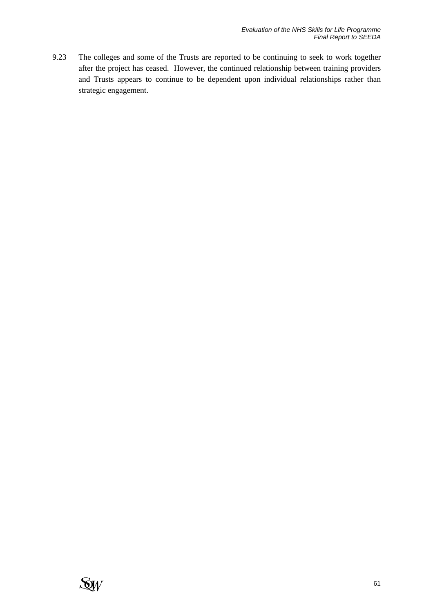9.23 The colleges and some of the Trusts are reported to be continuing to seek to work together after the project has ceased. However, the continued relationship between training providers and Trusts appears to continue to be dependent upon individual relationships rather than strategic engagement.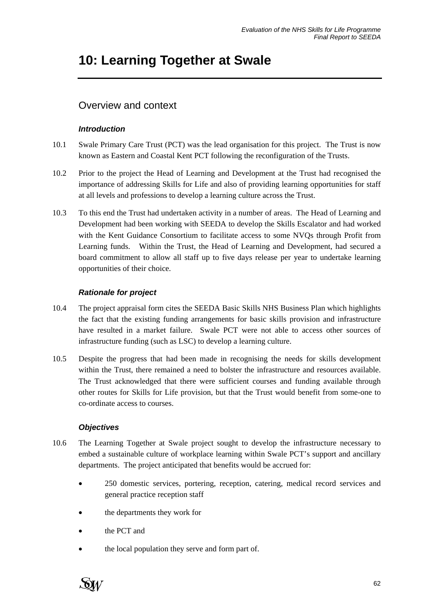# **10: Learning Together at Swale**

# Overview and context

### *Introduction*

- 10.1 Swale Primary Care Trust (PCT) was the lead organisation for this project. The Trust is now known as Eastern and Coastal Kent PCT following the reconfiguration of the Trusts.
- 10.2 Prior to the project the Head of Learning and Development at the Trust had recognised the importance of addressing Skills for Life and also of providing learning opportunities for staff at all levels and professions to develop a learning culture across the Trust.
- 10.3 To this end the Trust had undertaken activity in a number of areas. The Head of Learning and Development had been working with SEEDA to develop the Skills Escalator and had worked with the Kent Guidance Consortium to facilitate access to some NVQs through Profit from Learning funds. Within the Trust, the Head of Learning and Development, had secured a board commitment to allow all staff up to five days release per year to undertake learning opportunities of their choice.

### *Rationale for project*

- 10.4 The project appraisal form cites the SEEDA Basic Skills NHS Business Plan which highlights the fact that the existing funding arrangements for basic skills provision and infrastructure have resulted in a market failure. Swale PCT were not able to access other sources of infrastructure funding (such as LSC) to develop a learning culture.
- 10.5 Despite the progress that had been made in recognising the needs for skills development within the Trust, there remained a need to bolster the infrastructure and resources available. The Trust acknowledged that there were sufficient courses and funding available through other routes for Skills for Life provision, but that the Trust would benefit from some-one to co-ordinate access to courses.

### *Objectives*

- 10.6 The Learning Together at Swale project sought to develop the infrastructure necessary to embed a sustainable culture of workplace learning within Swale PCT's support and ancillary departments. The project anticipated that benefits would be accrued for:
	- 250 domestic services, portering, reception, catering, medical record services and general practice reception staff
	- the departments they work for
	- the PCT and
	- the local population they serve and form part of.

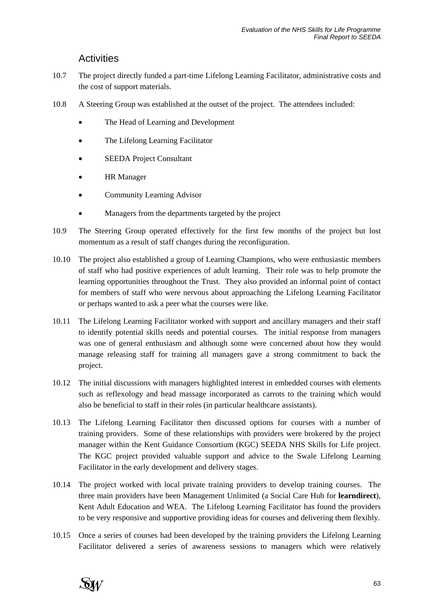## **Activities**

- 10.7 The project directly funded a part-time Lifelong Learning Facilitator, administrative costs and the cost of support materials.
- 10.8 A Steering Group was established at the outset of the project. The attendees included:
	- The Head of Learning and Development
	- The Lifelong Learning Facilitator
	- SEEDA Project Consultant
	- **HR** Manager
	- Community Learning Advisor
	- Managers from the departments targeted by the project
- 10.9 The Steering Group operated effectively for the first few months of the project but lost momentum as a result of staff changes during the reconfiguration.
- 10.10 The project also established a group of Learning Champions, who were enthusiastic members of staff who had positive experiences of adult learning. Their role was to help promote the learning opportunities throughout the Trust. They also provided an informal point of contact for members of staff who were nervous about approaching the Lifelong Learning Facilitator or perhaps wanted to ask a peer what the courses were like.
- 10.11 The Lifelong Learning Facilitator worked with support and ancillary managers and their staff to identify potential skills needs and potential courses. The initial response from managers was one of general enthusiasm and although some were concerned about how they would manage releasing staff for training all managers gave a strong commitment to back the project.
- 10.12 The initial discussions with managers highlighted interest in embedded courses with elements such as reflexology and head massage incorporated as carrots to the training which would also be beneficial to staff in their roles (in particular healthcare assistants).
- 10.13 The Lifelong Learning Facilitator then discussed options for courses with a number of training providers. Some of these relationships with providers were brokered by the project manager within the Kent Guidance Consortium (KGC) SEEDA NHS Skills for Life project. The KGC project provided valuable support and advice to the Swale Lifelong Learning Facilitator in the early development and delivery stages.
- 10.14 The project worked with local private training providers to develop training courses. The three main providers have been Management Unlimited (a Social Care Hub for **learndirect**), Kent Adult Education and WEA. The Lifelong Learning Facilitator has found the providers to be very responsive and supportive providing ideas for courses and delivering them flexibly.
- 10.15 Once a series of courses had been developed by the training providers the Lifelong Learning Facilitator delivered a series of awareness sessions to managers which were relatively

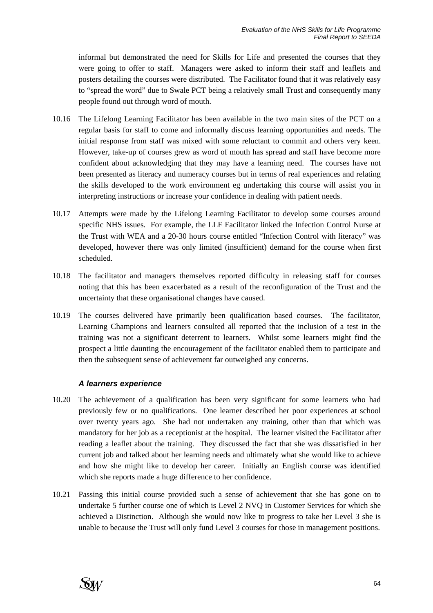informal but demonstrated the need for Skills for Life and presented the courses that they were going to offer to staff. Managers were asked to inform their staff and leaflets and posters detailing the courses were distributed. The Facilitator found that it was relatively easy to "spread the word" due to Swale PCT being a relatively small Trust and consequently many people found out through word of mouth.

- 10.16 The Lifelong Learning Facilitator has been available in the two main sites of the PCT on a regular basis for staff to come and informally discuss learning opportunities and needs. The initial response from staff was mixed with some reluctant to commit and others very keen. However, take-up of courses grew as word of mouth has spread and staff have become more confident about acknowledging that they may have a learning need. The courses have not been presented as literacy and numeracy courses but in terms of real experiences and relating the skills developed to the work environment eg undertaking this course will assist you in interpreting instructions or increase your confidence in dealing with patient needs.
- 10.17 Attempts were made by the Lifelong Learning Facilitator to develop some courses around specific NHS issues. For example, the LLF Facilitator linked the Infection Control Nurse at the Trust with WEA and a 20-30 hours course entitled "Infection Control with literacy" was developed, however there was only limited (insufficient) demand for the course when first scheduled.
- 10.18 The facilitator and managers themselves reported difficulty in releasing staff for courses noting that this has been exacerbated as a result of the reconfiguration of the Trust and the uncertainty that these organisational changes have caused.
- 10.19 The courses delivered have primarily been qualification based courses. The facilitator, Learning Champions and learners consulted all reported that the inclusion of a test in the training was not a significant deterrent to learners. Whilst some learners might find the prospect a little daunting the encouragement of the facilitator enabled them to participate and then the subsequent sense of achievement far outweighed any concerns.

#### *A learners experience*

- 10.20 The achievement of a qualification has been very significant for some learners who had previously few or no qualifications. One learner described her poor experiences at school over twenty years ago. She had not undertaken any training, other than that which was mandatory for her job as a receptionist at the hospital. The learner visited the Facilitator after reading a leaflet about the training. They discussed the fact that she was dissatisfied in her current job and talked about her learning needs and ultimately what she would like to achieve and how she might like to develop her career. Initially an English course was identified which she reports made a huge difference to her confidence.
- 10.21 Passing this initial course provided such a sense of achievement that she has gone on to undertake 5 further course one of which is Level 2 NVQ in Customer Services for which she achieved a Distinction. Although she would now like to progress to take her Level 3 she is unable to because the Trust will only fund Level 3 courses for those in management positions.

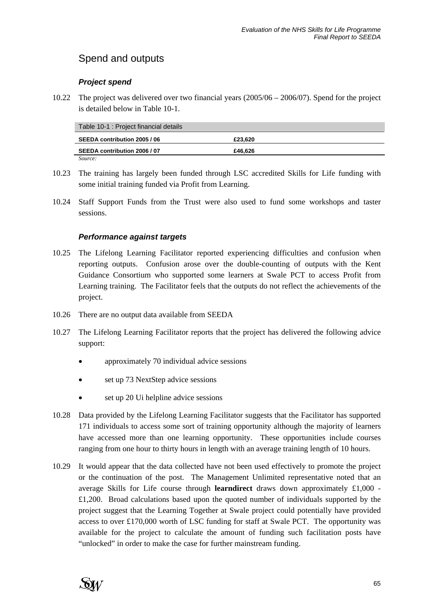# Spend and outputs

### *Project spend*

10.22 The project was delivered over two financial years (2005/06 – 2006/07). Spend for the project is detailed below in Table 10-1.

| Table 10-1 : Project financial details |         |  |
|----------------------------------------|---------|--|
| SEEDA contribution 2005 / 06           | £23.620 |  |
| SEEDA contribution 2006 / 07           | £46.626 |  |
| Source:                                |         |  |

- 10.23 The training has largely been funded through LSC accredited Skills for Life funding with some initial training funded via Profit from Learning.
- 10.24 Staff Support Funds from the Trust were also used to fund some workshops and taster sessions.

### *Performance against targets*

- 10.25 The Lifelong Learning Facilitator reported experiencing difficulties and confusion when reporting outputs. Confusion arose over the double-counting of outputs with the Kent Guidance Consortium who supported some learners at Swale PCT to access Profit from Learning training. The Facilitator feels that the outputs do not reflect the achievements of the project.
- 10.26 There are no output data available from SEEDA
- 10.27 The Lifelong Learning Facilitator reports that the project has delivered the following advice support:
	- approximately 70 individual advice sessions
	- set up 73 NextStep advice sessions
	- set up 20 Ui helpline advice sessions
- 10.28 Data provided by the Lifelong Learning Facilitator suggests that the Facilitator has supported 171 individuals to access some sort of training opportunity although the majority of learners have accessed more than one learning opportunity. These opportunities include courses ranging from one hour to thirty hours in length with an average training length of 10 hours.
- 10.29 It would appear that the data collected have not been used effectively to promote the project or the continuation of the post. The Management Unlimited representative noted that an average Skills for Life course through **learndirect** draws down approximately £1,000 - £1,200. Broad calculations based upon the quoted number of individuals supported by the project suggest that the Learning Together at Swale project could potentially have provided access to over £170,000 worth of LSC funding for staff at Swale PCT. The opportunity was available for the project to calculate the amount of funding such facilitation posts have "unlocked" in order to make the case for further mainstream funding.

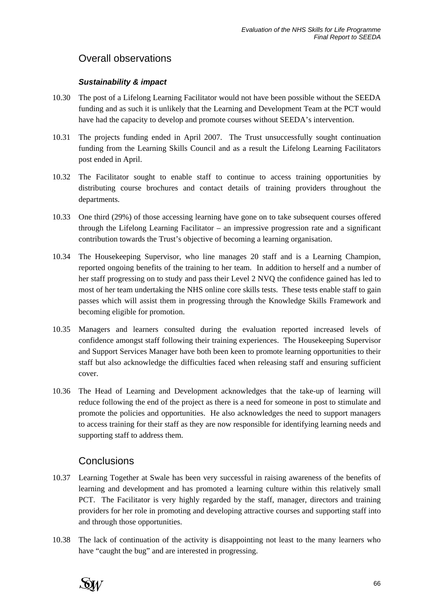# Overall observations

### *Sustainability & impact*

- 10.30 The post of a Lifelong Learning Facilitator would not have been possible without the SEEDA funding and as such it is unlikely that the Learning and Development Team at the PCT would have had the capacity to develop and promote courses without SEEDA's intervention.
- 10.31 The projects funding ended in April 2007. The Trust unsuccessfully sought continuation funding from the Learning Skills Council and as a result the Lifelong Learning Facilitators post ended in April.
- 10.32 The Facilitator sought to enable staff to continue to access training opportunities by distributing course brochures and contact details of training providers throughout the departments.
- 10.33 One third (29%) of those accessing learning have gone on to take subsequent courses offered through the Lifelong Learning Facilitator – an impressive progression rate and a significant contribution towards the Trust's objective of becoming a learning organisation.
- 10.34 The Housekeeping Supervisor, who line manages 20 staff and is a Learning Champion, reported ongoing benefits of the training to her team. In addition to herself and a number of her staff progressing on to study and pass their Level 2 NVQ the confidence gained has led to most of her team undertaking the NHS online core skills tests. These tests enable staff to gain passes which will assist them in progressing through the Knowledge Skills Framework and becoming eligible for promotion.
- 10.35 Managers and learners consulted during the evaluation reported increased levels of confidence amongst staff following their training experiences. The Housekeeping Supervisor and Support Services Manager have both been keen to promote learning opportunities to their staff but also acknowledge the difficulties faced when releasing staff and ensuring sufficient cover.
- 10.36 The Head of Learning and Development acknowledges that the take-up of learning will reduce following the end of the project as there is a need for someone in post to stimulate and promote the policies and opportunities. He also acknowledges the need to support managers to access training for their staff as they are now responsible for identifying learning needs and supporting staff to address them.

## **Conclusions**

- 10.37 Learning Together at Swale has been very successful in raising awareness of the benefits of learning and development and has promoted a learning culture within this relatively small PCT. The Facilitator is very highly regarded by the staff, manager, directors and training providers for her role in promoting and developing attractive courses and supporting staff into and through those opportunities.
- 10.38 The lack of continuation of the activity is disappointing not least to the many learners who have "caught the bug" and are interested in progressing.

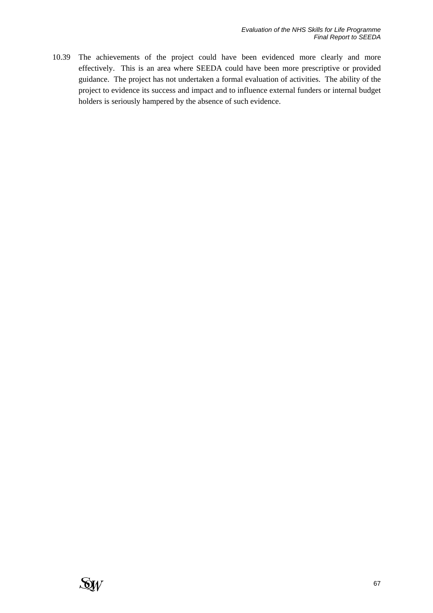10.39 The achievements of the project could have been evidenced more clearly and more effectively. This is an area where SEEDA could have been more prescriptive or provided guidance. The project has not undertaken a formal evaluation of activities. The ability of the project to evidence its success and impact and to influence external funders or internal budget holders is seriously hampered by the absence of such evidence.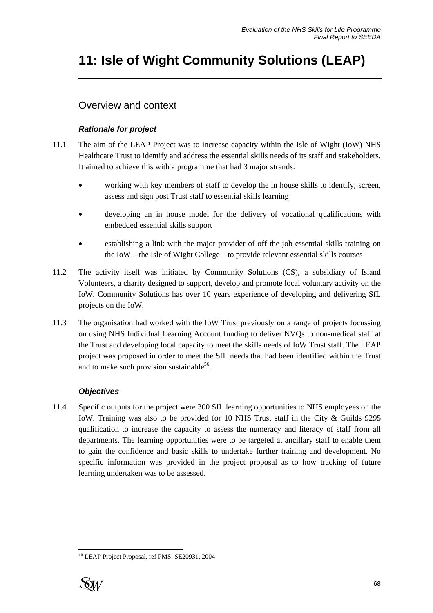# **11: Isle of Wight Community Solutions (LEAP)**

# Overview and context

### *Rationale for project*

- 11.1 The aim of the LEAP Project was to increase capacity within the Isle of Wight (IoW) NHS Healthcare Trust to identify and address the essential skills needs of its staff and stakeholders. It aimed to achieve this with a programme that had 3 major strands:
	- working with key members of staff to develop the in house skills to identify, screen, assess and sign post Trust staff to essential skills learning
	- developing an in house model for the delivery of vocational qualifications with embedded essential skills support
	- establishing a link with the major provider of off the job essential skills training on the IoW – the Isle of Wight College – to provide relevant essential skills courses
- 11.2 The activity itself was initiated by Community Solutions (CS), a subsidiary of Island Volunteers, a charity designed to support, develop and promote local voluntary activity on the IoW. Community Solutions has over 10 years experience of developing and delivering SfL projects on the IoW.
- 11.3 The organisation had worked with the IoW Trust previously on a range of projects focussing on using NHS Individual Learning Account funding to deliver NVQs to non-medical staff at the Trust and developing local capacity to meet the skills needs of IoW Trust staff. The LEAP project was proposed in order to meet the SfL needs that had been identified within the Trust and to make such provision sustainable<sup>56</sup>.

### *Objectives*

11.4 Specific outputs for the project were 300 SfL learning opportunities to NHS employees on the IoW. Training was also to be provided for 10 NHS Trust staff in the City & Guilds 9295 qualification to increase the capacity to assess the numeracy and literacy of staff from all departments. The learning opportunities were to be targeted at ancillary staff to enable them to gain the confidence and basic skills to undertake further training and development. No specific information was provided in the project proposal as to how tracking of future learning undertaken was to be assessed.

l 56 LEAP Project Proposal, ref PMS: SE20931, 2004

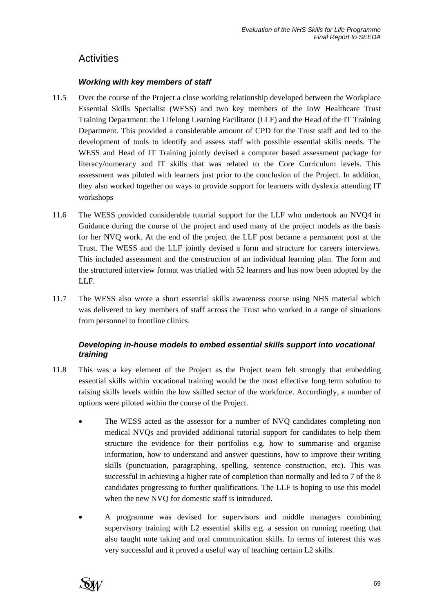# **Activities**

#### *Working with key members of staff*

- 11.5 Over the course of the Project a close working relationship developed between the Workplace Essential Skills Specialist (WESS) and two key members of the IoW Healthcare Trust Training Department: the Lifelong Learning Facilitator (LLF) and the Head of the IT Training Department. This provided a considerable amount of CPD for the Trust staff and led to the development of tools to identify and assess staff with possible essential skills needs. The WESS and Head of IT Training jointly devised a computer based assessment package for literacy/numeracy and IT skills that was related to the Core Curriculum levels. This assessment was piloted with learners just prior to the conclusion of the Project. In addition, they also worked together on ways to provide support for learners with dyslexia attending IT workshops
- 11.6 The WESS provided considerable tutorial support for the LLF who undertook an NVQ4 in Guidance during the course of the project and used many of the project models as the basis for her NVQ work. At the end of the project the LLF post became a permanent post at the Trust. The WESS and the LLF jointly devised a form and structure for careers interviews. This included assessment and the construction of an individual learning plan. The form and the structured interview format was trialled with 52 learners and has now been adopted by the LLF.
- 11.7 The WESS also wrote a short essential skills awareness course using NHS material which was delivered to key members of staff across the Trust who worked in a range of situations from personnel to frontline clinics.

### *Developing in-house models to embed essential skills support into vocational training*

- 11.8 This was a key element of the Project as the Project team felt strongly that embedding essential skills within vocational training would be the most effective long term solution to raising skills levels within the low skilled sector of the workforce. Accordingly, a number of options were piloted within the course of the Project.
	- The WESS acted as the assessor for a number of NVQ candidates completing non medical NVQs and provided additional tutorial support for candidates to help them structure the evidence for their portfolios e.g. how to summarise and organise information, how to understand and answer questions, how to improve their writing skills (punctuation, paragraphing, spelling, sentence construction, etc). This was successful in achieving a higher rate of completion than normally and led to 7 of the 8 candidates progressing to further qualifications. The LLF is hoping to use this model when the new NVQ for domestic staff is introduced.
	- A programme was devised for supervisors and middle managers combining supervisory training with L2 essential skills e.g. a session on running meeting that also taught note taking and oral communication skills. In terms of interest this was very successful and it proved a useful way of teaching certain L2 skills.

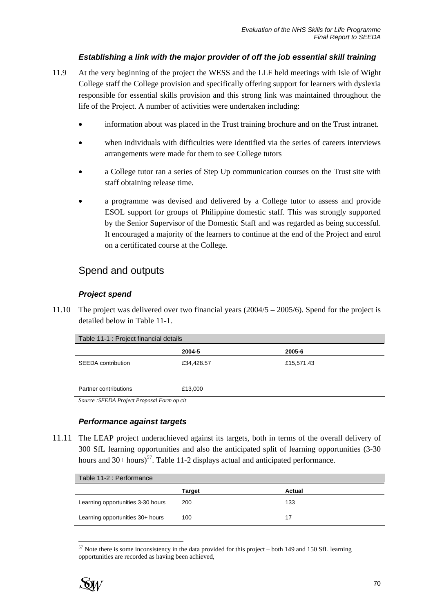### *Establishing a link with the major provider of off the job essential skill training*

- 11.9 At the very beginning of the project the WESS and the LLF held meetings with Isle of Wight College staff the College provision and specifically offering support for learners with dyslexia responsible for essential skills provision and this strong link was maintained throughout the life of the Project. A number of activities were undertaken including:
	- information about was placed in the Trust training brochure and on the Trust intranet.
	- when individuals with difficulties were identified via the series of careers interviews arrangements were made for them to see College tutors
	- a College tutor ran a series of Step Up communication courses on the Trust site with staff obtaining release time.
	- a programme was devised and delivered by a College tutor to assess and provide ESOL support for groups of Philippine domestic staff. This was strongly supported by the Senior Supervisor of the Domestic Staff and was regarded as being successful. It encouraged a majority of the learners to continue at the end of the Project and enrol on a certificated course at the College.

## Spend and outputs

### *Project spend*

11.10 The project was delivered over two financial years (2004/5 – 2005/6). Spend for the project is detailed below in Table 11-1.

| Table 11-1 : Project financial details     |            |            |  |  |
|--------------------------------------------|------------|------------|--|--|
|                                            | 2004-5     | 2005-6     |  |  |
| SEEDA contribution                         | £34,428.57 | £15,571.43 |  |  |
| Partner contributions                      | £13,000    |            |  |  |
| Source: SEEDA Project Proposal Form op cit |            |            |  |  |

#### *Performance against targets*

11.11 The LEAP project underachieved against its targets, both in terms of the overall delivery of 300 SfL learning opportunities and also the anticipated split of learning opportunities (3-30 hours and  $30+$  hours)<sup>57</sup>. Table 11-2 displays actual and anticipated performance.

| Table 11-2 : Performance          |        |        |  |  |
|-----------------------------------|--------|--------|--|--|
|                                   | Target | Actual |  |  |
| Learning opportunities 3-30 hours | 200    | 133    |  |  |
| Learning opportunities 30+ hours  | 100    | 17     |  |  |

l  $57$  Note there is some inconsistency in the data provided for this project – both 149 and 150 SfL learning opportunities are recorded as having been achieved,

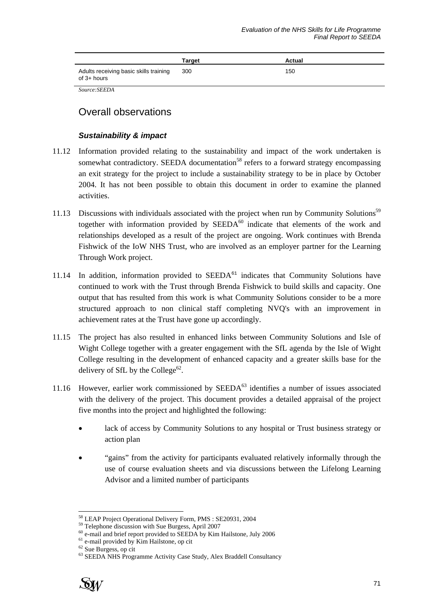|                                                         | Target | Actual |
|---------------------------------------------------------|--------|--------|
| Adults receiving basic skills training<br>of $3+$ hours | 300    | 150    |

*Source:SEEDA* 

# Overall observations

#### *Sustainability & impact*

- 11.12 Information provided relating to the sustainability and impact of the work undertaken is somewhat contradictory. SEEDA documentation<sup>58</sup> refers to a forward strategy encompassing an exit strategy for the project to include a sustainability strategy to be in place by October 2004. It has not been possible to obtain this document in order to examine the planned activities.
- 11.13 Discussions with individuals associated with the project when run by Community Solutions<sup>59</sup> together with information provided by  $SEEDA<sup>60</sup>$  indicate that elements of the work and relationships developed as a result of the project are ongoing. Work continues with Brenda Fishwick of the IoW NHS Trust, who are involved as an employer partner for the Learning Through Work project.
- 11.14 In addition, information provided to  $SEEDA<sup>61</sup>$  indicates that Community Solutions have continued to work with the Trust through Brenda Fishwick to build skills and capacity. One output that has resulted from this work is what Community Solutions consider to be a more structured approach to non clinical staff completing NVQ's with an improvement in achievement rates at the Trust have gone up accordingly.
- 11.15 The project has also resulted in enhanced links between Community Solutions and Isle of Wight College together with a greater engagement with the SfL agenda by the Isle of Wight College resulting in the development of enhanced capacity and a greater skills base for the delivery of SfL by the College<sup>62</sup>.
- 11.16 However, earlier work commissioned by SEEDA<sup>63</sup> identifies a number of issues associated with the delivery of the project. This document provides a detailed appraisal of the project five months into the project and highlighted the following:
	- lack of access by Community Solutions to any hospital or Trust business strategy or action plan
	- "gains" from the activity for participants evaluated relatively informally through the use of course evaluation sheets and via discussions between the Lifelong Learning Advisor and a limited number of participants

<sup>63</sup> SEEDA NHS Programme Activity Case Study, Alex Braddell Consultancy



 $\overline{a}$ 

<sup>&</sup>lt;sup>58</sup> LEAP Project Operational Delivery Form, PMS : SE20931, 2004<br><sup>59</sup> Telephone discussion with Sue Burgess, April 2007

<sup>&</sup>lt;sup>59</sup> Telephone discussion with Sue Burgess, April 2007<br><sup>60</sup> e-mail and brief report provided to SEEDA by Kim Hailstone, July 2006<br><sup>61</sup> e-mail provided by Kim Hailstone, op cit

<sup>62</sup> Sue Burgess, op cit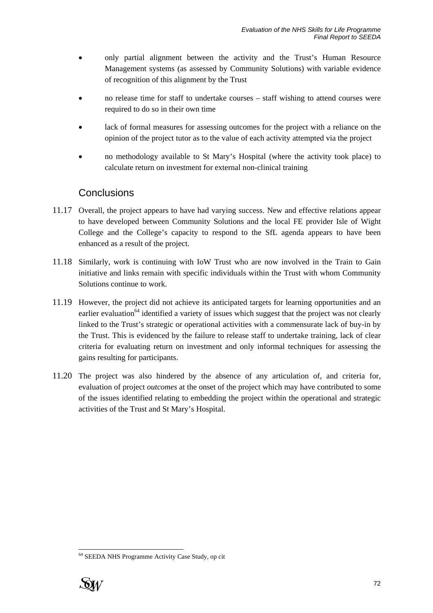- only partial alignment between the activity and the Trust's Human Resource Management systems (as assessed by Community Solutions) with variable evidence of recognition of this alignment by the Trust
- no release time for staff to undertake courses staff wishing to attend courses were required to do so in their own time
- lack of formal measures for assessing outcomes for the project with a reliance on the opinion of the project tutor as to the value of each activity attempted via the project
- no methodology available to St Mary's Hospital (where the activity took place) to calculate return on investment for external non-clinical training

## **Conclusions**

- 11.17 Overall, the project appears to have had varying success. New and effective relations appear to have developed between Community Solutions and the local FE provider Isle of Wight College and the College's capacity to respond to the SfL agenda appears to have been enhanced as a result of the project.
- 11.18 Similarly, work is continuing with IoW Trust who are now involved in the Train to Gain initiative and links remain with specific individuals within the Trust with whom Community Solutions continue to work.
- 11.19 However, the project did not achieve its anticipated targets for learning opportunities and an earlier evaluation<sup>64</sup> identified a variety of issues which suggest that the project was not clearly linked to the Trust's strategic or operational activities with a commensurate lack of buy-in by the Trust. This is evidenced by the failure to release staff to undertake training, lack of clear criteria for evaluating return on investment and only informal techniques for assessing the gains resulting for participants.
- 11.20 The project was also hindered by the absence of any articulation of, and criteria for, evaluation of project *outcomes* at the onset of the project which may have contributed to some of the issues identified relating to embedding the project within the operational and strategic activities of the Trust and St Mary's Hospital.

<sup>&</sup>lt;sup>64</sup> SEEDA NHS Programme Activity Case Study, op cit



 $\overline{a}$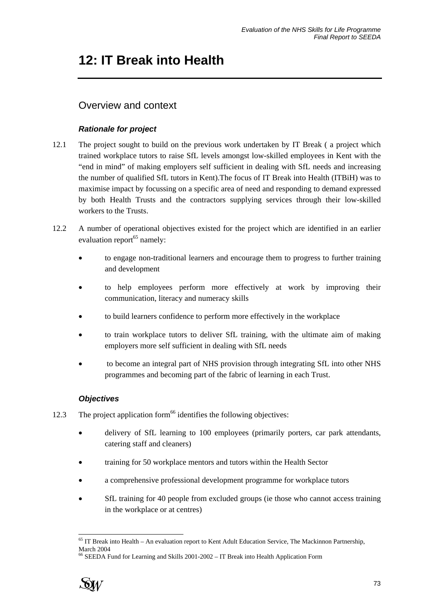# **12: IT Break into Health**

# Overview and context

## *Rationale for project*

- 12.1 The project sought to build on the previous work undertaken by IT Break ( a project which trained workplace tutors to raise SfL levels amongst low-skilled employees in Kent with the "end in mind" of making employers self sufficient in dealing with SfL needs and increasing the number of qualified SfL tutors in Kent).The focus of IT Break into Health (ITBiH) was to maximise impact by focussing on a specific area of need and responding to demand expressed by both Health Trusts and the contractors supplying services through their low-skilled workers to the Trusts.
- 12.2 A number of operational objectives existed for the project which are identified in an earlier evaluation report<sup>65</sup> namely:
	- to engage non-traditional learners and encourage them to progress to further training and development
	- to help employees perform more effectively at work by improving their communication, literacy and numeracy skills
	- to build learners confidence to perform more effectively in the workplace
	- to train workplace tutors to deliver SfL training, with the ultimate aim of making employers more self sufficient in dealing with SfL needs
	- to become an integral part of NHS provision through integrating SfL into other NHS programmes and becoming part of the fabric of learning in each Trust.

## *Objectives*

- 12.3 The project application form<sup>66</sup> identifies the following objectives:
	- delivery of SfL learning to 100 employees (primarily porters, car park attendants, catering staff and cleaners)
	- training for 50 workplace mentors and tutors within the Health Sector
	- a comprehensive professional development programme for workplace tutors
	- SfL training for 40 people from excluded groups (ie those who cannot access training in the workplace or at centres)

<sup>66</sup> SEEDA Fund for Learning and Skills 2001-2002 – IT Break into Health Application Form



l 65 IT Break into Health – An evaluation report to Kent Adult Education Service, The Mackinnon Partnership, March 2004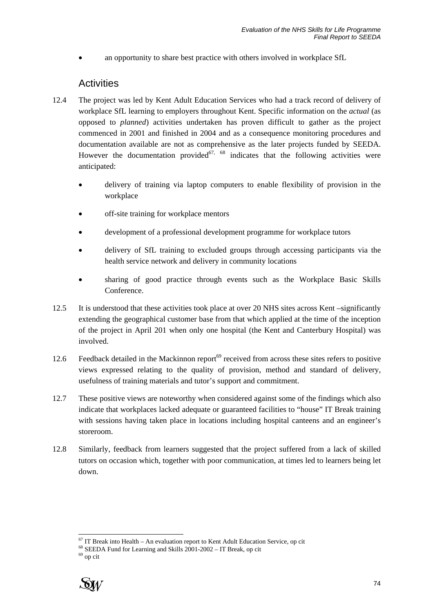an opportunity to share best practice with others involved in workplace SfL

## **Activities**

- 12.4 The project was led by Kent Adult Education Services who had a track record of delivery of workplace SfL learning to employers throughout Kent. Specific information on the *actual* (as opposed to *planned*) activities undertaken has proven difficult to gather as the project commenced in 2001 and finished in 2004 and as a consequence monitoring procedures and documentation available are not as comprehensive as the later projects funded by SEEDA. However the documentation provided<sup>67, 68</sup> indicates that the following activities were anticipated:
	- delivery of training via laptop computers to enable flexibility of provision in the workplace
	- off-site training for workplace mentors
	- development of a professional development programme for workplace tutors
	- delivery of SfL training to excluded groups through accessing participants via the health service network and delivery in community locations
	- sharing of good practice through events such as the Workplace Basic Skills Conference.
- 12.5 It is understood that these activities took place at over 20 NHS sites across Kent –significantly extending the geographical customer base from that which applied at the time of the inception of the project in April 201 when only one hospital (the Kent and Canterbury Hospital) was involved.
- 12.6 Feedback detailed in the Mackinnon report<sup>69</sup> received from across these sites refers to positive views expressed relating to the quality of provision, method and standard of delivery, usefulness of training materials and tutor's support and commitment.
- 12.7 These positive views are noteworthy when considered against some of the findings which also indicate that workplaces lacked adequate or guaranteed facilities to "house" IT Break training with sessions having taken place in locations including hospital canteens and an engineer's storeroom.
- 12.8 Similarly, feedback from learners suggested that the project suffered from a lack of skilled tutors on occasion which, together with poor communication, at times led to learners being let down.

l



 $67$  IT Break into Health – An evaluation report to Kent Adult Education Service, op cit

 $68$  SEEDA Fund for Learning and Skills  $2001-2002$  – IT Break, op cit

<sup>69</sup> op cit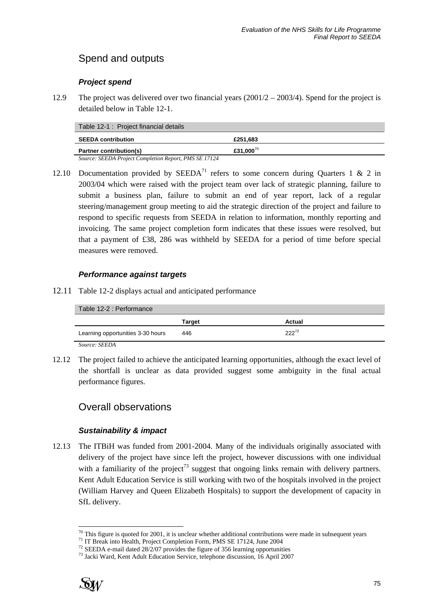# Spend and outputs

### *Project spend*

12.9 The project was delivered over two financial years  $(2001/2 - 2003/4)$ . Spend for the project is detailed below in Table 12-1.

| Table 12-1: Project financial details                 |                           |
|-------------------------------------------------------|---------------------------|
| <b>SEEDA contribution</b>                             | £251,683                  |
| <b>Partner contribution(s)</b>                        | £31.000 $^{\prime\prime}$ |
| Source: SEEDA Project Completion Report, PMS SE 17124 |                           |

12.10 Documentation provided by SEEDA<sup>71</sup> refers to some concern during Quarters 1 & 2 in 2003/04 which were raised with the project team over lack of strategic planning, failure to submit a business plan, failure to submit an end of year report, lack of a regular steering/management group meeting to aid the strategic direction of the project and failure to respond to specific requests from SEEDA in relation to information, monthly reporting and invoicing. The same project completion form indicates that these issues were resolved, but that a payment of £38, 286 was withheld by SEEDA for a period of time before special measures were removed.

#### *Performance against targets*

12.11 Table 12-2 displays actual and anticipated performance

| Table 12-2 : Performance          |        |            |  |
|-----------------------------------|--------|------------|--|
|                                   | Target | Actual     |  |
| Learning opportunities 3-30 hours | 446    | $222^{72}$ |  |
| $\sigma$ and $\sigma$<br>$\sim$   |        |            |  |

*Source: SEEDA* 

12.12 The project failed to achieve the anticipated learning opportunities, although the exact level of the shortfall is unclear as data provided suggest some ambiguity in the final actual performance figures.

## Overall observations

### *Sustainability & impact*

12.13 The ITBiH was funded from 2001-2004. Many of the individuals originally associated with delivery of the project have since left the project, however discussions with one individual with a familiarity of the project<sup>73</sup> suggest that ongoing links remain with delivery partners. Kent Adult Education Service is still working with two of the hospitals involved in the project (William Harvey and Queen Elizabeth Hospitals) to support the development of capacity in SfL delivery.



 $\overline{a}$ 

<sup>&</sup>lt;sup>70</sup> This figure is quoted for 2001, it is unclear whether additional contributions were made in subsequent years<sup>71</sup> IT Break into Health, Project Completion Form, PMS SE 17124, June 2004<br><sup>72</sup> SEEDA e-mail dated 28/2/07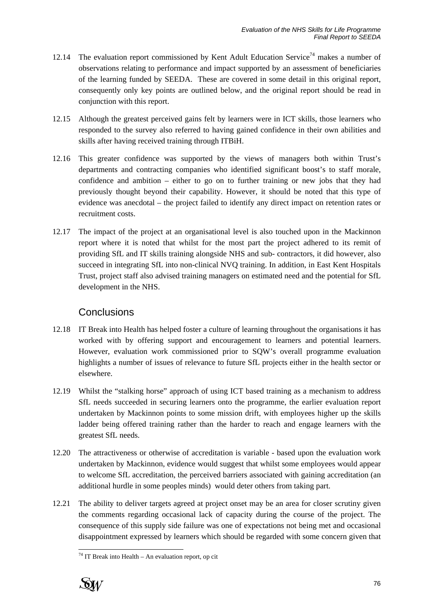- 12.14 The evaluation report commissioned by Kent Adult Education Service<sup>74</sup> makes a number of observations relating to performance and impact supported by an assessment of beneficiaries of the learning funded by SEEDA. These are covered in some detail in this original report, consequently only key points are outlined below, and the original report should be read in conjunction with this report.
- 12.15 Although the greatest perceived gains felt by learners were in ICT skills, those learners who responded to the survey also referred to having gained confidence in their own abilities and skills after having received training through ITBiH.
- 12.16 This greater confidence was supported by the views of managers both within Trust's departments and contracting companies who identified significant boost's to staff morale, confidence and ambition – either to go on to further training or new jobs that they had previously thought beyond their capability. However, it should be noted that this type of evidence was anecdotal – the project failed to identify any direct impact on retention rates or recruitment costs.
- 12.17 The impact of the project at an organisational level is also touched upon in the Mackinnon report where it is noted that whilst for the most part the project adhered to its remit of providing SfL and IT skills training alongside NHS and sub- contractors, it did however, also succeed in integrating SfL into non-clinical NVQ training. In addition, in East Kent Hospitals Trust, project staff also advised training managers on estimated need and the potential for SfL development in the NHS.

## **Conclusions**

- 12.18 IT Break into Health has helped foster a culture of learning throughout the organisations it has worked with by offering support and encouragement to learners and potential learners. However, evaluation work commissioned prior to SQW's overall programme evaluation highlights a number of issues of relevance to future SfL projects either in the health sector or elsewhere.
- 12.19 Whilst the "stalking horse" approach of using ICT based training as a mechanism to address SfL needs succeeded in securing learners onto the programme, the earlier evaluation report undertaken by Mackinnon points to some mission drift, with employees higher up the skills ladder being offered training rather than the harder to reach and engage learners with the greatest SfL needs.
- 12.20 The attractiveness or otherwise of accreditation is variable based upon the evaluation work undertaken by Mackinnon, evidence would suggest that whilst some employees would appear to welcome SfL accreditation, the perceived barriers associated with gaining accreditation (an additional hurdle in some peoples minds) would deter others from taking part.
- 12.21 The ability to deliver targets agreed at project onset may be an area for closer scrutiny given the comments regarding occasional lack of capacity during the course of the project. The consequence of this supply side failure was one of expectations not being met and occasional disappointment expressed by learners which should be regarded with some concern given that

 $\overline{a}$  $74$  IT Break into Health – An evaluation report, op cit

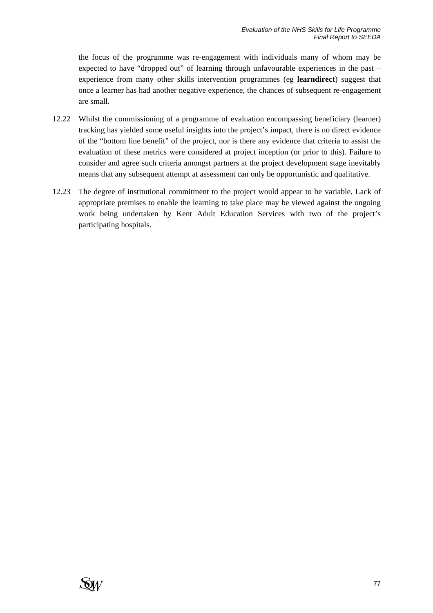the focus of the programme was re-engagement with individuals many of whom may be expected to have "dropped out" of learning through unfavourable experiences in the past – experience from many other skills intervention programmes (eg **learndirect**) suggest that once a learner has had another negative experience, the chances of subsequent re-engagement are small.

- 12.22 Whilst the commissioning of a programme of evaluation encompassing beneficiary (learner) tracking has yielded some useful insights into the project's impact, there is no direct evidence of the "bottom line benefit" of the project, nor is there any evidence that criteria to assist the evaluation of these metrics were considered at project inception (or prior to this). Failure to consider and agree such criteria amongst partners at the project development stage inevitably means that any subsequent attempt at assessment can only be opportunistic and qualitative.
- 12.23 The degree of institutional commitment to the project would appear to be variable. Lack of appropriate premises to enable the learning to take place may be viewed against the ongoing work being undertaken by Kent Adult Education Services with two of the project's participating hospitals.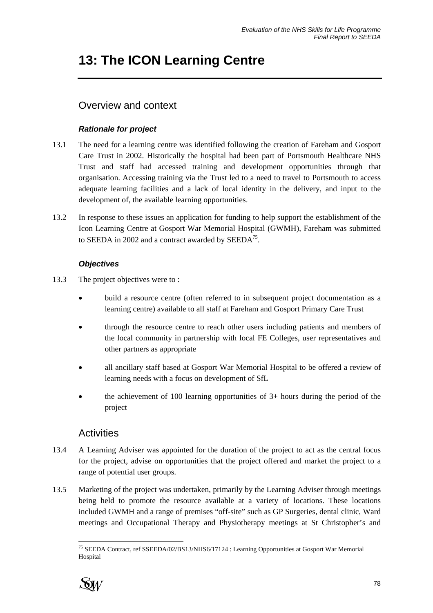# **13: The ICON Learning Centre**

# Overview and context

## *Rationale for project*

- 13.1 The need for a learning centre was identified following the creation of Fareham and Gosport Care Trust in 2002. Historically the hospital had been part of Portsmouth Healthcare NHS Trust and staff had accessed training and development opportunities through that organisation. Accessing training via the Trust led to a need to travel to Portsmouth to access adequate learning facilities and a lack of local identity in the delivery, and input to the development of, the available learning opportunities.
- 13.2 In response to these issues an application for funding to help support the establishment of the Icon Learning Centre at Gosport War Memorial Hospital (GWMH), Fareham was submitted to SEEDA in 2002 and a contract awarded by SEEDA<sup>75</sup>.

## *Objectives*

- 13.3 The project objectives were to :
	- build a resource centre (often referred to in subsequent project documentation as a learning centre) available to all staff at Fareham and Gosport Primary Care Trust
	- through the resource centre to reach other users including patients and members of the local community in partnership with local FE Colleges, user representatives and other partners as appropriate
	- all ancillary staff based at Gosport War Memorial Hospital to be offered a review of learning needs with a focus on development of SfL
	- the achievement of 100 learning opportunities of  $3+$  hours during the period of the project

# **Activities**

- 13.4 A Learning Adviser was appointed for the duration of the project to act as the central focus for the project, advise on opportunities that the project offered and market the project to a range of potential user groups.
- 13.5 Marketing of the project was undertaken, primarily by the Learning Adviser through meetings being held to promote the resource available at a variety of locations. These locations included GWMH and a range of premises "off-site" such as GP Surgeries, dental clinic, Ward meetings and Occupational Therapy and Physiotherapy meetings at St Christopher's and

l <sup>75</sup> SEEDA Contract, ref SSEEDA/02/BS13/NHS6/17124 : Learning Opportunities at Gosport War Memorial Hospital

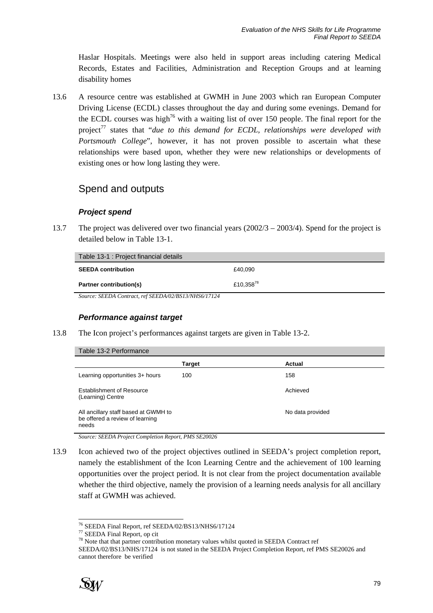Haslar Hospitals. Meetings were also held in support areas including catering Medical Records, Estates and Facilities, Administration and Reception Groups and at learning disability homes

13.6 A resource centre was established at GWMH in June 2003 which ran European Computer Driving License (ECDL) classes throughout the day and during some evenings. Demand for the ECDL courses was high<sup>76</sup> with a waiting list of over 150 people. The final report for the project<sup>77</sup> states that "*due to this demand for ECDL*, relationships were developed with *Portsmouth College*", however, it has not proven possible to ascertain what these relationships were based upon, whether they were new relationships or developments of existing ones or how long lasting they were.

## Spend and outputs

#### *Project spend*

13.7 The project was delivered over two financial years (2002/3 – 2003/4). Spend for the project is detailed below in Table 13-1.

| Table 13-1 : Project financial details                                                                                                                                                                                                                               |           |
|----------------------------------------------------------------------------------------------------------------------------------------------------------------------------------------------------------------------------------------------------------------------|-----------|
| <b>SEEDA contribution</b>                                                                                                                                                                                                                                            | £40.090   |
| <b>Partner contribution(s)</b>                                                                                                                                                                                                                                       | £10.35878 |
| $C_{1}, \ldots, C_{n}$ $C_{n}$ $C_{n}$ $C_{n}$ $C_{n}$ $C_{n}$ $C_{n}$ $C_{n}$ $C_{n}$ $C_{n}$ $C_{n}$ $C_{n}$ $C_{n}$ $C_{n}$ $C_{n}$ $C_{n}$ $C_{n}$ $C_{n}$ $C_{n}$ $C_{n}$ $C_{n}$ $C_{n}$ $C_{n}$ $C_{n}$ $C_{n}$ $C_{n}$ $C_{n}$ $C_{n}$ $C_{n}$ $C_{n}$ $C_{$ |           |

*Source: SEEDA Contract, ref SEEDA/02/BS13/NHS6/17124* 

#### *Performance against target*

13.8 The Icon project's performances against targets are given in Table 13-2.

| Table 13-2 Performance                                                           |        |                  |
|----------------------------------------------------------------------------------|--------|------------------|
|                                                                                  | Target | Actual           |
| Learning opportunities 3+ hours                                                  | 100    | 158              |
| <b>Establishment of Resource</b><br>(Learning) Centre                            |        | Achieved         |
| All ancillary staff based at GWMH to<br>be offered a review of learning<br>needs |        | No data provided |

*Source: SEEDA Project Completion Report, PMS SE20026* 

13.9 Icon achieved two of the project objectives outlined in SEEDA's project completion report, namely the establishment of the Icon Learning Centre and the achievement of 100 learning opportunities over the project period. It is not clear from the project documentation available whether the third objective, namely the provision of a learning needs analysis for all ancillary staff at GWMH was achieved.

SEEDA/02/BS13/NHS/17124 is not stated in the SEEDA Project Completion Report, ref PMS SE20026 and cannot therefore be verified



l

<sup>&</sup>lt;sup>76</sup> SEEDA Final Report, ref SEEDA/02/BS13/NHS6/17124<br><sup>77</sup> SEEDA Final Report, op cit

 $\frac{77}{78}$  SEEDA Final Report, op cit<br> $\frac{78}{78}$  Note that that partner contribution monetary values whilst quoted in SEEDA Contract ref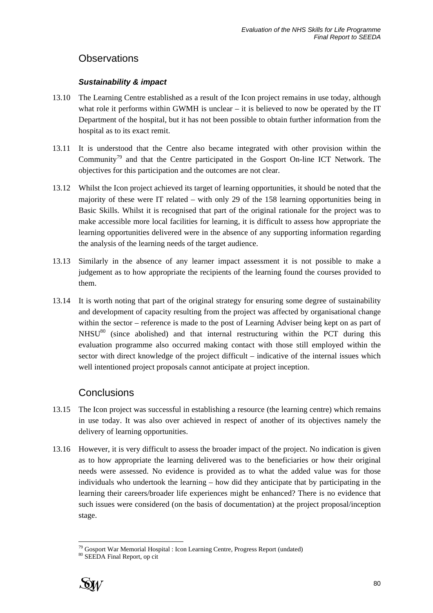## **Observations**

### *Sustainability & impact*

- 13.10 The Learning Centre established as a result of the Icon project remains in use today, although what role it performs within GWMH is unclear – it is believed to now be operated by the IT Department of the hospital, but it has not been possible to obtain further information from the hospital as to its exact remit.
- 13.11 It is understood that the Centre also became integrated with other provision within the Community<sup>79</sup> and that the Centre participated in the Gosport On-line ICT Network. The objectives for this participation and the outcomes are not clear.
- 13.12 Whilst the Icon project achieved its target of learning opportunities, it should be noted that the majority of these were IT related – with only 29 of the 158 learning opportunities being in Basic Skills. Whilst it is recognised that part of the original rationale for the project was to make accessible more local facilities for learning, it is difficult to assess how appropriate the learning opportunities delivered were in the absence of any supporting information regarding the analysis of the learning needs of the target audience.
- 13.13 Similarly in the absence of any learner impact assessment it is not possible to make a judgement as to how appropriate the recipients of the learning found the courses provided to them.
- 13.14 It is worth noting that part of the original strategy for ensuring some degree of sustainability and development of capacity resulting from the project was affected by organisational change within the sector – reference is made to the post of Learning Adviser being kept on as part of  $NHSU<sup>80</sup>$  (since abolished) and that internal restructuring within the PCT during this evaluation programme also occurred making contact with those still employed within the sector with direct knowledge of the project difficult – indicative of the internal issues which well intentioned project proposals cannot anticipate at project inception.

## **Conclusions**

- 13.15 The Icon project was successful in establishing a resource (the learning centre) which remains in use today. It was also over achieved in respect of another of its objectives namely the delivery of learning opportunities.
- 13.16 However, it is very difficult to assess the broader impact of the project. No indication is given as to how appropriate the learning delivered was to the beneficiaries or how their original needs were assessed. No evidence is provided as to what the added value was for those individuals who undertook the learning – how did they anticipate that by participating in the learning their careers/broader life experiences might be enhanced? There is no evidence that such issues were considered (on the basis of documentation) at the project proposal/inception stage.



l <sup>79</sup> Gosport War Memorial Hospital : Icon Learning Centre, Progress Report (undated)  $80$  SEEDA Final Report, op cit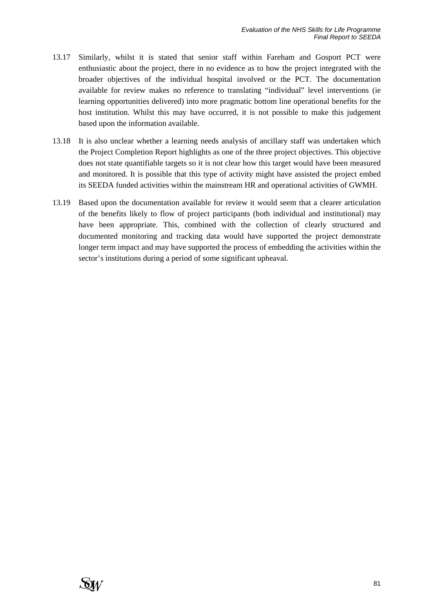- 13.17 Similarly, whilst it is stated that senior staff within Fareham and Gosport PCT were enthusiastic about the project, there in no evidence as to how the project integrated with the broader objectives of the individual hospital involved or the PCT. The documentation available for review makes no reference to translating "individual" level interventions (ie learning opportunities delivered) into more pragmatic bottom line operational benefits for the host institution. Whilst this may have occurred, it is not possible to make this judgement based upon the information available.
- 13.18 It is also unclear whether a learning needs analysis of ancillary staff was undertaken which the Project Completion Report highlights as one of the three project objectives. This objective does not state quantifiable targets so it is not clear how this target would have been measured and monitored. It is possible that this type of activity might have assisted the project embed its SEEDA funded activities within the mainstream HR and operational activities of GWMH.
- 13.19 Based upon the documentation available for review it would seem that a clearer articulation of the benefits likely to flow of project participants (both individual and institutional) may have been appropriate. This, combined with the collection of clearly structured and documented monitoring and tracking data would have supported the project demonstrate longer term impact and may have supported the process of embedding the activities within the sector's institutions during a period of some significant upheaval.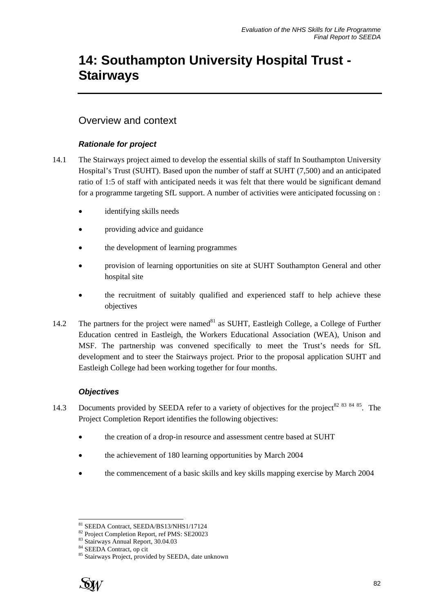# **14: Southampton University Hospital Trust - Stairways**

## Overview and context

### *Rationale for project*

- 14.1 The Stairways project aimed to develop the essential skills of staff In Southampton University Hospital's Trust (SUHT). Based upon the number of staff at SUHT (7,500) and an anticipated ratio of 1:5 of staff with anticipated needs it was felt that there would be significant demand for a programme targeting SfL support. A number of activities were anticipated focussing on :
	- identifying skills needs
	- providing advice and guidance
	- the development of learning programmes
	- provision of learning opportunities on site at SUHT Southampton General and other hospital site
	- the recruitment of suitably qualified and experienced staff to help achieve these objectives
- 14.2 The partners for the project were named $^{81}$  as SUHT, Eastleigh College, a College of Further Education centred in Eastleigh, the Workers Educational Association (WEA), Unison and MSF. The partnership was convened specifically to meet the Trust's needs for SfL development and to steer the Stairways project. Prior to the proposal application SUHT and Eastleigh College had been working together for four months.

### *Objectives*

- 14.3 Documents provided by SEEDA refer to a variety of objectives for the project<sup>82 83 84 85</sup>. The Project Completion Report identifies the following objectives:
	- the creation of a drop-in resource and assessment centre based at SUHT
	- the achievement of 180 learning opportunities by March 2004
	- the commencement of a basic skills and key skills mapping exercise by March 2004

<sup>85</sup> Stairways Project, provided by SEEDA, date unknown



l 81 SEEDA Contract, SEEDA/BS13/NHS1/17124

<sup>82</sup> Project Completion Report, ref PMS: SE20023

<sup>83</sup> Stairways Annual Report, 30.04.03

<sup>84</sup> SEEDA Contract, op cit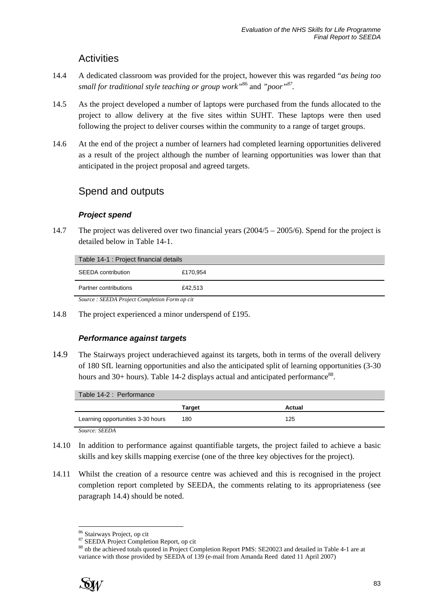## **Activities**

- 14.4 A dedicated classroom was provided for the project, however this was regarded "*as being too small for traditional style teaching or group work"*<sup>86</sup> and *"poor"87.*
- 14.5 As the project developed a number of laptops were purchased from the funds allocated to the project to allow delivery at the five sites within SUHT. These laptops were then used following the project to deliver courses within the community to a range of target groups.
- 14.6 At the end of the project a number of learners had completed learning opportunities delivered as a result of the project although the number of learning opportunities was lower than that anticipated in the project proposal and agreed targets.

## Spend and outputs

### *Project spend*

14.7 The project was delivered over two financial years (2004/5 – 2005/6). Spend for the project is detailed below in Table 14-1.

| Table 14-1 : Project financial details       |          |
|----------------------------------------------|----------|
| <b>SEEDA</b> contribution                    | £170,954 |
| Partner contributions                        | £42.513  |
| Source: SEEDA Project Completion Form op cit |          |

14.8 The project experienced a minor underspend of £195.

### *Performance against targets*

14.9 The Stairways project underachieved against its targets, both in terms of the overall delivery of 180 SfL learning opportunities and also the anticipated split of learning opportunities (3-30 hours and  $30+$  hours). Table 14-2 displays actual and anticipated performance<sup>88</sup>.

| Table 14-2 : Performance          |        |        |  |
|-----------------------------------|--------|--------|--|
|                                   | Tarɑet | Actual |  |
| Learning opportunities 3-30 hours | 180    | 125    |  |
| $Soukoa$ , $SFFDA$                |        |        |  |

- *Source: SEEDA*
- 14.10 In addition to performance against quantifiable targets, the project failed to achieve a basic skills and key skills mapping exercise (one of the three key objectives for the project).
- 14.11 Whilst the creation of a resource centre was achieved and this is recognised in the project completion report completed by SEEDA, the comments relating to its appropriateness (see paragraph 14.4) should be noted.

<sup>88</sup> nb the achieved totals quoted in Project Completion Report PMS: SE20023 and detailed in Table 4-1 are at variance with those provided by SEEDA of 139 (e-mail from Amanda Reed dated 11 April 2007)



 $\overline{a}$ 

<sup>86</sup> Stairways Project, op cit

<sup>87</sup> SEEDA Project Completion Report, op cit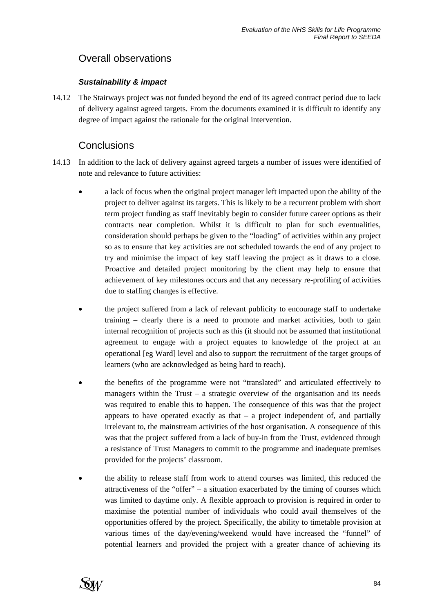# Overall observations

### *Sustainability & impact*

14.12 The Stairways project was not funded beyond the end of its agreed contract period due to lack of delivery against agreed targets. From the documents examined it is difficult to identify any degree of impact against the rationale for the original intervention.

## **Conclusions**

- 14.13 In addition to the lack of delivery against agreed targets a number of issues were identified of note and relevance to future activities:
	- a lack of focus when the original project manager left impacted upon the ability of the project to deliver against its targets. This is likely to be a recurrent problem with short term project funding as staff inevitably begin to consider future career options as their contracts near completion. Whilst it is difficult to plan for such eventualities, consideration should perhaps be given to the "loading" of activities within any project so as to ensure that key activities are not scheduled towards the end of any project to try and minimise the impact of key staff leaving the project as it draws to a close. Proactive and detailed project monitoring by the client may help to ensure that achievement of key milestones occurs and that any necessary re-profiling of activities due to staffing changes is effective.
	- the project suffered from a lack of relevant publicity to encourage staff to undertake training – clearly there is a need to promote and market activities, both to gain internal recognition of projects such as this (it should not be assumed that institutional agreement to engage with a project equates to knowledge of the project at an operational [eg Ward] level and also to support the recruitment of the target groups of learners (who are acknowledged as being hard to reach).
	- the benefits of the programme were not "translated" and articulated effectively to managers within the Trust – a strategic overview of the organisation and its needs was required to enable this to happen. The consequence of this was that the project appears to have operated exactly as that  $-$  a project independent of, and partially irrelevant to, the mainstream activities of the host organisation. A consequence of this was that the project suffered from a lack of buy-in from the Trust, evidenced through a resistance of Trust Managers to commit to the programme and inadequate premises provided for the projects' classroom.
	- the ability to release staff from work to attend courses was limited, this reduced the attractiveness of the "offer" – a situation exacerbated by the timing of courses which was limited to daytime only. A flexible approach to provision is required in order to maximise the potential number of individuals who could avail themselves of the opportunities offered by the project. Specifically, the ability to timetable provision at various times of the day/evening/weekend would have increased the "funnel" of potential learners and provided the project with a greater chance of achieving its

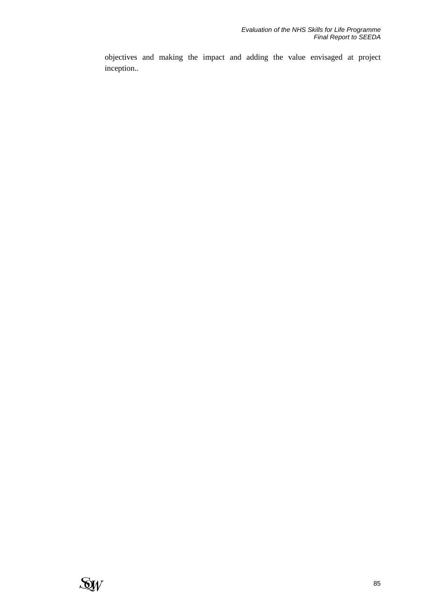objectives and making the impact and adding the value envisaged at project inception..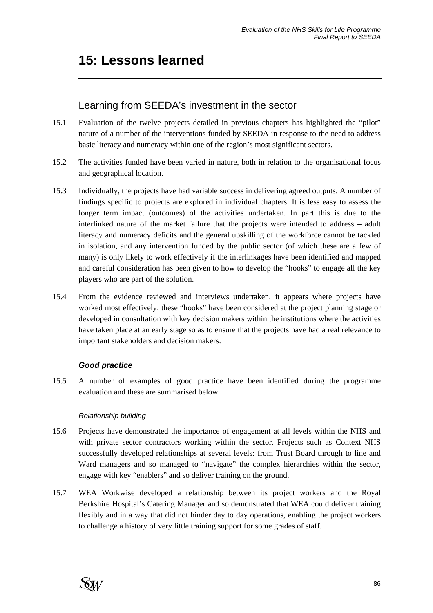# **15: Lessons learned**

## Learning from SEEDA's investment in the sector

- 15.1 Evaluation of the twelve projects detailed in previous chapters has highlighted the "pilot" nature of a number of the interventions funded by SEEDA in response to the need to address basic literacy and numeracy within one of the region's most significant sectors.
- 15.2 The activities funded have been varied in nature, both in relation to the organisational focus and geographical location.
- 15.3 Individually, the projects have had variable success in delivering agreed outputs. A number of findings specific to projects are explored in individual chapters. It is less easy to assess the longer term impact (outcomes) of the activities undertaken. In part this is due to the interlinked nature of the market failure that the projects were intended to address – adult literacy and numeracy deficits and the general upskilling of the workforce cannot be tackled in isolation, and any intervention funded by the public sector (of which these are a few of many) is only likely to work effectively if the interlinkages have been identified and mapped and careful consideration has been given to how to develop the "hooks" to engage all the key players who are part of the solution.
- 15.4 From the evidence reviewed and interviews undertaken, it appears where projects have worked most effectively, these "hooks" have been considered at the project planning stage or developed in consultation with key decision makers within the institutions where the activities have taken place at an early stage so as to ensure that the projects have had a real relevance to important stakeholders and decision makers.

### *Good practice*

15.5 A number of examples of good practice have been identified during the programme evaluation and these are summarised below.

### *Relationship building*

- 15.6 Projects have demonstrated the importance of engagement at all levels within the NHS and with private sector contractors working within the sector. Projects such as Context NHS successfully developed relationships at several levels: from Trust Board through to line and Ward managers and so managed to "navigate" the complex hierarchies within the sector, engage with key "enablers" and so deliver training on the ground.
- 15.7 WEA Workwise developed a relationship between its project workers and the Royal Berkshire Hospital's Catering Manager and so demonstrated that WEA could deliver training flexibly and in a way that did not hinder day to day operations, enabling the project workers to challenge a history of very little training support for some grades of staff.

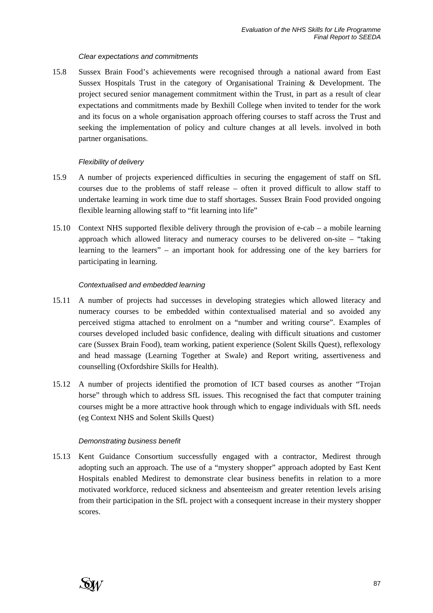#### *Clear expectations and commitments*

15.8 Sussex Brain Food's achievements were recognised through a national award from East Sussex Hospitals Trust in the category of Organisational Training & Development. The project secured senior management commitment within the Trust, in part as a result of clear expectations and commitments made by Bexhill College when invited to tender for the work and its focus on a whole organisation approach offering courses to staff across the Trust and seeking the implementation of policy and culture changes at all levels. involved in both partner organisations.

#### *Flexibility of delivery*

- 15.9 A number of projects experienced difficulties in securing the engagement of staff on SfL courses due to the problems of staff release – often it proved difficult to allow staff to undertake learning in work time due to staff shortages. Sussex Brain Food provided ongoing flexible learning allowing staff to "fit learning into life"
- 15.10 Context NHS supported flexible delivery through the provision of e-cab a mobile learning approach which allowed literacy and numeracy courses to be delivered on-site – "taking learning to the learners" – an important hook for addressing one of the key barriers for participating in learning.

#### *Contextualised and embedded learning*

- 15.11 A number of projects had successes in developing strategies which allowed literacy and numeracy courses to be embedded within contextualised material and so avoided any perceived stigma attached to enrolment on a "number and writing course". Examples of courses developed included basic confidence, dealing with difficult situations and customer care (Sussex Brain Food), team working, patient experience (Solent Skills Quest), reflexology and head massage (Learning Together at Swale) and Report writing, assertiveness and counselling (Oxfordshire Skills for Health).
- 15.12 A number of projects identified the promotion of ICT based courses as another "Trojan horse" through which to address SfL issues. This recognised the fact that computer training courses might be a more attractive hook through which to engage individuals with SfL needs (eg Context NHS and Solent Skills Quest)

#### *Demonstrating business benefit*

15.13 Kent Guidance Consortium successfully engaged with a contractor, Medirest through adopting such an approach. The use of a "mystery shopper" approach adopted by East Kent Hospitals enabled Medirest to demonstrate clear business benefits in relation to a more motivated workforce, reduced sickness and absenteeism and greater retention levels arising from their participation in the SfL project with a consequent increase in their mystery shopper scores.

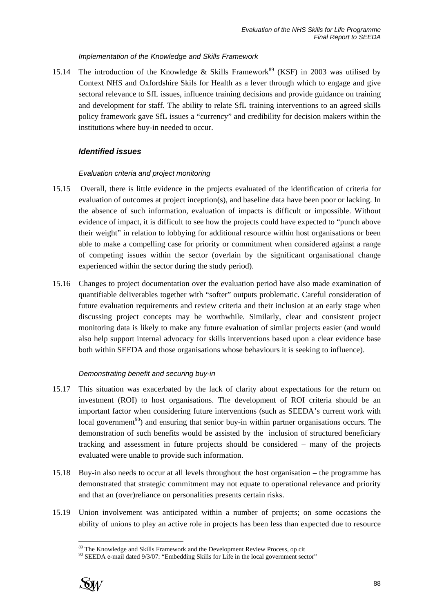#### *Implementation of the Knowledge and Skills Framework*

15.14 The introduction of the Knowledge & Skills Framework<sup>89</sup> (KSF) in 2003 was utilised by Context NHS and Oxfordshire Skils for Health as a lever through which to engage and give sectoral relevance to SfL issues, influence training decisions and provide guidance on training and development for staff. The ability to relate SfL training interventions to an agreed skills policy framework gave SfL issues a "currency" and credibility for decision makers within the institutions where buy-in needed to occur.

#### *Identified issues*

#### *Evaluation criteria and project monitoring*

- 15.15 Overall, there is little evidence in the projects evaluated of the identification of criteria for evaluation of outcomes at project inception(s), and baseline data have been poor or lacking. In the absence of such information, evaluation of impacts is difficult or impossible. Without evidence of impact, it is difficult to see how the projects could have expected to "punch above their weight" in relation to lobbying for additional resource within host organisations or been able to make a compelling case for priority or commitment when considered against a range of competing issues within the sector (overlain by the significant organisational change experienced within the sector during the study period).
- 15.16 Changes to project documentation over the evaluation period have also made examination of quantifiable deliverables together with "softer" outputs problematic. Careful consideration of future evaluation requirements and review criteria and their inclusion at an early stage when discussing project concepts may be worthwhile. Similarly, clear and consistent project monitoring data is likely to make any future evaluation of similar projects easier (and would also help support internal advocacy for skills interventions based upon a clear evidence base both within SEEDA and those organisations whose behaviours it is seeking to influence).

#### *Demonstrating benefit and securing buy-in*

- 15.17 This situation was exacerbated by the lack of clarity about expectations for the return on investment (ROI) to host organisations. The development of ROI criteria should be an important factor when considering future interventions (such as SEEDA's current work with local government<sup>90</sup>) and ensuring that senior buy-in within partner organisations occurs. The demonstration of such benefits would be assisted by the inclusion of structured beneficiary tracking and assessment in future projects should be considered – many of the projects evaluated were unable to provide such information.
- 15.18 Buy-in also needs to occur at all levels throughout the host organisation the programme has demonstrated that strategic commitment may not equate to operational relevance and priority and that an (over)reliance on personalities presents certain risks.
- 15.19 Union involvement was anticipated within a number of projects; on some occasions the ability of unions to play an active role in projects has been less than expected due to resource



l <sup>89</sup> The Knowledge and Skills Framework and the Development Review Process, op cit  $90$  SEEDA e-mail dated 9/3/07: "Embedding Skills for Life in the local government sector"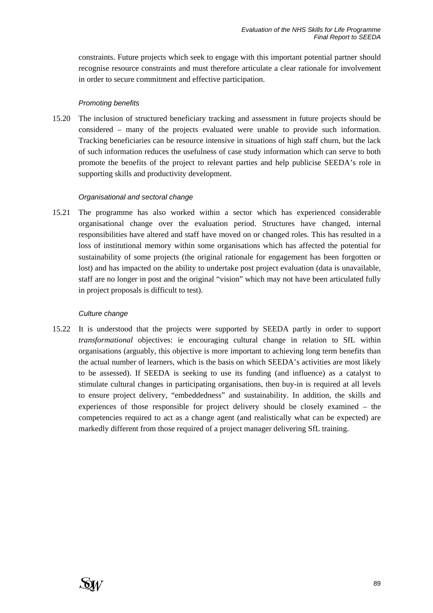constraints. Future projects which seek to engage with this important potential partner should recognise resource constraints and must therefore articulate a clear rationale for involvement in order to secure commitment and effective participation.

#### *Promoting benefits*

15.20 The inclusion of structured beneficiary tracking and assessment in future projects should be considered – many of the projects evaluated were unable to provide such information. Tracking beneficiaries can be resource intensive in situations of high staff churn, but the lack of such information reduces the usefulness of case study information which can serve to both promote the benefits of the project to relevant parties and help publicise SEEDA's role in supporting skills and productivity development.

#### *Organisational and sectoral change*

15.21 The programme has also worked within a sector which has experienced considerable organisational change over the evaluation period. Structures have changed, internal responsibilities have altered and staff have moved on or changed roles. This has resulted in a loss of institutional memory within some organisations which has affected the potential for sustainability of some projects (the original rationale for engagement has been forgotten or lost) and has impacted on the ability to undertake post project evaluation (data is unavailable, staff are no longer in post and the original "vision" which may not have been articulated fully in project proposals is difficult to test).

#### *Culture change*

15.22 It is understood that the projects were supported by SEEDA partly in order to support *transformational* objectives: ie encouraging cultural change in relation to SfL within organisations (arguably, this objective is more important to achieving long term benefits than the actual number of learners, which is the basis on which SEEDA's activities are most likely to be assessed). If SEEDA is seeking to use its funding (and influence) as a catalyst to stimulate cultural changes in participating organisations, then buy-in is required at all levels to ensure project delivery, "embeddedness" and sustainability. In addition, the skills and experiences of those responsible for project delivery should be closely examined – the competencies required to act as a change agent (and realistically what can be expected) are markedly different from those required of a project manager delivering SfL training.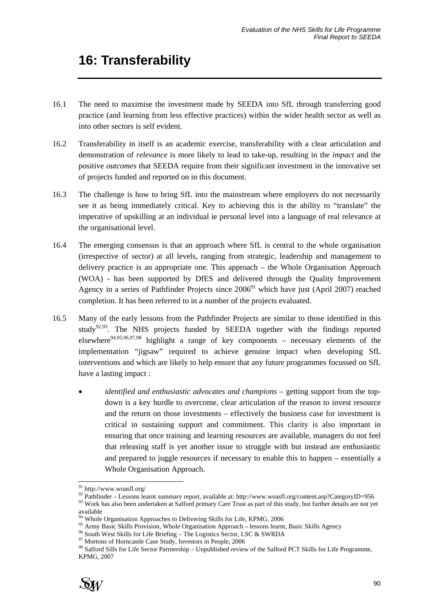# **16: Transferability**

- 16.1 The need to maximise the investment made by SEEDA into SfL through transferring good practice (and learning from less effective practices) within the wider health sector as well as into other sectors is self evident.
- 16.2 Transferability in itself is an academic exercise, transferability with a clear articulation and demonstration of *relevance* is more likely to lead to take-up, resulting in the *impact* and the positive *outcomes* that SEEDA require from their significant investment in the innovative set of projects funded and reported on in this document.
- 16.3 The challenge is how to bring SfL into the mainstream where employers do not necessarily see it as being immediately critical. Key to achieving this is the ability to "translate" the imperative of upskilling at an individual ie personal level into a language of real relevance at the organisational level.
- 16.4 The emerging consensus is that an approach where SfL is central to the whole organisation (irrespective of sector) at all levels, ranging from strategic, leadership and management to delivery practice is an appropriate one. This approach – the Whole Organisation Approach (WOA) - has been supported by DfES and delivered through the Quality Improvement Agency in a series of Pathfinder Projects since  $2006<sup>91</sup>$  which have just (April 2007) reached completion. It has been referred to in a number of the projects evaluated.
- 16.5 Many of the early lessons from the Pathfinder Projects are similar to those identified in this study<sup>92,93</sup>. The NHS projects funded by SEEDA together with the findings reported elsewhere<sup>94,95,96,97,98</sup> highlight a range of key components – necessary elements of the implementation "jigsaw" required to achieve genuine impact when developing SfL interventions and which are likely to help ensure that any future programmes focussed on SfL have a lasting impact :
	- *identified and enthusiastic advocates and champions* getting support from the topdown is a key hurdle to overcome, clear articulation of the reason to invest resource and the return on those investments – effectively the business case for investment is critical in sustaining support and commitment. This clarity is also important in ensuring that once training and learning resources are available, managers do not feel that releasing staff is yet another issue to struggle with but instead are enthusiastic and prepared to juggle resources if necessary to enable this to happen – essentially a Whole Organisation Approach.

<sup>&</sup>lt;sup>97</sup> Mortons of Horncastle Case Study, Investors in People, 2006<br><sup>98</sup> Salford Sills for Life Sector Parrnership – Unpublished review of the Salford PCT Skills for Life Programme, KPMG, 2007



l <sup>91</sup> http://www.woasfl.org/

<sup>&</sup>lt;sup>92</sup> Pathfinder – Lessons learnt summary report, available at: http://www.woasfl.org/content.asp?CategoryID=956<br><sup>93</sup> Work has also been undertaken at Salford primary Care Trust as part of this study, but further details ar

available<br><sup>94</sup> Whole Organisation Approaches to Delivering Skills for Life, KPMG, 2006

Whole Organisation Approaches to Delivering Shang Skills and the United Skills and 2006 95 Army Basic Skills Provision, Whole Organisation Approach – lessons learnt, Basic Skills Agency 96 South West Skills for Life Brief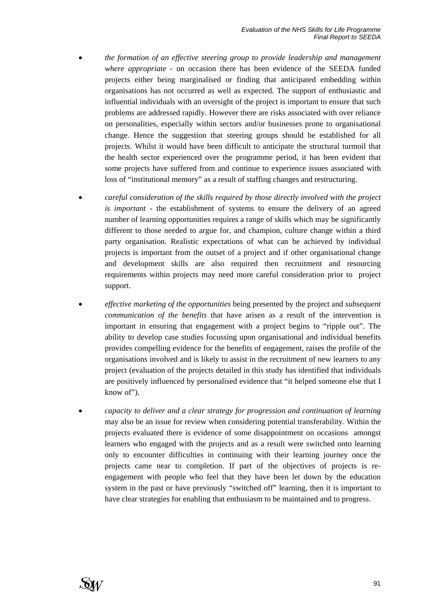- *the formation of an effective steering group to provide leadership and management where appropriate* - on occasion there has been evidence of the SEEDA funded projects either being marginalised or finding that anticipated embedding within organisations has not occurred as well as expected. The support of enthusiastic and influential individuals with an oversight of the project is important to ensure that such problems are addressed rapidly. However there are risks associated with over reliance on personalities, especially within sectors and/or businesses prone to organisational change. Hence the suggestion that steering groups should be established for all projects. Whilst it would have been difficult to anticipate the structural turmoil that the health sector experienced over the programme period, it has been evident that some projects have suffered from and continue to experience issues associated with loss of "institutional memory" as a result of staffing changes and restructuring.
- *careful consideration of the skills required by those directly involved with the project is important* - the establishment of systems to ensure the delivery of an agreed number of learning opportunities requires a range of skills which may be significantly different to those needed to argue for, and champion, culture change within a third party organisation. Realistic expectations of what can be achieved by individual projects is important from the outset of a project and if other organisational change and development skills are also required then recruitment and resourcing requirements within projects may need more careful consideration prior to project support.
- *effective marketing of the opportunities* being presented by the project and *subsequent communication of the benefits* that have arisen as a result of the intervention is important in ensuring that engagement with a project begins to "ripple out". The ability to develop case studies focussing upon organisational and individual benefits provides compelling evidence for the benefits of engagement, raises the profile of the organisations involved and is likely to assist in the recruitment of new learners to any project (evaluation of the projects detailed in this study has identified that individuals are positively influenced by personalised evidence that "it helped someone else that I know of").
- *capacity to deliver and a clear strategy for progression and continuation of learning* may also be an issue for review when considering potential transferability. Within the projects evaluated there is evidence of some disappointment on occasions amongst learners who engaged with the projects and as a result were switched onto learning only to encounter difficulties in continuing with their learning journey once the projects came near to completion. If part of the objectives of projects is reengagement with people who feel that they have been let down by the education system in the past or have previously "switched off" learning, then it is important to have clear strategies for enabling that enthusiasm to be maintained and to progress.

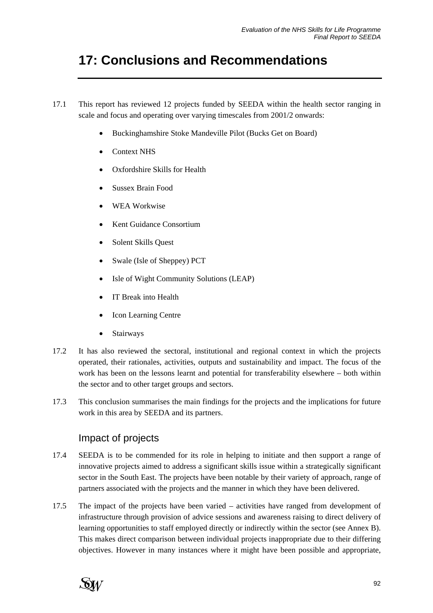# **17: Conclusions and Recommendations**

- 17.1 This report has reviewed 12 projects funded by SEEDA within the health sector ranging in scale and focus and operating over varying timescales from 2001/2 onwards:
	- Buckinghamshire Stoke Mandeville Pilot (Bucks Get on Board)
	- Context NHS
	- Oxfordshire Skills for Health
	- Sussex Brain Food
	- WEA Workwise
	- Kent Guidance Consortium
	- Solent Skills Quest
	- Swale (Isle of Sheppey) PCT
	- Isle of Wight Community Solutions (LEAP)
	- IT Break into Health
	- Icon Learning Centre
	- Stairways
- 17.2 It has also reviewed the sectoral, institutional and regional context in which the projects operated, their rationales, activities, outputs and sustainability and impact. The focus of the work has been on the lessons learnt and potential for transferability elsewhere – both within the sector and to other target groups and sectors.
- 17.3 This conclusion summarises the main findings for the projects and the implications for future work in this area by SEEDA and its partners.

## Impact of projects

- 17.4 SEEDA is to be commended for its role in helping to initiate and then support a range of innovative projects aimed to address a significant skills issue within a strategically significant sector in the South East. The projects have been notable by their variety of approach, range of partners associated with the projects and the manner in which they have been delivered.
- 17.5 The impact of the projects have been varied activities have ranged from development of infrastructure through provision of advice sessions and awareness raising to direct delivery of learning opportunities to staff employed directly or indirectly within the sector (see Annex B). This makes direct comparison between individual projects inappropriate due to their differing objectives. However in many instances where it might have been possible and appropriate,

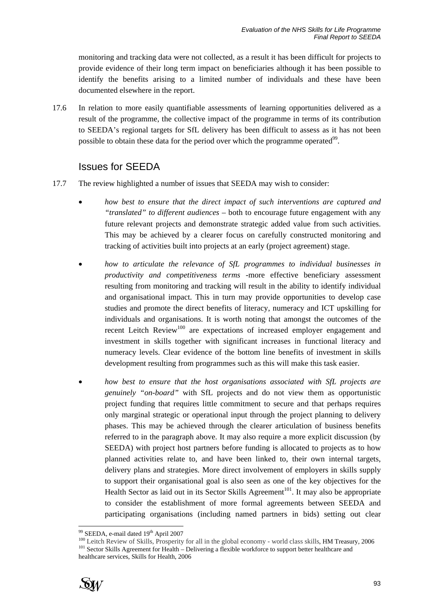monitoring and tracking data were not collected, as a result it has been difficult for projects to provide evidence of their long term impact on beneficiaries although it has been possible to identify the benefits arising to a limited number of individuals and these have been documented elsewhere in the report.

17.6 In relation to more easily quantifiable assessments of learning opportunities delivered as a result of the programme, the collective impact of the programme in terms of its contribution to SEEDA's regional targets for SfL delivery has been difficult to assess as it has not been possible to obtain these data for the period over which the programme operated<sup>99</sup>.

## Issues for SEEDA

- 17.7 The review highlighted a number of issues that SEEDA may wish to consider:
	- *how best to ensure that the direct impact of such interventions are captured and "translated" to different audiences* – both to encourage future engagement with any future relevant projects and demonstrate strategic added value from such activities. This may be achieved by a clearer focus on carefully constructed monitoring and tracking of activities built into projects at an early (project agreement) stage.
	- *how to articulate the relevance of SfL programmes to individual businesses in productivity and competitiveness terms* -more effective beneficiary assessment resulting from monitoring and tracking will result in the ability to identify individual and organisational impact. This in turn may provide opportunities to develop case studies and promote the direct benefits of literacy, numeracy and ICT upskilling for individuals and organisations. It is worth noting that amongst the outcomes of the recent Leitch Review<sup>100</sup> are expectations of increased employer engagement and investment in skills together with significant increases in functional literacy and numeracy levels. Clear evidence of the bottom line benefits of investment in skills development resulting from programmes such as this will make this task easier.
	- *how best to ensure that the host organisations associated with SfL projects are genuinely "on-board"* with SfL projects and do not view them as opportunistic project funding that requires little commitment to secure and that perhaps requires only marginal strategic or operational input through the project planning to delivery phases. This may be achieved through the clearer articulation of business benefits referred to in the paragraph above. It may also require a more explicit discussion (by SEEDA) with project host partners before funding is allocated to projects as to how planned activities relate to, and have been linked to, their own internal targets, delivery plans and strategies. More direct involvement of employers in skills supply to support their organisational goal is also seen as one of the key objectives for the Health Sector as laid out in its Sector Skills Agreement<sup>101</sup>. It may also be appropriate to consider the establishment of more formal agreements between SEEDA and participating organisations (including named partners in bids) setting out clear

 $^{100}$  Leitch Review of Skills, Prosperity for all in the global economy - world class skills, HM Treasury, 2006<br> $^{101}$  Sector Skills Agreement for Health – Delivering a flexible workforce to support better healthcare a healthcare services, Skills for Health, 2006



<sup>99</sup> SEEDA, e-mail dated 19th April 2007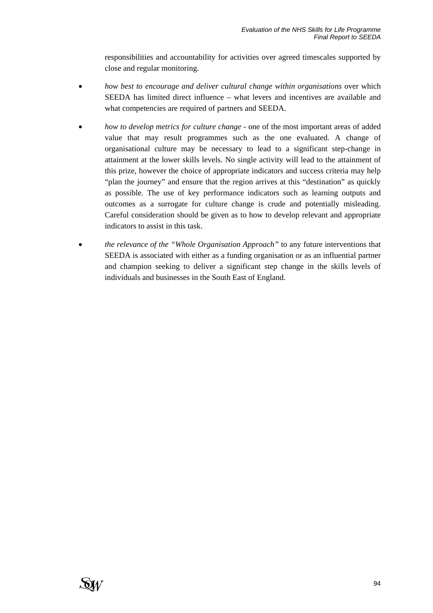responsibilities and accountability for activities over agreed timescales supported by close and regular monitoring.

- *how best to encourage and deliver cultural change within organisations* over which SEEDA has limited direct influence – what levers and incentives are available and what competencies are required of partners and SEEDA.
- *how to develop metrics for culture change* one of the most important areas of added value that may result programmes such as the one evaluated. A change of organisational culture may be necessary to lead to a significant step-change in attainment at the lower skills levels. No single activity will lead to the attainment of this prize, however the choice of appropriate indicators and success criteria may help "plan the journey" and ensure that the region arrives at this "destination" as quickly as possible. The use of key performance indicators such as learning outputs and outcomes as a surrogate for culture change is crude and potentially misleading. Careful consideration should be given as to how to develop relevant and appropriate indicators to assist in this task.
- *the relevance of the "Whole Organisation Approach"* to any future interventions that SEEDA is associated with either as a funding organisation or as an influential partner and champion seeking to deliver a significant step change in the skills levels of individuals and businesses in the South East of England.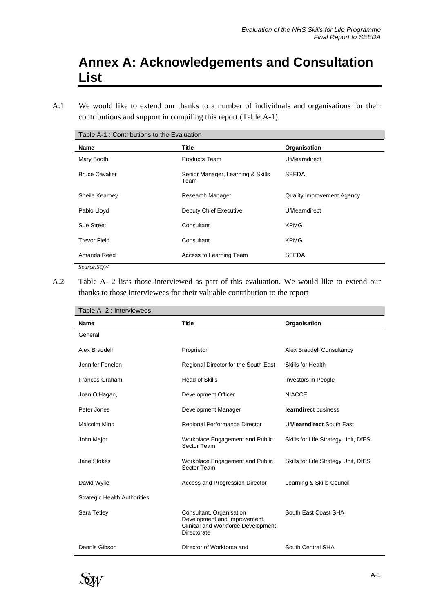# **Annex A: Acknowledgements and Consultation List**

A.1 We would like to extend our thanks to a number of individuals and organisations for their contributions and support in compiling this report (Table A-1).

| Table A-1 : Contributions to the Evaluation |                                           |                                   |  |
|---------------------------------------------|-------------------------------------------|-----------------------------------|--|
| Name                                        | Title                                     | Organisation                      |  |
| Mary Booth                                  | Products Team                             | Ufi/learndirect                   |  |
| <b>Bruce Cavalier</b>                       | Senior Manager, Learning & Skills<br>Team | <b>SEEDA</b>                      |  |
| Sheila Kearney                              | Research Manager                          | <b>Quality Improvement Agency</b> |  |
| Pablo Lloyd                                 | Deputy Chief Executive                    | Ufi/learndirect                   |  |
| Sue Street                                  | Consultant                                | <b>KPMG</b>                       |  |
| <b>Trevor Field</b>                         | Consultant                                | <b>KPMG</b>                       |  |
| Amanda Reed                                 | Access to Learning Team                   | <b>SEEDA</b>                      |  |
| Source:SOW                                  |                                           |                                   |  |

A.2 Table A- 2 lists those interviewed as part of this evaluation. We would like to extend our thanks to those interviewees for their valuable contribution to the report

| Table A- 2 : Interviewees           |                                                                                                               |                                     |  |
|-------------------------------------|---------------------------------------------------------------------------------------------------------------|-------------------------------------|--|
| Name                                | <b>Title</b>                                                                                                  | Organisation                        |  |
| General                             |                                                                                                               |                                     |  |
| Alex Braddell                       | Proprietor                                                                                                    | Alex Braddell Consultancy           |  |
| Jennifer Fenelon                    | Regional Director for the South East                                                                          | <b>Skills for Health</b>            |  |
| Frances Graham,                     | <b>Head of Skills</b>                                                                                         | Investors in People                 |  |
| Joan O'Hagan,                       | Development Officer                                                                                           | <b>NIACCE</b>                       |  |
| Peter Jones                         | Development Manager                                                                                           | learndirect business                |  |
| Malcolm Ming                        | Regional Performance Director                                                                                 | Ufilearndirect South East           |  |
| John Major                          | Workplace Engagement and Public<br>Sector Team                                                                | Skills for Life Strategy Unit, DfES |  |
| Jane Stokes                         | Workplace Engagement and Public<br>Sector Team                                                                | Skills for Life Strategy Unit, DfES |  |
| David Wylie                         | Access and Progression Director                                                                               | Learning & Skills Council           |  |
| <b>Strategic Health Authorities</b> |                                                                                                               |                                     |  |
| Sara Tetley                         | Consultant. Organisation<br>Development and Improvement.<br>Clinical and Workforce Development<br>Directorate | South East Coast SHA                |  |
| Dennis Gibson                       | Director of Workforce and                                                                                     | South Central SHA                   |  |

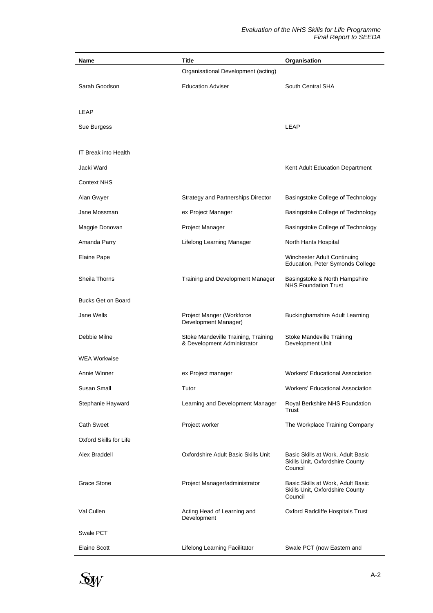| Name                        | <b>Title</b>                                                                   | Organisation                                                                    |
|-----------------------------|--------------------------------------------------------------------------------|---------------------------------------------------------------------------------|
|                             | Organisational Development (acting)                                            |                                                                                 |
| Sarah Goodson               | <b>Education Adviser</b>                                                       | South Central SHA                                                               |
|                             |                                                                                |                                                                                 |
| LEAP                        |                                                                                |                                                                                 |
| Sue Burgess                 |                                                                                | <b>LEAP</b>                                                                     |
| <b>IT Break into Health</b> |                                                                                |                                                                                 |
|                             |                                                                                |                                                                                 |
| Jacki Ward                  |                                                                                | Kent Adult Education Department                                                 |
| <b>Context NHS</b>          |                                                                                |                                                                                 |
| Alan Gwyer                  | <b>Strategy and Partnerships Director</b>                                      | Basingstoke College of Technology                                               |
| Jane Mossman                | ex Project Manager                                                             | Basingstoke College of Technology                                               |
| Maggie Donovan              | Project Manager                                                                | Basingstoke College of Technology                                               |
| Amanda Parry                | Lifelong Learning Manager                                                      | North Hants Hospital                                                            |
| Elaine Pape                 |                                                                                | Winchester Adult Continuing<br>Education, Peter Symonds College                 |
| <b>Sheila Thorns</b>        | Training and Development Manager                                               | Basingstoke & North Hampshire<br><b>NHS Foundation Trust</b>                    |
| <b>Bucks Get on Board</b>   |                                                                                |                                                                                 |
| Jane Wells                  | Project Manger (Workforce<br>Development Manager)                              | <b>Buckinghamshire Adult Learning</b>                                           |
| Debbie Milne                | Stoke Mandeville Training, Training<br>& Development Administrator             | Stoke Mandeville Training<br>Development Unit                                   |
| <b>WEA Workwise</b>         |                                                                                |                                                                                 |
| Annie Winner                | ex Project manager                                                             | <b>Workers' Educational Association</b>                                         |
| Susan Small                 | Tutor                                                                          | <b>Workers' Educational Association</b>                                         |
| Stephanie Hayward           | Learning and Development Manager                                               | Royal Berkshire NHS Foundation<br>Trust                                         |
| <b>Cath Sweet</b>           | Project worker                                                                 | The Workplace Training Company                                                  |
| Oxford Skills for Life      |                                                                                |                                                                                 |
| Alex Braddell               | Oxfordshire Adult Basic Skills Unit                                            | Basic Skills at Work, Adult Basic<br>Skills Unit, Oxfordshire County<br>Council |
| Grace Stone                 | Project Manager/administrator                                                  | Basic Skills at Work, Adult Basic<br>Skills Unit, Oxfordshire County<br>Council |
| Val Cullen                  | Acting Head of Learning and<br>Oxford Radcliffe Hospitals Trust<br>Development |                                                                                 |
| Swale PCT                   |                                                                                |                                                                                 |
| <b>Elaine Scott</b>         | Lifelong Learning Facilitator                                                  | Swale PCT (now Eastern and                                                      |

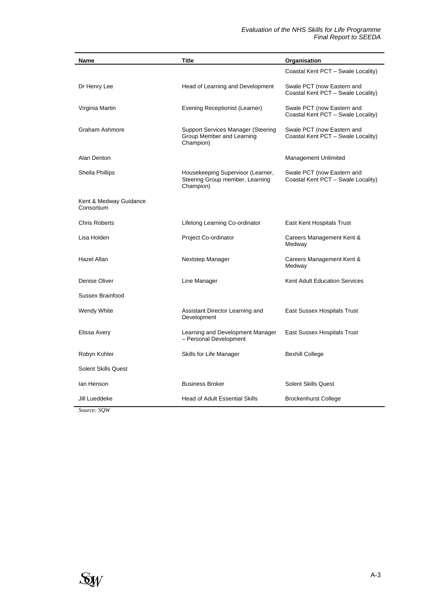| Name                                 | Title                                                                             | Organisation                                                     |  |
|--------------------------------------|-----------------------------------------------------------------------------------|------------------------------------------------------------------|--|
|                                      |                                                                                   | Coastal Kent PCT - Swale Locality)                               |  |
| Dr Henry Lee                         | Head of Learning and Development                                                  | Swale PCT (now Eastern and<br>Coastal Kent PCT - Swale Locality) |  |
| Virginia Martin                      | Evening Receptionist (Learner)                                                    | Swale PCT (now Eastern and<br>Coastal Kent PCT - Swale Locality) |  |
| Graham Ashmore                       | Support Services Manager (Steering<br>Group Member and Learning<br>Champion)      | Swale PCT (now Eastern and<br>Coastal Kent PCT - Swale Locality) |  |
| Alan Denton                          |                                                                                   | Management Unlimited                                             |  |
| Sheila Phillips                      | Housekeeping Supervisor (Learner,<br>Steering Group member, Learning<br>Champion) | Swale PCT (now Eastern and<br>Coastal Kent PCT - Swale Locality) |  |
| Kent & Medway Guidance<br>Consortium |                                                                                   |                                                                  |  |
| <b>Chris Roberts</b>                 | Lifelong Learning Co-ordinator                                                    | East Kent Hospitals Trust                                        |  |
| Lisa Holden                          | Project Co-ordinator                                                              | Careers Management Kent &<br>Medway                              |  |
| Hazel Allan                          | Nextstep Manager                                                                  | Careers Management Kent &<br>Medway                              |  |
| Denise Oliver                        | Line Manager                                                                      | Kent Adult Education Services                                    |  |
| Sussex Brainfood                     |                                                                                   |                                                                  |  |
| Wendy White                          | Assistant Director Learning and<br>Development                                    | East Sussex Hospitals Trust                                      |  |
| Elissa Avery                         | Learning and Development Manager<br>- Personal Development                        | East Sussex Hospitals Trust                                      |  |
| Robyn Kohler                         | Skills for Life Manager                                                           | <b>Bexhill College</b>                                           |  |
| <b>Solent Skills Quest</b>           |                                                                                   |                                                                  |  |
| lan Henson                           | <b>Business Broker</b>                                                            | Solent Skills Quest                                              |  |
| Jill Lueddeke                        | <b>Head of Adult Essential Skills</b>                                             | <b>Brockenhurst College</b>                                      |  |

*Source: SQW*